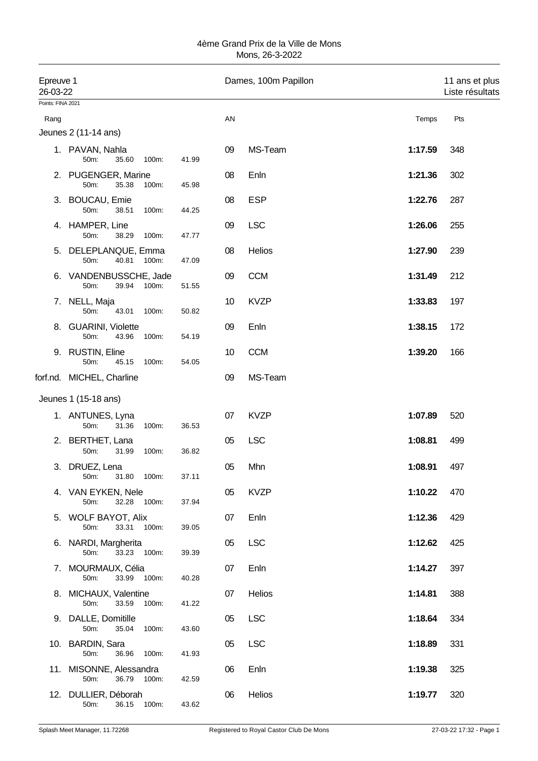| Epreuve 1<br>26-03-22<br>Points: FINA 2021 |                                                    |       |    | Dames, 100m Papillon     |       | 11 ans et plus<br>Liste résultats |
|--------------------------------------------|----------------------------------------------------|-------|----|--------------------------|-------|-----------------------------------|
| Rang                                       |                                                    |       | AN |                          | Temps | Pts                               |
|                                            | Jeunes 2 (11-14 ans)                               |       |    |                          |       |                                   |
|                                            | 1. PAVAN, Nahla<br>50m:<br>35.60<br>100m:          | 41.99 | 09 | MS-Team<br>1:17.59       |       | 348                               |
|                                            | 2. PUGENGER, Marine<br>50m:<br>35.38<br>100m:      | 45.98 | 08 | Enln<br>1:21.36          |       | 302                               |
| 3.                                         | <b>BOUCAU, Emie</b><br>50m:<br>38.51<br>100m:      | 44.25 | 08 | <b>ESP</b><br>1:22.76    |       | 287                               |
| 4.                                         | HAMPER, Line<br>50m:<br>38.29<br>100m:             | 47.77 | 09 | <b>LSC</b><br>1:26.06    |       | 255                               |
| 5.                                         | DELEPLANQUE, Emma<br>50m:<br>40.81<br>100m:        | 47.09 | 08 | Helios<br>1:27.90        |       | 239                               |
| 6.                                         | VANDENBUSSCHE, Jade<br>50m:<br>39.94<br>100m:      | 51.55 | 09 | <b>CCM</b><br>1:31.49    |       | 212                               |
| 7.                                         | NELL, Maja<br>50m:<br>43.01<br>100m:               | 50.82 | 10 | <b>KVZP</b><br>1:33.83   |       | 197                               |
| 8.                                         | <b>GUARINI, Violette</b><br>50m:<br>43.96<br>100m: | 54.19 | 09 | Enln<br>1:38.15          |       | 172                               |
| 9.                                         | <b>RUSTIN, Eline</b><br>50m:<br>45.15<br>100m:     | 54.05 | 10 | <b>CCM</b><br>1:39.20    |       | 166                               |
|                                            | forf.nd. MICHEL, Charline                          |       | 09 | MS-Team                  |       |                                   |
|                                            | Jeunes 1 (15-18 ans)                               |       |    |                          |       |                                   |
| 1.                                         | ANTUNES, Lyna<br>50m:<br>31.36<br>100m:            | 36.53 | 07 | <b>KVZP</b><br>1:07.89   |       | 520                               |
| 2.                                         | BERTHET, Lana<br>50m:<br>31.99<br>100m:            | 36.82 | 05 | <b>LSC</b><br>1:08.81    |       | 499                               |
| 3.                                         | DRUEZ, Lena<br>50m:<br>31.80 100m:                 | 37.11 | 05 | Mhn<br>1:08.91           |       | 497                               |
|                                            | 4. VAN EYKEN, Nele<br>32.28 100m:<br>50m:          | 37.94 | 05 | <b>KVZP</b><br>1:10.22   |       | 470                               |
|                                            | 5. WOLF BAYOT, Alix<br>50m:<br>33.31 100m:         | 39.05 | 07 | Enln<br>1:12.36          |       | 429                               |
|                                            | 6. NARDI, Margherita<br>50m:<br>33.23 100m:        | 39.39 | 05 | <b>LSC</b><br>1:12.62    |       | 425                               |
|                                            | 7. MOURMAUX, Célia<br>50m:<br>33.99<br>100m:       | 40.28 | 07 | Enln<br>1:14.27          |       | 397                               |
|                                            | 8. MICHAUX, Valentine<br>50m:<br>33.59<br>100m:    | 41.22 | 07 | Helios<br>1:14.81        |       | 388                               |
|                                            | 9. DALLE, Domitille<br>50m:<br>35.04<br>100m:      | 43.60 | 05 | <b>LSC</b><br>1:18.64    |       | 334                               |
|                                            | 10. BARDIN, Sara<br>50m:<br>36.96<br>100m:         | 41.93 | 05 | <b>LSC</b><br>1:18.89    |       | 331                               |
|                                            | 11. MISONNE, Alessandra<br>50m:<br>36.79 100m:     | 42.59 | 06 | Enln<br>1:19.38          |       | 325                               |
|                                            | 12. DULLIER, Déborah<br>50m:<br>36.15<br>100m:     | 43.62 | 06 | <b>Helios</b><br>1:19.77 |       | 320                               |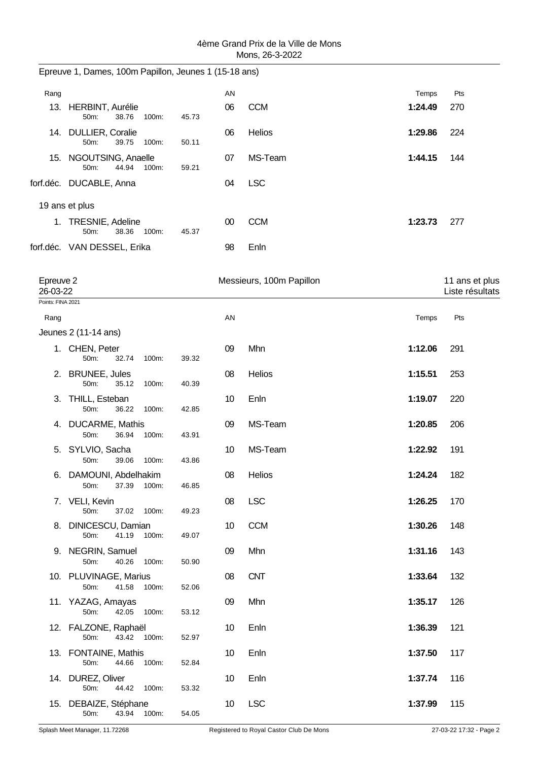|                       | Epreuve 1, Dames, 100m Papillon, Jeunes 1 (15-18 ans) |       |                 |                          |         |                                   |
|-----------------------|-------------------------------------------------------|-------|-----------------|--------------------------|---------|-----------------------------------|
| Rang                  |                                                       |       | AN              |                          | Temps   | Pts                               |
|                       | 13. HERBINT, Aurélie<br>50m:<br>38.76<br>100m:        | 45.73 | 06              | <b>CCM</b>               | 1:24.49 | 270                               |
|                       | 14. DULLIER, Coralie<br>50m:<br>39.75<br>100m:        | 50.11 | 06              | Helios                   | 1:29.86 | 224                               |
|                       | 15. NGOUTSING, Anaelle<br>50m:<br>44.94<br>100m:      | 59.21 | 07              | MS-Team                  | 1:44.15 | 144                               |
|                       | forf.déc. DUCABLE, Anna                               |       | 04              | <b>LSC</b>               |         |                                   |
|                       | 19 ans et plus                                        |       |                 |                          |         |                                   |
|                       | 1. TRESNIE, Adeline<br>38.36<br>50m:<br>100m:         | 45.37 | 00              | <b>CCM</b>               | 1:23.73 | 277                               |
|                       | forf.déc. VAN DESSEL, Erika                           |       | 98              | Enln                     |         |                                   |
| Epreuve 2<br>26-03-22 |                                                       |       |                 | Messieurs, 100m Papillon |         | 11 ans et plus<br>Liste résultats |
| Points: FINA 2021     |                                                       |       |                 |                          |         |                                   |
| Rang                  | Jeunes 2 (11-14 ans)                                  |       | AN              |                          | Temps   | Pts                               |
|                       | 1. CHEN, Peter                                        |       | 09              | Mhn                      | 1:12.06 | 291                               |
|                       | 50m:<br>32.74<br>100m:                                | 39.32 |                 |                          |         |                                   |
|                       | 2. BRUNEE, Jules<br>50m:<br>35.12<br>100m:            | 40.39 | 08              | Helios                   | 1:15.51 | 253                               |
| 3.                    | THILL, Esteban<br>50m:<br>36.22<br>100m:              | 42.85 | 10              | Enln                     | 1:19.07 | 220                               |
|                       | 4. DUCARME, Mathis<br>36.94<br>50m:<br>100m:          | 43.91 | 09              | MS-Team                  | 1:20.85 | 206                               |
|                       | 5. SYLVIO, Sacha<br>100m:<br>50m:<br>39.06            | 43.86 | 10              | MS-Team                  | 1:22.92 | 191                               |
|                       | 6. DAMOUNI, Abdelhakim<br>50m:<br>37.39 100m:         | 46.85 | 08              | Helios                   | 1:24.24 | 182                               |
|                       | 7. VELI, Kevin<br>50m:<br>37.02 100m:                 | 49.23 | 08              | <b>LSC</b>               | 1:26.25 | 170                               |
|                       | 8. DINICESCU, Damian<br>50m:<br>41.19<br>100m:        | 49.07 | 10              | <b>CCM</b>               | 1:30.26 | 148                               |
|                       | 9. NEGRIN, Samuel<br>50m:<br>40.26<br>100m:           | 50.90 | 09              | Mhn                      | 1:31.16 | 143                               |
|                       | 10. PLUVINAGE, Marius<br>41.58<br>50m:<br>100m:       | 52.06 | 08              | <b>CNT</b>               | 1:33.64 | 132                               |
|                       | 11. YAZAG, Amayas<br>42.05<br>50m:<br>100m:           | 53.12 | 09              | Mhn                      | 1:35.17 | 126                               |
|                       | 12. FALZONE, Raphaël<br>43.42 100m:<br>50m:           | 52.97 | 10              | Enln                     | 1:36.39 | 121                               |
|                       | 13. FONTAINE, Mathis<br>50m:<br>44.66 100m:           | 52.84 | 10              | Enln                     | 1:37.50 | 117                               |
|                       | 14. DUREZ, Oliver<br>50m:<br>44.42 100m:              | 53.32 | 10              | Enln                     | 1:37.74 | 116                               |
|                       | 15. DEBAIZE, Stéphane<br>43.94 100m:<br>50m:          | 54.05 | 10 <sup>°</sup> | <b>LSC</b>               | 1:37.99 | 115                               |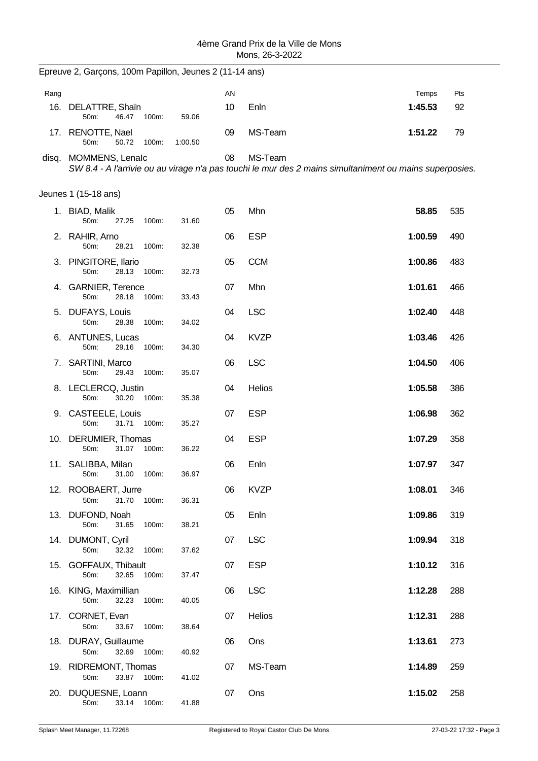|      | Epreuve 2, Garçons, 100m Papillon, Jeunes 2 (11-14 ans) |       |         |    |                                                                                                                    |         |     |
|------|---------------------------------------------------------|-------|---------|----|--------------------------------------------------------------------------------------------------------------------|---------|-----|
| Rang |                                                         |       |         | AN |                                                                                                                    | Temps   | Pts |
| 16.  | DELATTRE, Shain<br>50m:<br>46.47                        | 100m: | 59.06   | 10 | Enln                                                                                                               | 1:45.53 | 92  |
|      | 17. RENOTTE, Nael<br>50m:<br>50.72                      | 100m: | 1:00.50 | 09 | MS-Team                                                                                                            | 1:51.22 | 79  |
|      | disq. MOMMENS, Lenalc                                   |       |         | 08 | MS-Team<br>SW 8.4 - A l'arrivie ou au virage n'a pas touchi le mur des 2 mains simultaniment ou mains superposies. |         |     |
|      | Jeunes 1 (15-18 ans)                                    |       |         |    |                                                                                                                    |         |     |
|      | 1. BIAD, Malik<br>50m:<br>27.25                         | 100m: | 31.60   | 05 | Mhn                                                                                                                | 58.85   | 535 |
|      | 2. RAHIR, Arno<br>50m:<br>28.21                         | 100m: | 32.38   | 06 | <b>ESP</b>                                                                                                         | 1:00.59 | 490 |
|      | 3. PINGITORE, Ilario<br>50m:<br>28.13                   | 100m: | 32.73   | 05 | <b>CCM</b>                                                                                                         | 1:00.86 | 483 |
|      | 4. GARNIER, Terence<br>28.18<br>50m:                    | 100m: | 33.43   | 07 | Mhn                                                                                                                | 1:01.61 | 466 |
|      | 5. DUFAYS, Louis<br>50m:<br>28.38                       | 100m: | 34.02   | 04 | <b>LSC</b>                                                                                                         | 1:02.40 | 448 |
|      | 6. ANTUNES, Lucas<br>29.16<br>50m:                      | 100m: | 34.30   | 04 | <b>KVZP</b>                                                                                                        | 1:03.46 | 426 |
| 7.   | SARTINI, Marco<br>50m:<br>29.43                         | 100m: | 35.07   | 06 | <b>LSC</b>                                                                                                         | 1:04.50 | 406 |
|      | 8. LECLERCQ, Justin<br>50m:<br>30.20                    | 100m: | 35.38   | 04 | Helios                                                                                                             | 1:05.58 | 386 |
|      | 9. CASTEELE, Louis<br>50m:<br>31.71                     | 100m: | 35.27   | 07 | <b>ESP</b>                                                                                                         | 1:06.98 | 362 |
|      | 10. DERUMIER, Thomas<br>31.07<br>50m:                   | 100m: | 36.22   | 04 | <b>ESP</b>                                                                                                         | 1:07.29 | 358 |
|      | 11. SALIBBA, Milan<br>50m:<br>31.00                     | 100m: | 36.97   | 06 | Enln                                                                                                               | 1:07.97 | 347 |
|      | 12. ROOBAERT, Jurre<br>50m:<br>31.70                    | 100m: | 36.31   | 06 | <b>KVZP</b>                                                                                                        | 1:08.01 | 346 |
|      | 13. DUFOND, Noah<br>50m:<br>31.65                       | 100m: | 38.21   | 05 | Enln                                                                                                               | 1:09.86 | 319 |
|      | 14. DUMONT, Cyril<br>50m:<br>32.32                      | 100m: | 37.62   | 07 | <b>LSC</b>                                                                                                         | 1:09.94 | 318 |
|      | 15. GOFFAUX, Thibault<br>32.65<br>50m:                  | 100m: | 37.47   | 07 | <b>ESP</b>                                                                                                         | 1:10.12 | 316 |
|      | 16. KING, Maximillian<br>50m:<br>32.23                  | 100m: | 40.05   | 06 | <b>LSC</b>                                                                                                         | 1:12.28 | 288 |
|      | 17. CORNET, Evan<br>33.67 100m:<br>50m:                 |       | 38.64   | 07 | Helios                                                                                                             | 1:12.31 | 288 |
|      | 18. DURAY, Guillaume<br>50m:<br>32.69                   | 100m: | 40.92   | 06 | Ons                                                                                                                | 1:13.61 | 273 |
|      | 19. RIDREMONT, Thomas<br>50m:<br>33.87 100m:            |       | 41.02   | 07 | MS-Team                                                                                                            | 1:14.89 | 259 |
|      | 20. DUQUESNE, Loann<br>33.14 100m:<br>50m:              |       | 41.88   | 07 | Ons                                                                                                                | 1:15.02 | 258 |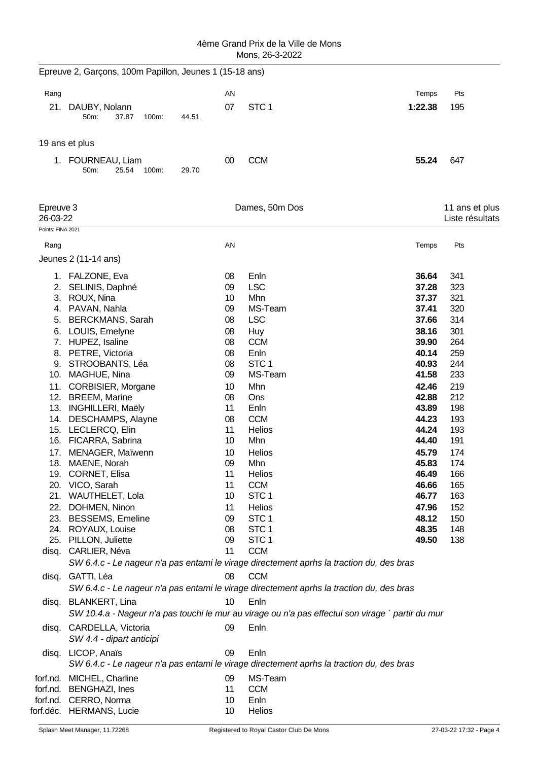|                       | Epreuve 2, Garçons, 100m Papillon, Jeunes 1 (15-18 ans)                                                                   |          |                                   |                |                                   |
|-----------------------|---------------------------------------------------------------------------------------------------------------------------|----------|-----------------------------------|----------------|-----------------------------------|
| Rang                  |                                                                                                                           | AN       |                                   | Temps          | Pts                               |
| 21.                   | DAUBY, Nolann<br>50m:<br>37.87<br>100m:<br>44.51                                                                          | 07       | STC <sub>1</sub>                  | 1:22.38        | 195                               |
|                       | 19 ans et plus                                                                                                            |          |                                   |                |                                   |
|                       | 1. FOURNEAU, Liam<br>50m:<br>25.54<br>100m:<br>29.70                                                                      | $00\,$   | <b>CCM</b>                        | 55.24          | 647                               |
| Epreuve 3<br>26-03-22 |                                                                                                                           |          | Dames, 50m Dos                    |                | 11 ans et plus<br>Liste résultats |
| Points: FINA 2021     |                                                                                                                           |          |                                   |                |                                   |
| Rang                  |                                                                                                                           | AN       |                                   | Temps          | Pts                               |
|                       | Jeunes 2 (11-14 ans)                                                                                                      |          |                                   |                |                                   |
|                       | 1. FALZONE, Eva                                                                                                           | 08       | Enln                              | 36.64          | 341                               |
| 2.                    | SELINIS, Daphné                                                                                                           | 09       | <b>LSC</b>                        | 37.28          | 323                               |
| 3.                    | ROUX, Nina                                                                                                                | 10       | Mhn                               | 37.37          | 321                               |
|                       | 4. PAVAN, Nahla                                                                                                           | 09       | MS-Team                           | 37.41          | 320                               |
|                       | 5. BERCKMANS, Sarah<br>6. LOUIS, Emelyne                                                                                  | 08<br>08 | <b>LSC</b><br><b>Huy</b>          | 37.66<br>38.16 | 314<br>301                        |
|                       | 7. HUPEZ, Isaline                                                                                                         | 08       | <b>CCM</b>                        | 39.90          | 264                               |
|                       | 8. PETRE, Victoria                                                                                                        | 08       | Enln                              | 40.14          | 259                               |
| 9.                    | STROOBANTS, Léa                                                                                                           | 08       | STC <sub>1</sub>                  | 40.93          | 244                               |
| 10.                   | MAGHUE, Nina                                                                                                              | 09       | MS-Team                           | 41.58          | 233                               |
| 11.                   | CORBISIER, Morgane                                                                                                        | 10       | Mhn                               | 42.46          | 219                               |
|                       | 12. BREEM, Marine                                                                                                         | 08       | Ons                               | 42.88          | 212                               |
|                       | 13. INGHILLERI, Maëly<br>14. DESCHAMPS, Alayne                                                                            | 11<br>08 | Enln<br><b>CCM</b>                | 43.89<br>44.23 | 198<br>193                        |
|                       | 15. LECLERCQ, Elin                                                                                                        | 11       | <b>Helios</b>                     | 44.24          | 193                               |
|                       | 16. FICARRA, Sabrina                                                                                                      | 10       | Mhn                               | 44.40          | 191                               |
|                       | 17. MENAGER, Maïwenn                                                                                                      | 10       | Helios                            | 45.79          | 174                               |
|                       | 18. MAENE, Norah                                                                                                          | 09       | Mhn                               | 45.83          | 174                               |
|                       | 19. CORNET, Elisa                                                                                                         | 11       | Helios                            | 46.49          | 166                               |
|                       | 20. VICO, Sarah                                                                                                           | 11       | <b>CCM</b>                        | 46.66          | 165                               |
|                       | 21. WAUTHELET, Lola                                                                                                       | 10<br>11 | STC <sub>1</sub>                  | 46.77<br>47.96 | 163                               |
|                       | 22. DOHMEN, Ninon<br>23. BESSEMS, Emeline                                                                                 | 09       | <b>Helios</b><br>STC <sub>1</sub> | 48.12          | 152<br>150                        |
|                       | 24. ROYAUX, Louise                                                                                                        | 08       | STC <sub>1</sub>                  | 48.35          | 148                               |
| 25.                   | PILLON, Juliette                                                                                                          | 09       | STC <sub>1</sub>                  | 49.50          | 138                               |
|                       | disq. CARLIER, Néva                                                                                                       | 11       | <b>CCM</b>                        |                |                                   |
|                       | SW 6.4.c - Le nageur n'a pas entami le virage directement aprhs la traction du, des bras                                  |          |                                   |                |                                   |
|                       | disq. GATTI, Léa                                                                                                          | 08       | <b>CCM</b>                        |                |                                   |
|                       | SW 6.4.c - Le nageur n'a pas entami le virage directement aprhs la traction du, des bras                                  |          |                                   |                |                                   |
|                       | disq. BLANKERT, Lina<br>SW 10.4.a - Nageur n'a pas touchi le mur au virage ou n'a pas effectui son virage ` partir du mur | 10       | Enln                              |                |                                   |
|                       | disq. CARDELLA, Victoria<br>SW 4.4 - dipart anticipi                                                                      | 09       | Enln                              |                |                                   |
|                       | disq. LICOP, Anaïs<br>SW 6.4.c - Le nageur n'a pas entami le virage directement aprhs la traction du, des bras            | 09       | Enln                              |                |                                   |
| forf.nd.              | MICHEL, Charline                                                                                                          | 09       | MS-Team                           |                |                                   |
|                       | forf.nd. BENGHAZI, Ines                                                                                                   | 11       | <b>CCM</b>                        |                |                                   |
|                       | forf.nd. CERRO, Norma                                                                                                     | 10       | Enln                              |                |                                   |
|                       | forf.déc. HERMANS, Lucie                                                                                                  | 10       | Helios                            |                |                                   |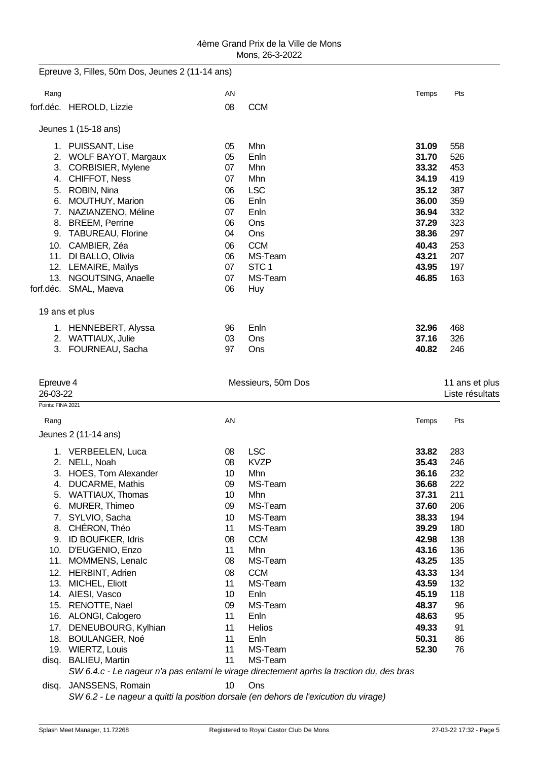| 4ème Grand Prix de la Ville de Mons |
|-------------------------------------|
| Mons, 26-3-2022                     |

|                   | Epreuve 3, Filles, 50m Dos, Jeunes 2 (11-14 ans)                                         |          |                       |                |                 |
|-------------------|------------------------------------------------------------------------------------------|----------|-----------------------|----------------|-----------------|
| Rang              |                                                                                          | AN       |                       | Temps          | Pts             |
|                   | forf.déc. HEROLD, Lizzie                                                                 | 08       | <b>CCM</b>            |                |                 |
|                   | Jeunes 1 (15-18 ans)                                                                     |          |                       |                |                 |
|                   | 1. PUISSANT, Lise                                                                        | 05       | Mhn                   | 31.09          | 558             |
| 2.                | <b>WOLF BAYOT, Margaux</b>                                                               | 05       | Enln                  | 31.70          | 526             |
| 3.                | <b>CORBISIER, Mylene</b>                                                                 | 07       | Mhn                   | 33.32          | 453             |
| 4.                | <b>CHIFFOT, Ness</b>                                                                     | 07       | Mhn                   | 34.19          | 419             |
| 5.                | ROBIN, Nina                                                                              | 06       | <b>LSC</b>            | 35.12          | 387             |
| 6.                | <b>MOUTHUY, Marion</b>                                                                   | 06       | Enln                  | 36.00          | 359             |
| 7.                | NAZIANZENO, Méline                                                                       | 07       | Enln                  | 36.94          | 332             |
|                   | 8. BREEM, Perrine                                                                        | 06       | Ons                   | 37.29          | 323             |
| 9.                | <b>TABUREAU, Florine</b>                                                                 | 04       | Ons                   | 38.36          | 297             |
|                   | 10. CAMBIER, Zéa                                                                         | 06       | <b>CCM</b>            | 40.43          | 253             |
|                   | 11. DI BALLO, Olivia                                                                     | 06       | MS-Team               | 43.21          | 207             |
|                   | 12. LEMAIRE, Maïlys                                                                      | 07       | STC <sub>1</sub>      | 43.95          | 197             |
|                   | 13. NGOUTSING, Anaelle                                                                   | 07       | MS-Team               | 46.85          | 163             |
|                   | forf.déc. SMAL, Maeva                                                                    | 06       | <b>Huy</b>            |                |                 |
|                   | 19 ans et plus                                                                           |          |                       |                |                 |
|                   | 1. HENNEBERT, Alyssa                                                                     | 96       | Enln                  | 32.96          | 468             |
|                   | 2. WATTIAUX, Julie                                                                       | 03       | Ons                   | 37.16          | 326             |
| 3.                | FOURNEAU, Sacha                                                                          | 97       | Ons                   | 40.82          | 246             |
|                   |                                                                                          |          |                       |                |                 |
| Epreuve 4         |                                                                                          |          | Messieurs, 50m Dos    |                | 11 ans et plus  |
| 26-03-22          |                                                                                          |          |                       |                | Liste résultats |
| Points: FINA 2021 |                                                                                          |          |                       |                |                 |
| Rang              |                                                                                          | AN       |                       | Temps          | Pts             |
|                   | Jeunes 2 (11-14 ans)                                                                     |          |                       |                |                 |
|                   | 1. VERBEELEN, Luca                                                                       | 08       | <b>LSC</b>            | 33.82          | 283             |
|                   | 2. NELL, Noah                                                                            | 08       | <b>KVZP</b>           | 35.43          | 246             |
|                   | 3. HOES, Tom Alexander                                                                   | 10       | Mhn                   | 36.16          | 232             |
| 4.                | <b>DUCARME, Mathis</b>                                                                   | 09       | MS-Team               | 36.68          | 222             |
| 5.                | <b>WATTIAUX, Thomas</b>                                                                  | 10       | Mhn                   | 37.31          | 211             |
| 6.                | MURER, Thimeo                                                                            | 09       | MS-Team               | 37.60          | 206             |
| 7.                | SYLVIO, Sacha                                                                            | 10       | MS-Team               | 38.33          | 194             |
| 8.                | CHÉRON, Théo                                                                             | 11       | MS-Team               | 39.29          | 180             |
| 9.                | ID BOUFKER, Idris                                                                        | 08       | <b>CCM</b>            | 42.98          | 138             |
| 10.               | D'EUGENIO, Enzo                                                                          | 11       | Mhn                   | 43.16          | 136             |
| 11.               | MOMMENS, Lenalc                                                                          | 08       | MS-Team               | 43.25          | 135             |
| 12.               | <b>HERBINT, Adrien</b>                                                                   | 08       | <b>CCM</b><br>MS-Team | 43.33          | 134             |
| 13.               | MICHEL, Eliott<br>14. AIESI, Vasco                                                       | 11<br>10 | Enln                  | 43.59<br>45.19 | 132<br>118      |
|                   | 15. RENOTTE, Nael                                                                        | 09       | MS-Team               | 48.37          | 96              |
|                   | 16. ALONGI, Calogero                                                                     | 11       | Enln                  | 48.63          | 95              |
| 17.               | DENEUBOURG, Kylhian                                                                      | 11       | Helios                | 49.33          | 91              |
| 18.               | <b>BOULANGER, Noé</b>                                                                    | 11       | Enln                  | 50.31          | 86              |
| 19.               | <b>WIERTZ, Louis</b>                                                                     | 11       | MS-Team               | 52.30          | 76              |
| disq.             | <b>BALIEU, Martin</b>                                                                    | 11       | MS-Team               |                |                 |
|                   | SW 6.4.c - Le nageur n'a pas entami le virage directement aprhs la traction du, des bras |          |                       |                |                 |
| disq.             | JANSSENS, Romain                                                                         | 10       | Ons                   |                |                 |
|                   |                                                                                          |          |                       |                |                 |

*SW 6.2 - Le nageur a quitti la position dorsale (en dehors de l'exicution du virage)*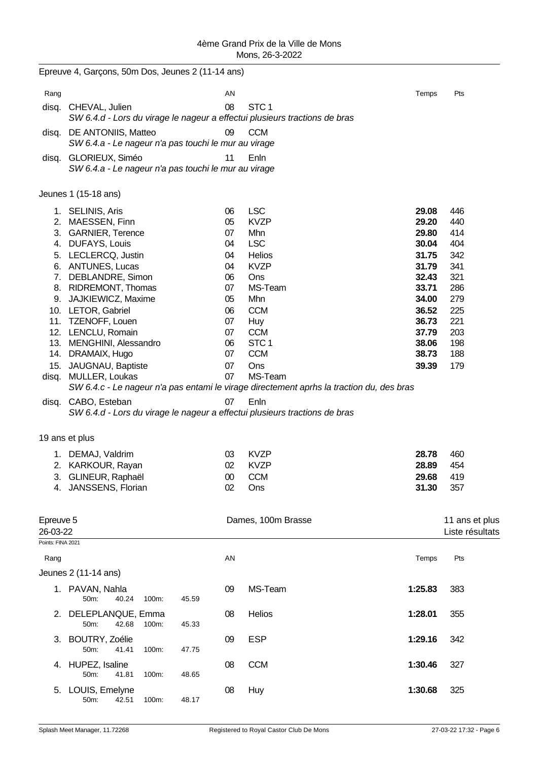|                           | Epreuve 4, Garçons, 50m Dos, Jeunes 2 (11-14 ans)                       |       |          |                                                                                                  |                |                 |
|---------------------------|-------------------------------------------------------------------------|-------|----------|--------------------------------------------------------------------------------------------------|----------------|-----------------|
| Rang                      |                                                                         |       | AN       |                                                                                                  | Temps          | Pts             |
| disq.                     | CHEVAL, Julien                                                          |       | 08       | STC <sub>1</sub><br>SW 6.4.d - Lors du virage le nageur a effectui plusieurs tractions de bras   |                |                 |
| disq.                     | DE ANTONIIS, Matteo                                                     |       | 09       | <b>CCM</b>                                                                                       |                |                 |
|                           | SW 6.4.a - Le nageur n'a pas touchi le mur au virage                    |       |          |                                                                                                  |                |                 |
| disq.                     | GLORIEUX, Siméo<br>SW 6.4.a - Le nageur n'a pas touchi le mur au virage |       | 11       | Enln                                                                                             |                |                 |
|                           | Jeunes 1 (15-18 ans)                                                    |       |          |                                                                                                  |                |                 |
|                           | 1. SELINIS, Aris                                                        |       | 06       | <b>LSC</b>                                                                                       | 29.08          | 446             |
| 2.                        | MAESSEN, Finn                                                           |       | 05       | <b>KVZP</b>                                                                                      | 29.20          | 440             |
| 3.<br>4.                  | <b>GARNIER, Terence</b><br>DUFAYS, Louis                                |       | 07<br>04 | Mhn<br><b>LSC</b>                                                                                | 29.80<br>30.04 | 414<br>404      |
| 5.                        | LECLERCQ, Justin                                                        |       | 04       | Helios                                                                                           | 31.75          | 342             |
| 6.                        | <b>ANTUNES, Lucas</b>                                                   |       | 04       | <b>KVZP</b>                                                                                      | 31.79          | 341             |
| 7.                        | DEBLANDRE, Simon                                                        |       | 06       | Ons                                                                                              | 32.43          | 321             |
| 8.                        | <b>RIDREMONT, Thomas</b>                                                |       | 07       | MS-Team                                                                                          | 33.71          | 286             |
| 9.                        | JAJKIEWICZ, Maxime                                                      |       | 05       | Mhn                                                                                              | 34.00          | 279             |
|                           | 10. LETOR, Gabriel                                                      |       | 06       | <b>CCM</b>                                                                                       | 36.52          | 225             |
|                           | 11. TZENOFF, Louen<br>12. LENCLU, Romain                                |       | 07<br>07 | Huy<br><b>CCM</b>                                                                                | 36.73<br>37.79 | 221<br>203      |
|                           | 13. MENGHINI, Alessandro                                                |       | 06       | STC <sub>1</sub>                                                                                 | 38.06          | 198             |
|                           | 14. DRAMAIX, Hugo                                                       |       | 07       | <b>CCM</b>                                                                                       | 38.73          | 188             |
|                           | 15. JAUGNAU, Baptiste                                                   |       | 07       | Ons                                                                                              | 39.39          | 179             |
|                           | disq. MULLER, Loukas                                                    |       | 07       | MS-Team                                                                                          |                |                 |
|                           |                                                                         |       | 07       | SW 6.4.c - Le nageur n'a pas entami le virage directement aprhs la traction du, des bras<br>Enln |                |                 |
| disq.                     | CABO, Esteban                                                           |       |          | SW 6.4.d - Lors du virage le nageur a effectui plusieurs tractions de bras                       |                |                 |
|                           | 19 ans et plus                                                          |       |          |                                                                                                  |                |                 |
|                           |                                                                         |       |          |                                                                                                  |                |                 |
|                           | 1. DEMAJ, Valdrim<br>2. KARKOUR, Rayan                                  |       | 03       | <b>KVZP</b>                                                                                      | 28.78          | 460<br>454      |
|                           | 3. GLINEUR, Raphaël                                                     |       | 02<br>00 | <b>KVZP</b><br><b>CCM</b>                                                                        | 28.89<br>29.68 | 419             |
|                           | 4. JANSSENS, Florian                                                    |       | 02       | Ons                                                                                              | 31.30          | 357             |
|                           |                                                                         |       |          |                                                                                                  |                |                 |
| Epreuve 5                 |                                                                         |       |          | Dames, 100m Brasse                                                                               |                | 11 ans et plus  |
| 26-03-22                  |                                                                         |       |          |                                                                                                  |                | Liste résultats |
| Points: FINA 2021<br>Rang |                                                                         |       | AN       |                                                                                                  | Temps          | Pts             |
|                           | Jeunes 2 (11-14 ans)                                                    |       |          |                                                                                                  |                |                 |
|                           | 1. PAVAN, Nahla<br>40.24<br>50m:<br>100m:                               | 45.59 | 09       | MS-Team                                                                                          | 1:25.83        | 383             |
| 2.                        | DELEPLANQUE, Emma<br>50m:<br>42.68<br>100m:                             | 45.33 | 08       | Helios                                                                                           | 1:28.01        | 355             |
| 3.                        | BOUTRY, Zoélie<br>100m:<br>50m:<br>41.41                                | 47.75 | 09       | <b>ESP</b>                                                                                       | 1:29.16        | 342             |
| 4.                        | HUPEZ, Isaline<br>50m:<br>41.81<br>100m:                                | 48.65 | 08       | <b>CCM</b>                                                                                       | 1:30.46        | 327             |
| 5.                        | LOUIS, Emelyne<br>50m:<br>42.51<br>100m:                                | 48.17 | 08       | Huy                                                                                              | 1:30.68        | 325             |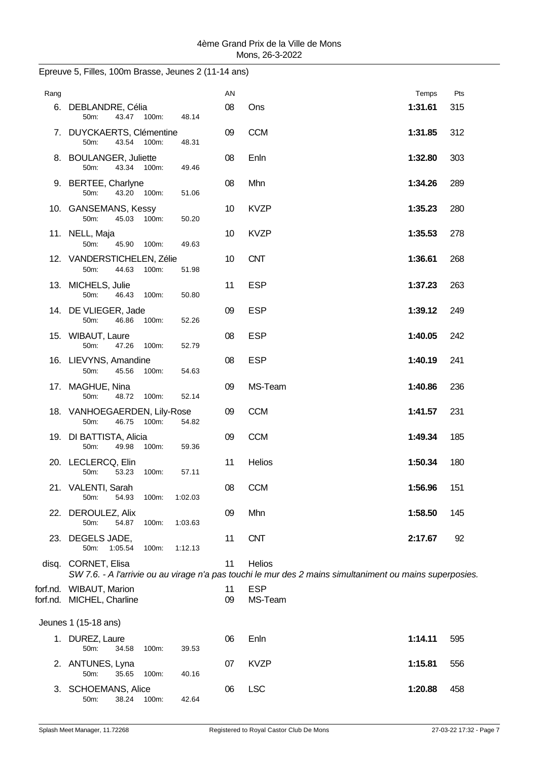| Rang |                                                      |         | AN       |                                                                                                                           | Temps   | Pts |
|------|------------------------------------------------------|---------|----------|---------------------------------------------------------------------------------------------------------------------------|---------|-----|
|      | 6. DEBLANDRE, Célia<br>50m:<br>43.47 100m:           | 48.14   | 08       | Ons                                                                                                                       | 1:31.61 | 315 |
|      | 7. DUYCKAERTS, Clémentine<br>50m:<br>43.54 100m:     | 48.31   | 09       | <b>CCM</b>                                                                                                                | 1:31.85 | 312 |
|      | 8. BOULANGER, Juliette<br>50m:<br>43.34 100m:        | 49.46   | 08       | Enln                                                                                                                      | 1:32.80 | 303 |
|      | 9. BERTEE, Charlyne<br>43.20 100m:<br>50m:           | 51.06   | 08       | Mhn                                                                                                                       | 1:34.26 | 289 |
|      | 10. GANSEMANS, Kessy<br>50m:<br>45.03 100m:          | 50.20   | 10       | <b>KVZP</b>                                                                                                               | 1:35.23 | 280 |
|      | 11. NELL, Maja<br>50m:<br>45.90<br>100m:             | 49.63   | 10       | <b>KVZP</b>                                                                                                               | 1:35.53 | 278 |
|      | 12. VANDERSTICHELEN, Zélie<br>44.63<br>50m:<br>100m: | 51.98   | 10       | <b>CNT</b>                                                                                                                | 1:36.61 | 268 |
|      | 13. MICHELS, Julie<br>50m:<br>46.43 100m:            | 50.80   | 11       | <b>ESP</b>                                                                                                                | 1:37.23 | 263 |
|      | 14. DE VLIEGER, Jade<br>46.86<br>$50m$ :<br>100m:    | 52.26   | 09       | <b>ESP</b>                                                                                                                | 1:39.12 | 249 |
|      | 15. WIBAUT, Laure<br>50m:<br>47.26<br>100m:          | 52.79   | 08       | <b>ESP</b>                                                                                                                | 1:40.05 | 242 |
|      | 16. LIEVYNS, Amandine<br>45.56<br>50m:<br>100m:      | 54.63   | 08       | <b>ESP</b>                                                                                                                | 1:40.19 | 241 |
|      | 17. MAGHUE, Nina<br>50m:<br>48.72<br>100m:           | 52.14   | 09       | MS-Team                                                                                                                   | 1:40.86 | 236 |
|      | 18. VANHOEGAERDEN, Lily-Rose<br>46.75 100m:<br>50m:  | 54.82   | 09       | <b>CCM</b>                                                                                                                | 1:41.57 | 231 |
|      | 19. DI BATTISTA, Alicia<br>50m:<br>49.98 100m:       | 59.36   | 09       | <b>CCM</b>                                                                                                                | 1:49.34 | 185 |
|      | 20. LECLERCQ, Elin<br>53.23<br>50m:<br>100m:         | 57.11   | 11       | Helios                                                                                                                    | 1:50.34 | 180 |
|      | 21. VALENTI, Sarah<br>54.93<br>50m:<br>100m:         | 1:02.03 | 08       | <b>CCM</b>                                                                                                                | 1:56.96 | 151 |
|      | 22. DEROULEZ, Alix<br>50m:<br>54.87<br>100m:         | 1:03.63 | 09       | Mhn                                                                                                                       | 1:58.50 | 145 |
|      | 23. DEGELS JADE,<br>1:05.54<br>50m:<br>100m:         | 1:12.13 | 11       | <b>CNT</b>                                                                                                                | 2:17.67 | 92  |
|      | disq. CORNET, Elisa                                  |         | 11       | <b>Helios</b><br>SW 7.6. - A l'arrivie ou au virage n'a pas touchi le mur des 2 mains simultaniment ou mains superposies. |         |     |
|      | forf.nd. WIBAUT, Marion<br>forf.nd. MICHEL, Charline |         | 11<br>09 | <b>ESP</b><br>MS-Team                                                                                                     |         |     |
|      | Jeunes 1 (15-18 ans)                                 |         |          |                                                                                                                           |         |     |
|      | 1. DUREZ, Laure<br>50m:<br>34.58<br>100m:            | 39.53   | 06       | Enln                                                                                                                      | 1:14.11 | 595 |
|      | 2. ANTUNES, Lyna<br>35.65<br>50m:<br>100m:           | 40.16   | 07       | <b>KVZP</b>                                                                                                               | 1:15.81 | 556 |
|      | 3. SCHOEMANS, Alice<br>50m:<br>38.24<br>100m:        | 42.64   | 06       | <b>LSC</b>                                                                                                                | 1:20.88 | 458 |

## Epreuve 5, Filles, 100m Brasse, Jeunes 2 (11-14 ans)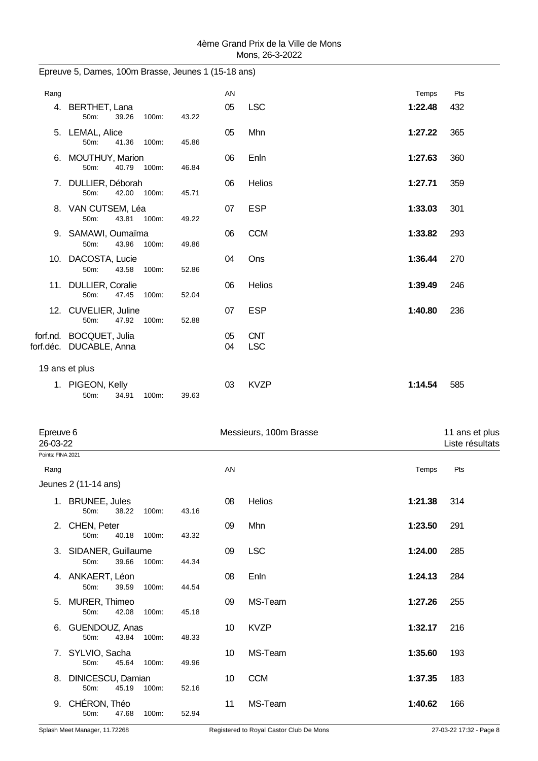| Rang           |                                                    |       |       | AN       |                          | Temps   | Pts |
|----------------|----------------------------------------------------|-------|-------|----------|--------------------------|---------|-----|
|                | 4. BERTHET, Lana<br>39.26<br>50m:                  | 100m: | 43.22 | 05       | <b>LSC</b>               | 1:22.48 | 432 |
|                | 5. LEMAL, Alice<br>$50m$ :<br>41.36                | 100m: | 45.86 | 05       | Mhn                      | 1:27.22 | 365 |
|                | 6. MOUTHUY, Marion<br>50m:<br>40.79                | 100m: | 46.84 | 06       | Enln                     | 1:27.63 | 360 |
|                | 7. DULLIER, Déborah<br>$50m$ :<br>42.00            | 100m: | 45.71 | 06       | <b>Helios</b>            | 1:27.71 | 359 |
|                | 8. VAN CUTSEM, Léa<br>50m:<br>43.81                | 100m: | 49.22 | 07       | <b>ESP</b>               | 1:33.03 | 301 |
|                | 9. SAMAWI, Oumaïma<br>43.96<br>50m:                | 100m: | 49.86 | 06       | <b>CCM</b>               | 1:33.82 | 293 |
|                | 10. DACOSTA, Lucie<br>50m:<br>43.58                | 100m: | 52.86 | 04       | Ons                      | 1:36.44 | 270 |
|                | 11. DULLIER, Coralie<br>50m:<br>47.45              | 100m: | 52.04 | 06       | <b>Helios</b>            | 1:39.49 | 246 |
|                | 12. CUVELIER, Juline<br>50m:<br>47.92              | 100m: | 52.88 | 07       | <b>ESP</b>               | 1:40.80 | 236 |
|                | forf.nd. BOCQUET, Julia<br>forf.déc. DUCABLE, Anna |       |       | 05<br>04 | <b>CNT</b><br><b>LSC</b> |         |     |
| 19 ans et plus |                                                    |       |       |          |                          |         |     |
|                | 1. PIGEON, Kelly<br>50m:<br>34.91                  | 100m: | 39.63 | 03       | <b>KVZP</b>              | 1:14.54 | 585 |

Epreuve 5, Dames, 100m Brasse, Jeunes 1 (15-18 ans)

| Epreuve 6<br>26-03-22 |                                        |       | Messieurs, 100m Brasse |    |             |         |     |
|-----------------------|----------------------------------------|-------|------------------------|----|-------------|---------|-----|
| Points: FINA 2021     |                                        |       |                        |    |             |         |     |
| Rang                  |                                        |       |                        | AN |             | Temps   | Pts |
|                       | Jeunes 2 (11-14 ans)                   |       |                        |    |             |         |     |
|                       | 1. BRUNEE, Jules<br>38.22<br>50m:      | 100m: | 43.16                  | 08 | Helios      | 1:21.38 | 314 |
|                       | 2. CHEN, Peter<br>40.18<br>50m:        | 100m: | 43.32                  | 09 | Mhn         | 1:23.50 | 291 |
|                       | 3. SIDANER, Guillaume<br>50m:<br>39.66 | 100m: | 44.34                  | 09 | <b>LSC</b>  | 1:24.00 | 285 |
|                       | 4. ANKAERT, Léon<br>50m:<br>39.59      | 100m: | 44.54                  | 08 | Enln        | 1:24.13 | 284 |
|                       | 5. MURER, Thimeo<br>50m:<br>42.08      | 100m: | 45.18                  | 09 | MS-Team     | 1:27.26 | 255 |
| 6.                    | GUENDOUZ, Anas<br>50m:<br>43.84        | 100m: | 48.33                  | 10 | <b>KVZP</b> | 1:32.17 | 216 |
|                       | 7. SYLVIO, Sacha<br>45.64<br>50m:      | 100m: | 49.96                  | 10 | MS-Team     | 1:35.60 | 193 |
| 8.                    | DINICESCU, Damian<br>45.19<br>50m:     | 100m: | 52.16                  | 10 | <b>CCM</b>  | 1:37.35 | 183 |
| 9.                    | CHÉRON, Théo<br>47.68<br>50m:          | 100m: | 52.94                  | 11 | MS-Team     | 1:40.62 | 166 |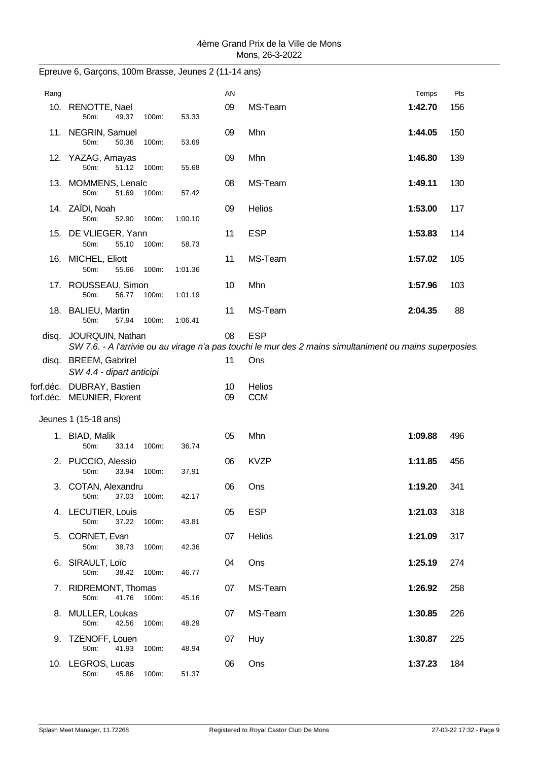| Rang |                                                         |             |         | AN       |                                                                                                                        | Temps   | Pts |
|------|---------------------------------------------------------|-------------|---------|----------|------------------------------------------------------------------------------------------------------------------------|---------|-----|
|      | 10. RENOTTE, Nael<br>50m:<br>49.37                      | 100m:       | 53.33   | 09       | MS-Team                                                                                                                | 1:42.70 | 156 |
|      | 11. NEGRIN, Samuel<br>50m:<br>50.36                     | 100m:       | 53.69   | 09       | Mhn                                                                                                                    | 1:44.05 | 150 |
|      | 12. YAZAG, Amayas<br>50m:<br>51.12                      | 100m:       | 55.68   | 09       | Mhn                                                                                                                    | 1:46.80 | 139 |
|      | 13. MOMMENS, Lenalc<br>50m:<br>51.69                    | 100m:       | 57.42   | 08       | MS-Team                                                                                                                | 1:49.11 | 130 |
|      | 14. ZAÏDI, Noah<br>50m:<br>52.90                        | 100m:       | 1:00.10 | 09       | <b>Helios</b>                                                                                                          | 1:53.00 | 117 |
|      | 15. DE VLIEGER, Yann<br>50m:<br>55.10                   | 100m:       | 58.73   | 11       | <b>ESP</b>                                                                                                             | 1:53.83 | 114 |
|      | 16. MICHEL, Eliott<br>50m:<br>55.66                     | 100m:       | 1:01.36 | 11       | MS-Team                                                                                                                | 1:57.02 | 105 |
|      | 17. ROUSSEAU, Simon<br>50m:<br>56.77                    | 100m:       | 1:01.19 | 10       | Mhn                                                                                                                    | 1:57.96 | 103 |
|      | 18. BALIEU, Martin<br>50m:<br>57.94                     | 100m:       | 1:06.41 | 11       | MS-Team                                                                                                                | 2:04.35 | 88  |
|      | disq. JOURQUIN, Nathan                                  |             |         | 08       | <b>ESP</b><br>SW 7.6. - A l'arrivie ou au virage n'a pas touchi le mur des 2 mains simultaniment ou mains superposies. |         |     |
|      | disq. BREEM, Gabrirel<br>SW 4.4 - dipart anticipi       |             |         | 11       | Ons                                                                                                                    |         |     |
|      | forf.déc. DUBRAY, Bastien<br>forf.déc. MEUNIER, Florent |             |         | 10<br>09 | <b>Helios</b><br><b>CCM</b>                                                                                            |         |     |
|      | Jeunes 1 (15-18 ans)                                    |             |         |          |                                                                                                                        |         |     |
|      | 1. BIAD, Malik<br>50m:<br>33.14                         | 100m:       | 36.74   | 05       | Mhn                                                                                                                    | 1:09.88 | 496 |
|      | 2. PUCCIO, Alessio<br>50m:<br>33.94                     | 100m:       | 37.91   | 06       | <b>KVZP</b>                                                                                                            | 1:11.85 | 456 |
|      | 3. COTAN, Alexandru<br>37.03<br>50m:                    | 100m:       | 42.17   | 06       | Ons                                                                                                                    | 1:19.20 | 341 |
|      | 4. LECUTIER, Louis<br>50m:<br>37.22                     | 100m:       | 43.81   | 05       | <b>ESP</b>                                                                                                             | 1:21.03 | 318 |
|      | 5. CORNET, Evan<br>50m:<br>38.73                        | 100m:       | 42.36   | 07       | Helios                                                                                                                 | 1:21.09 | 317 |
|      | 6. SIRAULT, Loïc<br>50m:                                | 38.42 100m: | 46.77   | 04       | Ons                                                                                                                    | 1:25.19 | 274 |
|      | 7. RIDREMONT, Thomas<br>41.76<br>50m:                   | 100m:       | 45.16   | 07       | MS-Team                                                                                                                | 1:26.92 | 258 |
|      | 8. MULLER, Loukas<br>50m:<br>42.56                      | 100m:       | 48.29   | 07       | MS-Team                                                                                                                | 1:30.85 | 226 |
|      | 9. TZENOFF, Louen<br>50m:<br>41.93                      | 100m:       | 48.94   | 07       | Huy                                                                                                                    | 1:30.87 | 225 |
|      | 10. LEGROS, Lucas<br>50m:<br>45.86                      | 100m:       | 51.37   | 06       | Ons                                                                                                                    | 1:37.23 | 184 |

Epreuve 6, Garçons, 100m Brasse, Jeunes 2 (11-14 ans)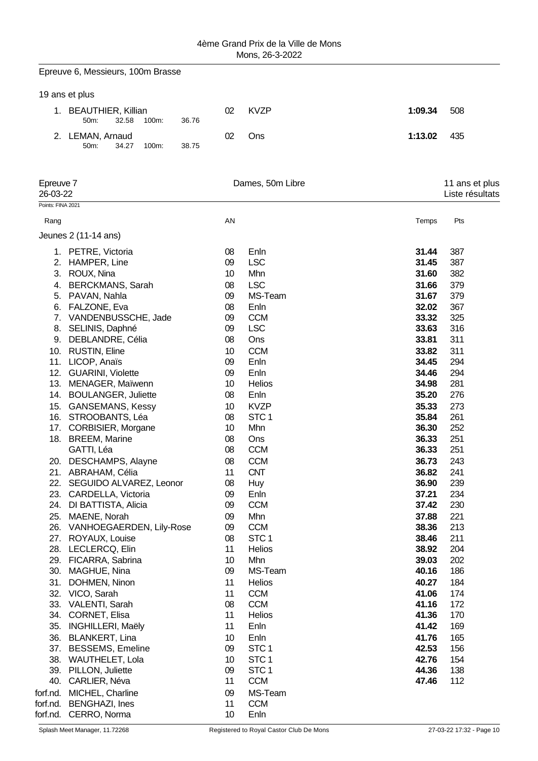|                       | Epreuve 6, Messieurs, 100m Brasse                        |          |                          |                |                                   |
|-----------------------|----------------------------------------------------------|----------|--------------------------|----------------|-----------------------------------|
|                       | 19 ans et plus                                           |          |                          |                |                                   |
|                       | 1. BEAUTHIER, Killian<br>32.58<br>50m:<br>100m:<br>36.76 | 02       | <b>KVZP</b>              | 1:09.34        | 508                               |
| 2.                    | LEMAN, Arnaud<br>50m:<br>34.27<br>38.75<br>100m:         | 02       | Ons                      | 1:13.02        | 435                               |
|                       |                                                          |          |                          |                |                                   |
| Epreuve 7<br>26-03-22 |                                                          |          | Dames, 50m Libre         |                | 11 ans et plus<br>Liste résultats |
| Points: FINA 2021     |                                                          |          |                          |                |                                   |
| Rang                  |                                                          | AN       |                          | Temps          | Pts                               |
|                       | Jeunes 2 (11-14 ans)                                     |          |                          |                |                                   |
|                       | 1. PETRE, Victoria                                       | 08       | Enln                     | 31.44          | 387                               |
| 2.                    | HAMPER, Line                                             | 09       | <b>LSC</b>               | 31.45          | 387                               |
| 3.                    | ROUX, Nina                                               | 10       | Mhn                      | 31.60          | 382                               |
| 4.                    | <b>BERCKMANS, Sarah</b>                                  | 08       | <b>LSC</b>               | 31.66          | 379                               |
|                       | 5. PAVAN, Nahla                                          | 09       | MS-Team                  | 31.67          | 379                               |
|                       | 6. FALZONE, Eva                                          | 08       | Enln                     | 32.02          | 367                               |
|                       | 7. VANDENBUSSCHE, Jade                                   | 09       | <b>CCM</b>               | 33.32          | 325                               |
| 8.                    | SELINIS, Daphné                                          | 09       | <b>LSC</b>               | 33.63          | 316                               |
| 9.                    | DEBLANDRE, Célia                                         | 08       | Ons                      | 33.81          | 311                               |
|                       | 10. RUSTIN, Eline                                        | 10       | <b>CCM</b>               | 33.82          | 311                               |
|                       | 11. LICOP, Anaïs                                         | 09       | Enln                     | 34.45          | 294                               |
|                       | 12. GUARINI, Violette                                    | 09       | Enln                     | 34.46          | 294                               |
|                       | 13. MENAGER, Maïwenn                                     | 10       | Helios                   | 34.98          | 281                               |
|                       | 14. BOULANGER, Juliette                                  | 08       | Enln                     | 35.20          | 276                               |
| 15.                   | <b>GANSEMANS, Kessy</b>                                  | 10       | <b>KVZP</b>              | 35.33          | 273                               |
| 16.                   | STROOBANTS, Léa                                          | 08       | STC <sub>1</sub>         | 35.84          | 261                               |
|                       | 17. CORBISIER, Morgane                                   | 10       | Mhn                      | 36.30          | 252                               |
|                       | 18. BREEM, Marine                                        | 08       | Ons                      | 36.33          | 251                               |
|                       | GATTI, Léa                                               | 08       | <b>CCM</b>               | 36.33          | 251                               |
| 20.                   | DESCHAMPS, Alayne                                        | 08       | <b>CCM</b>               | 36.73          | 243                               |
|                       | 21. ABRAHAM, Célia                                       | 11       | <b>CNT</b>               | 36.82          | 241                               |
| 22.                   | SEGUIDO ALVAREZ, Leonor                                  | 08       | <b>Huy</b>               | 36.90          | 239                               |
| 23.                   | CARDELLA, Victoria                                       | 09       | Enln                     | 37.21          | 234                               |
| 24.                   | DI BATTISTA, Alicia                                      | 09       | <b>CCM</b>               | 37.42          | 230                               |
| 25.                   | MAENE, Norah                                             | 09       | Mhn                      | 37.88          | 221                               |
|                       | 26. VANHOEGAERDEN, Lily-Rose                             | 09       | <b>CCM</b>               | 38.36          | 213                               |
|                       | 27. ROYAUX, Louise                                       | 08       | STC <sub>1</sub>         | 38.46          | 211                               |
|                       | 28. LECLERCQ, Elin                                       | 11       | <b>Helios</b>            | 38.92          | 204                               |
|                       | 29. FICARRA, Sabrina                                     | 10       | Mhn                      | 39.03          | 202                               |
| 30.                   | MAGHUE, Nina                                             | 09       | MS-Team                  | 40.16          | 186                               |
| 31.                   | DOHMEN, Ninon                                            | 11       | <b>Helios</b>            | 40.27          | 184                               |
|                       | 32. VICO, Sarah                                          | 11       | <b>CCM</b>               | 41.06          | 174                               |
|                       | 33. VALENTI, Sarah                                       | 08       | <b>CCM</b>               | 41.16          | 172                               |
|                       | 34. CORNET, Elisa                                        | 11       | <b>Helios</b>            | 41.36          | 170                               |
|                       | 35. INGHILLERI, Maëly                                    | 11       | Enln                     | 41.42          | 169                               |
|                       | 36. BLANKERT, Lina                                       | 10       | Enln<br>STC <sub>1</sub> | 41.76<br>42.53 | 165                               |
|                       | 37. BESSEMS, Emeline<br>38. WAUTHELET, Lola              | 09<br>10 | STC <sub>1</sub>         | 42.76          | 156<br>154                        |
|                       | 39. PILLON, Juliette                                     | 09       | STC <sub>1</sub>         | 44.36          | 138                               |
|                       | 40. CARLIER, Néva                                        | 11       | <b>CCM</b>               | 47.46          | 112                               |
|                       | forf.nd. MICHEL, Charline                                | 09       | MS-Team                  |                |                                   |
|                       | forf.nd. BENGHAZI, Ines                                  | 11       | <b>CCM</b>               |                |                                   |
|                       | forf.nd. CERRO, Norma                                    | 10       | Enln                     |                |                                   |
|                       |                                                          |          |                          |                |                                   |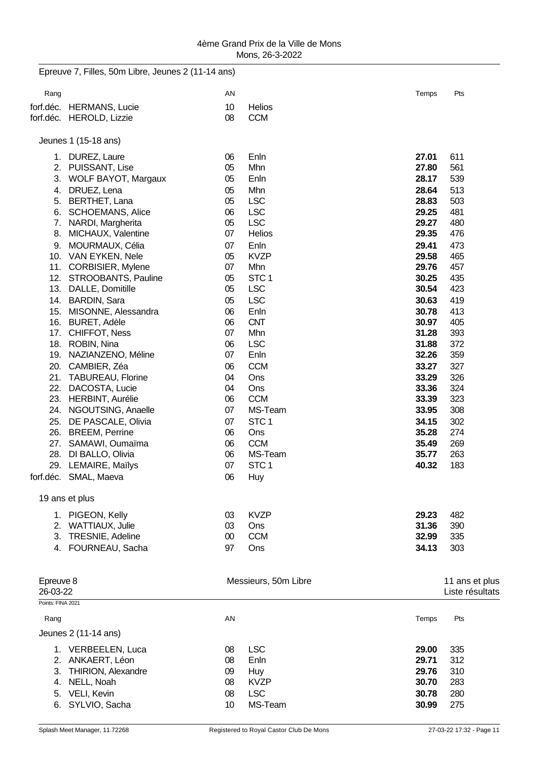|                   | Epreuve 7, Filles, 50m Libre, Jeunes 2 (11-14 ans) |        |                      |       |                 |
|-------------------|----------------------------------------------------|--------|----------------------|-------|-----------------|
| Rang              |                                                    | AN     |                      | Temps | Pts             |
| forf.déc.         | <b>HERMANS, Lucie</b>                              | 10     | Helios               |       |                 |
|                   | forf.déc. HEROLD, Lizzie                           | 08     | <b>CCM</b>           |       |                 |
|                   | Jeunes 1 (15-18 ans)                               |        |                      |       |                 |
|                   | 1. DUREZ, Laure                                    | 06     | Enln                 | 27.01 | 611             |
| 2.                | PUISSANT, Lise                                     | 05     | Mhn                  | 27.80 | 561             |
| 3.                | WOLF BAYOT, Margaux                                | 05     | Enln                 | 28.17 | 539             |
| 4.                | DRUEZ, Lena                                        | 05     | Mhn                  | 28.64 | 513             |
| 5.                | BERTHET, Lana                                      | 05     | <b>LSC</b>           | 28.83 | 503             |
| 6.                | <b>SCHOEMANS, Alice</b>                            | 06     | <b>LSC</b>           | 29.25 | 481             |
| 7.                | NARDI, Margherita                                  | $05\,$ | <b>LSC</b>           | 29.27 | 480             |
| 8.                | MICHAUX, Valentine                                 | 07     | Helios               | 29.35 | 476             |
| 9.                | MOURMAUX, Célia                                    | 07     | Enln                 | 29.41 | 473             |
| 10.               | VAN EYKEN, Nele                                    | 05     | <b>KVZP</b>          | 29.58 | 465             |
|                   | 11. CORBISIER, Mylene                              | 07     | Mhn                  | 29.76 | 457             |
|                   | 12. STROOBANTS, Pauline                            | 05     | STC <sub>1</sub>     | 30.25 | 435             |
|                   | 13. DALLE, Domitille                               | 05     | <b>LSC</b>           | 30.54 | 423             |
|                   | 14. BARDIN, Sara                                   | 05     | <b>LSC</b>           | 30.63 | 419             |
|                   | 15. MISONNE, Alessandra                            | 06     | Enln                 | 30.78 | 413             |
|                   | 16. BURET, Adèle                                   | 06     | <b>CNT</b>           | 30.97 | 405             |
| 17.               | <b>CHIFFOT, Ness</b>                               | 07     | Mhn                  | 31.28 | 393             |
|                   | 18. ROBIN, Nina                                    | 06     | <b>LSC</b>           | 31.88 | 372             |
| 19.               | NAZIANZENO, Méline                                 | 07     | Enln                 | 32.26 | 359             |
|                   | 20. CAMBIER, Zéa                                   | 06     | <b>CCM</b>           | 33.27 | 327             |
| 21.               | <b>TABUREAU, Florine</b>                           | 04     | Ons                  | 33.29 | 326             |
| 22.               | DACOSTA, Lucie                                     | 04     | Ons                  | 33.36 | 324             |
| 23.               | <b>HERBINT, Aurélie</b>                            | 06     | <b>CCM</b>           | 33.39 | 323             |
| 24.               | NGOUTSING, Anaelle                                 | 07     | MS-Team              | 33.95 | 308             |
| 25.               | DE PASCALE, Olivia                                 | 07     | STC <sub>1</sub>     | 34.15 | 302             |
| 26.               | <b>BREEM, Perrine</b>                              | 06     | Ons                  | 35.28 | 274             |
| 27.               | SAMAWI, Oumaïma                                    | 06     | <b>CCM</b>           | 35.49 | 269             |
| 28.               | DI BALLO, Olivia                                   | 06     | MS-Team              | 35.77 | 263             |
|                   | 29. LEMAIRE, Maïlys                                | 07     | STC <sub>1</sub>     | 40.32 | 183             |
|                   | forf.déc. SMAL, Maeva                              | 06     | <b>Huy</b>           |       |                 |
|                   | 19 ans et plus                                     |        |                      |       |                 |
|                   | 1. PIGEON, Kelly                                   | 03     | <b>KVZP</b>          | 29.23 | 482             |
| 2.                | <b>WATTIAUX, Julie</b>                             | 03     | Ons                  | 31.36 | 390             |
| 3.                | TRESNIE, Adeline                                   | $00\,$ | <b>CCM</b>           | 32.99 | 335             |
| 4.                | FOURNEAU, Sacha                                    | 97     | Ons                  | 34.13 | 303             |
|                   |                                                    |        |                      |       |                 |
| Epreuve 8         |                                                    |        | Messieurs, 50m Libre |       | 11 ans et plus  |
| 26-03-22          |                                                    |        |                      |       | Liste résultats |
| Points: FINA 2021 |                                                    |        |                      |       |                 |
| Rang              |                                                    | AN     |                      | Temps | Pts             |
|                   | Jeunes 2 (11-14 ans)                               |        |                      |       |                 |
|                   | 1. VERBEELEN, Luca                                 | 08     | <b>LSC</b>           | 29.00 | 335             |
| 2.                | ANKAERT, Léon                                      | 08     | Enln                 | 29.71 | 312             |
| 3.                | THIRION, Alexandre                                 | 09     | <b>Huy</b>           | 29.76 | 310             |
| 4.                | NELL, Noah                                         | 08     | <b>KVZP</b>          | 30.70 | 283             |
| 5.                | VELI, Kevin                                        | 08     | <b>LSC</b>           | 30.78 | 280             |
| 6.                | SYLVIO, Sacha                                      | 10     | MS-Team              | 30.99 | 275             |
|                   |                                                    |        |                      |       |                 |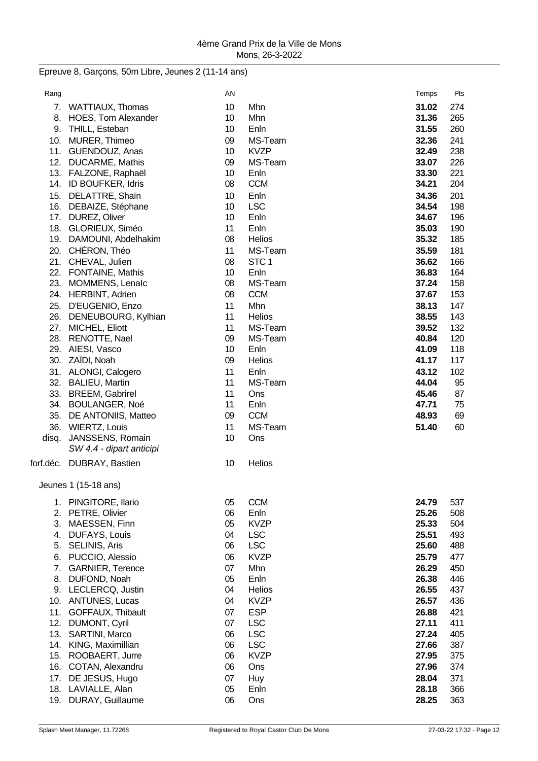## Epreuve 8, Garçons, 50m Libre, Jeunes 2 (11-14 ans)

| Rang  |                                            | AN       |                  | Temps | Pts |
|-------|--------------------------------------------|----------|------------------|-------|-----|
| 7.    | WATTIAUX, Thomas                           | 10       | Mhn              | 31.02 | 274 |
| 8.    | <b>HOES, Tom Alexander</b>                 | 10       | Mhn              | 31.36 | 265 |
| 9.    | THILL, Esteban                             | 10       | Enln             | 31.55 | 260 |
| 10.   | MURER, Thimeo                              | 09       | MS-Team          | 32.36 | 241 |
|       | 11. GUENDOUZ, Anas                         | 10       | <b>KVZP</b>      | 32.49 | 238 |
|       | 12. DUCARME, Mathis                        | 09       | MS-Team          | 33.07 | 226 |
|       | 13. FALZONE, Raphaël                       | 10       | Enln             | 33.30 | 221 |
| 14.   | ID BOUFKER, Idris                          | 08       | <b>CCM</b>       | 34.21 | 204 |
|       | 15. DELATTRE, Shaïn                        | 10       | Enln             | 34.36 | 201 |
|       | 16. DEBAIZE, Stéphane                      | 10       | <b>LSC</b>       | 34.54 | 198 |
|       | 17. DUREZ, Oliver                          | 10       | Enln             | 34.67 | 196 |
|       | 18. GLORIEUX, Siméo                        | 11       | Enln             | 35.03 | 190 |
|       | 19. DAMOUNI, Abdelhakim                    | 08       | Helios           | 35.32 | 185 |
|       | 20. CHÉRON, Théo                           | 11       | MS-Team          | 35.59 | 181 |
|       | 21. CHEVAL, Julien                         | 08       | STC <sub>1</sub> | 36.62 | 166 |
|       |                                            | 10       | Enln             | 36.83 | 164 |
|       | 22. FONTAINE, Mathis                       | 08       | MS-Team          | 37.24 |     |
|       | 23. MOMMENS, Lenalc<br>24. HERBINT, Adrien | 08       | <b>CCM</b>       | 37.67 | 158 |
|       |                                            |          |                  |       | 153 |
| 25.   | D'EUGENIO, Enzo                            | 11       | Mhn              | 38.13 | 147 |
| 26.   | DENEUBOURG, Kylhian                        | 11       | <b>Helios</b>    | 38.55 | 143 |
| 27.   | MICHEL, Eliott                             | 11       | MS-Team          | 39.52 | 132 |
| 28.   | <b>RENOTTE, Nael</b>                       | 09       | MS-Team          | 40.84 | 120 |
| 29.   | AIESI, Vasco                               | 10       | Enln             | 41.09 | 118 |
| 30.   | ZAÏDI, Noah                                | 09       | Helios           | 41.17 | 117 |
| 31.   | ALONGI, Calogero                           | 11       | Enln             | 43.12 | 102 |
| 32.   | <b>BALIEU, Martin</b>                      | 11       | MS-Team          | 44.04 | 95  |
|       | 33. BREEM, Gabrirel                        | 11       | Ons              | 45.46 | 87  |
|       | 34. BOULANGER, Noé                         | 11       | Enln             | 47.71 | 75  |
| 35.   | DE ANTONIIS, Matteo                        | 09       | <b>CCM</b>       | 48.93 | 69  |
| 36.   | <b>WIERTZ, Louis</b>                       | 11       | MS-Team          | 51.40 | 60  |
| disq. | JANSSENS, Romain                           | 10       | Ons              |       |     |
|       | SW 4.4 - dipart anticipi                   |          |                  |       |     |
|       | forf.déc. DUBRAY, Bastien                  | 10       | Helios           |       |     |
|       | Jeunes 1 (15-18 ans)                       |          |                  |       |     |
| 1.    | PINGITORE, Ilario                          | 05       | <b>CCM</b>       | 24.79 | 537 |
| 2.    | PETRE, Olivier                             | 06       | Enln             | 25.26 | 508 |
| 3.    | MAESSEN, Finn                              | 05       | <b>KVZP</b>      | 25.33 | 504 |
| 4.    | <b>DUFAYS, Louis</b>                       | 04       | <b>LSC</b>       | 25.51 | 493 |
| 5.    | SELINIS, Aris                              | 06       | <b>LSC</b>       | 25.60 | 488 |
| 6.    | PUCCIO, Alessio                            | 06       | <b>KVZP</b>      | 25.79 | 477 |
| 7.    | <b>GARNIER, Terence</b>                    | 07       | Mhn              | 26.29 | 450 |
| 8.    | DUFOND, Noah                               | 05       | Enln             | 26.38 | 446 |
| 9.    | LECLERCQ, Justin                           | 04       | Helios           | 26.55 | 437 |
| 10.   | <b>ANTUNES, Lucas</b>                      | 04       | <b>KVZP</b>      | 26.57 | 436 |
| 11.   | GOFFAUX, Thibault                          | 07       | <b>ESP</b>       | 26.88 | 421 |
| 12.   | <b>DUMONT, Cyril</b>                       | 07       | <b>LSC</b>       | 27.11 | 411 |
| 13.   | SARTINI, Marco                             | 06       | <b>LSC</b>       | 27.24 | 405 |
| 14.   | KING, Maximillian                          | 06       | <b>LSC</b>       | 27.66 | 387 |
| 15.   | ROOBAERT, Jurre                            | 06       | <b>KVZP</b>      | 27.95 | 375 |
| 16.   | COTAN, Alexandru                           | 06       |                  | 27.96 | 374 |
|       |                                            |          | Ons              |       |     |
| 17.   | DE JESUS, Hugo                             | 07       | <b>Huy</b>       | 28.04 | 371 |
|       | 18. LAVIALLE, Alan                         | 05<br>06 | Enln             | 28.18 | 366 |
|       | 19. DURAY, Guillaume                       |          | Ons              | 28.25 | 363 |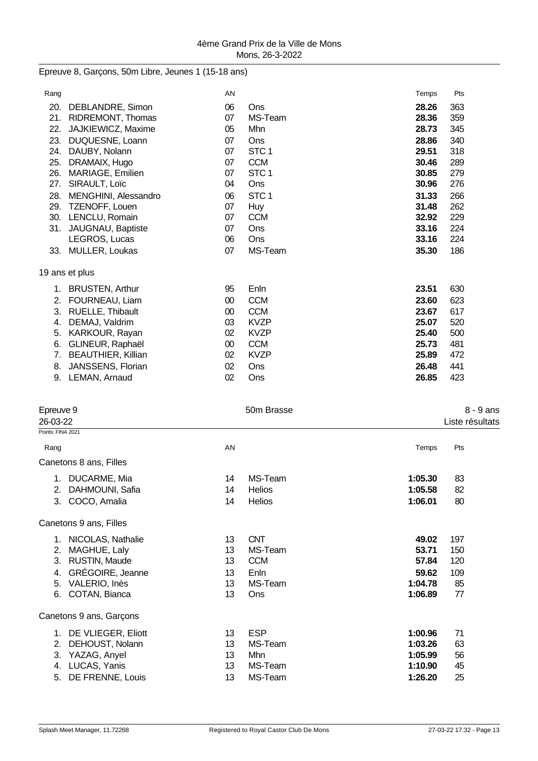Epreuve 8, Garçons, 50m Libre, Jeunes 1 (15-18 ans)

| Rang              |                                                | AN       |                                | Temps          | Pts             |  |
|-------------------|------------------------------------------------|----------|--------------------------------|----------------|-----------------|--|
| 20.               | DEBLANDRE, Simon                               | 06       | Ons                            | 28.26          | 363             |  |
| 21.               | RIDREMONT, Thomas                              | 07       | MS-Team                        | 28.36          | 359             |  |
| 22.               | JAJKIEWICZ, Maxime                             | 05       | Mhn                            | 28.73          | 345             |  |
|                   | 23. DUQUESNE, Loann                            | 07       | Ons                            | 28.86          | 340             |  |
|                   | 24. DAUBY, Nolann                              | 07       | STC <sub>1</sub>               | 29.51          | 318             |  |
|                   | 25. DRAMAIX, Hugo<br>26. MARIAGE, Emilien      | 07<br>07 | <b>CCM</b><br>STC <sub>1</sub> | 30.46<br>30.85 | 289<br>279      |  |
|                   | 27. SIRAULT, Loïc                              | 04       | Ons                            | 30.96          | 276             |  |
|                   | 28. MENGHINI, Alessandro                       | 06       | STC <sub>1</sub>               | 31.33          | 266             |  |
|                   | 29. TZENOFF, Louen                             | 07       | Huy                            | 31.48          | 262             |  |
|                   | 30. LENCLU, Romain                             | 07       | <b>CCM</b>                     | 32.92          | 229             |  |
|                   | 31. JAUGNAU, Baptiste                          | 07       | Ons                            | 33.16          | 224             |  |
|                   | LEGROS, Lucas                                  | 06       | Ons                            | 33.16          | 224             |  |
|                   | 33. MULLER, Loukas                             | 07       | MS-Team                        | 35.30          | 186             |  |
|                   | 19 ans et plus                                 |          |                                |                |                 |  |
|                   | 1. BRUSTEN, Arthur                             | 95       | Enln                           | 23.51          | 630             |  |
| 2.                | FOURNEAU, Liam                                 | 00       | <b>CCM</b>                     | 23.60          | 623             |  |
| 3.                | RUELLE, Thibault                               | 00       | <b>CCM</b>                     | 23.67          | 617             |  |
| 4.                | DEMAJ, Valdrim                                 | 03       | <b>KVZP</b>                    | 25.07          | 520             |  |
| 5.                | KARKOUR, Rayan                                 | 02       | <b>KVZP</b>                    | 25.40          | 500             |  |
| 6.                | GLINEUR, Raphaël                               | 00<br>02 | <b>CCM</b><br><b>KVZP</b>      | 25.73<br>25.89 | 481<br>472      |  |
| 7.<br>8.          | <b>BEAUTHIER, Killian</b><br>JANSSENS, Florian | 02       | Ons                            | 26.48          | 441             |  |
|                   | 9. LEMAN, Arnaud                               | 02       | Ons                            | 26.85          | 423             |  |
|                   |                                                |          |                                |                |                 |  |
| Epreuve 9         |                                                |          | 50m Brasse                     |                | 8 - 9 ans       |  |
| 26-03-22          |                                                |          |                                |                | Liste résultats |  |
| Points: FINA 2021 |                                                |          |                                |                |                 |  |
| Rang              |                                                | AN       |                                | Temps          | Pts             |  |
|                   | Canetons 8 ans, Filles                         |          |                                |                |                 |  |
|                   | 1. DUCARME, Mia                                | 14       | MS-Team                        | 1:05.30        | 83              |  |
|                   | 2. DAHMOUNI, Safia                             | 14       | <b>Helios</b>                  | 1:05.58        | 82              |  |
|                   | 3. COCO, Amalia                                | 14       | <b>Helios</b>                  | 1:06.01        | 80              |  |
|                   | Canetons 9 ans, Filles                         |          |                                |                |                 |  |
|                   | 1. NICOLAS, Nathalie                           | 13       | <b>CNT</b>                     | 49.02          | 197             |  |
| 2.                | MAGHUE, Laly                                   | 13       | MS-Team                        | 53.71          | 150             |  |
|                   | 3. RUSTIN, Maude                               | 13       | <b>CCM</b>                     | 57.84          | 120             |  |
|                   | 4. GRÉGOIRE, Jeanne                            | 13       | Enln                           | 59.62          | 109             |  |
|                   | 5. VALERIO, Inès                               | 13       | MS-Team                        | 1:04.78        | 85              |  |
|                   | 6. COTAN, Bianca                               | 13       | Ons                            | 1:06.89        | 77              |  |
|                   | Canetons 9 ans, Garçons                        |          |                                |                |                 |  |
| 1.                | DE VLIEGER, Eliott                             | 13       | <b>ESP</b>                     | 1:00.96        | 71              |  |
| 2.                | DEHOUST, Nolann                                | 13       | MS-Team                        | 1:03.26        | 63              |  |
|                   | 3. YAZAG, Anyel                                | 13       | Mhn                            | 1:05.99        | 56              |  |
|                   | 4. LUCAS, Yanis                                | 13       | MS-Team                        | 1:10.90        | 45              |  |
| 5.                | DE FRENNE, Louis                               | 13       | MS-Team                        | 1:26.20        | 25              |  |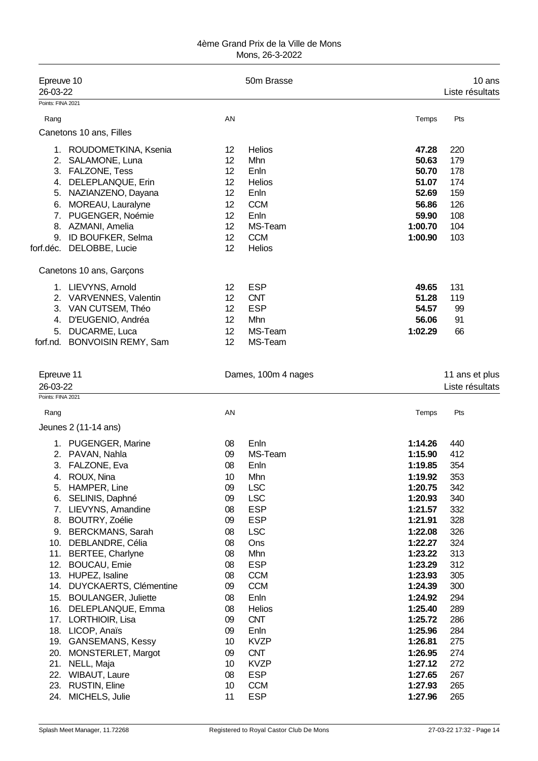| Epreuve 10<br>26-03-22                      |                                                                                                                                                                                                                                                                                                                                                                                                                                                                                    |                                                                                                                            | 50m Brasse                                                                                                                                                                                                                                       |                                                                                                                                                                                                                                     | 10 ans<br>Liste résultats                                                                                                                       |
|---------------------------------------------|------------------------------------------------------------------------------------------------------------------------------------------------------------------------------------------------------------------------------------------------------------------------------------------------------------------------------------------------------------------------------------------------------------------------------------------------------------------------------------|----------------------------------------------------------------------------------------------------------------------------|--------------------------------------------------------------------------------------------------------------------------------------------------------------------------------------------------------------------------------------------------|-------------------------------------------------------------------------------------------------------------------------------------------------------------------------------------------------------------------------------------|-------------------------------------------------------------------------------------------------------------------------------------------------|
| Points: FINA 2021                           |                                                                                                                                                                                                                                                                                                                                                                                                                                                                                    |                                                                                                                            |                                                                                                                                                                                                                                                  |                                                                                                                                                                                                                                     |                                                                                                                                                 |
| Rang                                        |                                                                                                                                                                                                                                                                                                                                                                                                                                                                                    | AN                                                                                                                         |                                                                                                                                                                                                                                                  | Temps                                                                                                                                                                                                                               | Pts                                                                                                                                             |
|                                             | Canetons 10 ans, Filles                                                                                                                                                                                                                                                                                                                                                                                                                                                            |                                                                                                                            |                                                                                                                                                                                                                                                  |                                                                                                                                                                                                                                     |                                                                                                                                                 |
| 3.<br>4.<br>5.<br>6.                        | 1. ROUDOMETKINA, Ksenia<br>2. SALAMONE, Luna<br><b>FALZONE, Tess</b><br>DELEPLANQUE, Erin<br>NAZIANZENO, Dayana<br>MOREAU, Lauralyne<br>7. PUGENGER, Noémie<br>8. AZMANI, Amelia<br>9. ID BOUFKER, Selma<br>forf.déc. DELOBBE, Lucie                                                                                                                                                                                                                                               | 12<br>12<br>12<br>12<br>12<br>12<br>12<br>12<br>12<br>12                                                                   | <b>Helios</b><br>Mhn<br>Enln<br>Helios<br>Enln<br><b>CCM</b><br>Enln<br>MS-Team<br><b>CCM</b><br>Helios                                                                                                                                          | 47.28<br>50.63<br>50.70<br>51.07<br>52.69<br>56.86<br>59.90<br>1:00.70<br>1:00.90                                                                                                                                                   | 220<br>179<br>178<br>174<br>159<br>126<br>108<br>104<br>103                                                                                     |
|                                             |                                                                                                                                                                                                                                                                                                                                                                                                                                                                                    |                                                                                                                            |                                                                                                                                                                                                                                                  |                                                                                                                                                                                                                                     |                                                                                                                                                 |
| 4.<br>5.<br>forf.nd.                        | Canetons 10 ans, Garçons<br>1. LIEVYNS, Arnold<br>2. VARVENNES, Valentin<br>3. VAN CUTSEM, Théo<br>D'EUGENIO, Andréa<br>DUCARME, Luca<br><b>BONVOISIN REMY, Sam</b>                                                                                                                                                                                                                                                                                                                | 12<br>12<br>12<br>12<br>12<br>12                                                                                           | <b>ESP</b><br><b>CNT</b><br><b>ESP</b><br>Mhn<br>MS-Team<br>MS-Team                                                                                                                                                                              | 49.65<br>51.28<br>54.57<br>56.06<br>1:02.29                                                                                                                                                                                         | 131<br>119<br>99<br>91<br>66                                                                                                                    |
| Epreuve 11<br>26-03-22<br>Points: FINA 2021 |                                                                                                                                                                                                                                                                                                                                                                                                                                                                                    |                                                                                                                            | Dames, 100m 4 nages                                                                                                                                                                                                                              |                                                                                                                                                                                                                                     | 11 ans et plus<br>Liste résultats                                                                                                               |
| Rang                                        |                                                                                                                                                                                                                                                                                                                                                                                                                                                                                    | AN                                                                                                                         |                                                                                                                                                                                                                                                  | Temps                                                                                                                                                                                                                               | Pts                                                                                                                                             |
|                                             | Jeunes 2 (11-14 ans)                                                                                                                                                                                                                                                                                                                                                                                                                                                               |                                                                                                                            |                                                                                                                                                                                                                                                  |                                                                                                                                                                                                                                     |                                                                                                                                                 |
| 6.<br>8.<br>9.<br>14.<br>20.<br>21.         | 1. PUGENGER, Marine<br>2. PAVAN, Nahla<br>3. FALZONE, Eva<br>4. ROUX, Nina<br>5. HAMPER, Line<br>SELINIS, Daphné<br>7. LIEVYNS, Amandine<br><b>BOUTRY, Zoélie</b><br><b>BERCKMANS, Sarah</b><br>10. DEBLANDRE, Célia<br>11. BERTEE, Charlyne<br>12. BOUCAU, Emie<br>13. HUPEZ, Isaline<br><b>DUYCKAERTS, Clémentine</b><br>15. BOULANGER, Juliette<br>16. DELEPLANQUE, Emma<br>17. LORTHIOIR, Lisa<br>18. LICOP, Anaïs<br>19. GANSEMANS, Kessy<br>MONSTERLET, Margot<br>NELL, Maja | 08<br>09<br>08<br>10<br>09<br>09<br>08<br>09<br>08<br>08<br>08<br>08<br>08<br>09<br>08<br>08<br>09<br>09<br>10<br>09<br>10 | Enln<br>MS-Team<br>Enln<br>Mhn<br><b>LSC</b><br><b>LSC</b><br><b>ESP</b><br><b>ESP</b><br><b>LSC</b><br>Ons<br>Mhn<br><b>ESP</b><br><b>CCM</b><br><b>CCM</b><br>Enln<br>Helios<br><b>CNT</b><br>Enln<br><b>KVZP</b><br><b>CNT</b><br><b>KVZP</b> | 1:14.26<br>1:15.90<br>1:19.85<br>1:19.92<br>1:20.75<br>1:20.93<br>1:21.57<br>1:21.91<br>1:22.08<br>1:22.27<br>1:23.22<br>1:23.29<br>1:23.93<br>1:24.39<br>1:24.92<br>1:25.40<br>1:25.72<br>1:25.96<br>1:26.81<br>1:26.95<br>1:27.12 | 440<br>412<br>354<br>353<br>342<br>340<br>332<br>328<br>326<br>324<br>313<br>312<br>305<br>300<br>294<br>289<br>286<br>284<br>275<br>274<br>272 |
| 22.<br>23.<br>24.                           | WIBAUT, Laure<br><b>RUSTIN, Eline</b><br>MICHELS, Julie                                                                                                                                                                                                                                                                                                                                                                                                                            | 08<br>10<br>11                                                                                                             | <b>ESP</b><br><b>CCM</b><br><b>ESP</b>                                                                                                                                                                                                           | 1:27.65<br>1:27.93<br>1:27.96                                                                                                                                                                                                       | 267<br>265<br>265                                                                                                                               |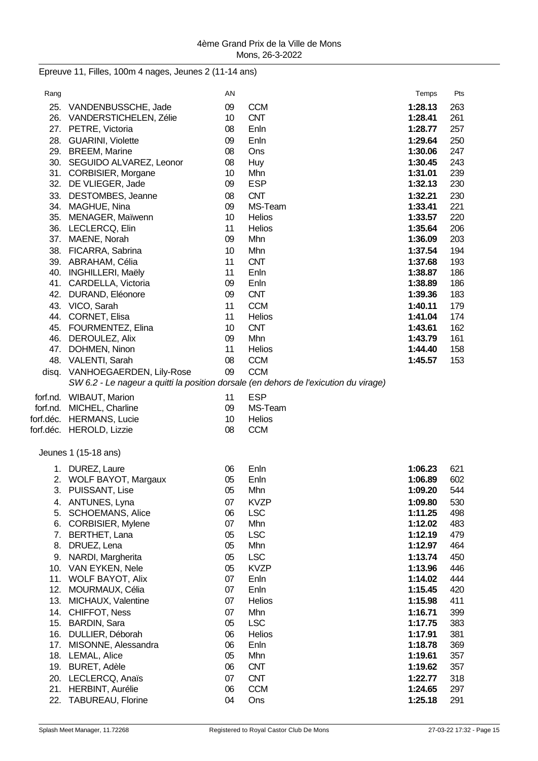Epreuve 11, Filles, 100m 4 nages, Jeunes 2 (11-14 ans)

| Rang |                                            | AN       |                                                                                      | Temps              | Pts        |
|------|--------------------------------------------|----------|--------------------------------------------------------------------------------------|--------------------|------------|
| 25.  | VANDENBUSSCHE, Jade                        | 09       | <b>CCM</b>                                                                           | 1:28.13            | 263        |
|      | 26. VANDERSTICHELEN, Zélie                 | 10       | <b>CNT</b>                                                                           | 1:28.41            | 261        |
|      | 27. PETRE, Victoria                        | 08       | Enln                                                                                 | 1:28.77            | 257        |
|      | 28. GUARINI, Violette                      | 09       | Enln                                                                                 | 1:29.64            | 250        |
|      | 29. BREEM, Marine                          | 08       | Ons                                                                                  | 1:30.06            | 247        |
|      | 30. SEGUIDO ALVAREZ, Leonor                | 08       | Huy                                                                                  | 1:30.45            | 243        |
|      | 31. CORBISIER, Morgane                     | 10       | Mhn                                                                                  | 1:31.01            | 239        |
|      | 32. DE VLIEGER, Jade                       | 09       | <b>ESP</b>                                                                           | 1:32.13            | 230        |
| 33.  | DESTOMBES, Jeanne                          | 08       | <b>CNT</b>                                                                           | 1:32.21            | 230        |
|      | 34. MAGHUE, Nina                           | 09       | MS-Team                                                                              | 1:33.41            | 221        |
| 35.  | MENAGER, Maïwenn                           | 10       | <b>Helios</b>                                                                        | 1:33.57            | 220        |
| 36.  | LECLERCQ, Elin                             | 11       | Helios                                                                               | 1:35.64            | 206        |
|      | 37. MAENE, Norah                           | 09       | Mhn                                                                                  | 1:36.09            | 203        |
| 38.  | FICARRA, Sabrina                           | 10       | Mhn                                                                                  | 1:37.54            | 194        |
|      | 39. ABRAHAM, Célia                         | 11       | <b>CNT</b>                                                                           | 1:37.68            | 193        |
| 40.  | <b>INGHILLERI, Maëly</b>                   | 11       | Enln                                                                                 | 1:38.87            | 186        |
|      | 41. CARDELLA, Victoria                     | 09       | Enln                                                                                 | 1:38.89            | 186        |
| 42.  | DURAND, Eléonore                           | 09       | <b>CNT</b>                                                                           | 1:39.36            | 183        |
|      | 43. VICO, Sarah                            | 11       | <b>CCM</b>                                                                           | 1:40.11            | 179<br>174 |
|      | 44. CORNET, Elisa<br>45. FOURMENTEZ, Elina | 11<br>10 | <b>Helios</b><br><b>CNT</b>                                                          | 1:41.04<br>1:43.61 | 162        |
|      | 46. DEROULEZ, Alix                         | 09       | Mhn                                                                                  | 1:43.79            | 161        |
| 47.  | DOHMEN, Ninon                              | 11       | <b>Helios</b>                                                                        | 1:44.40            | 158        |
|      | 48. VALENTI, Sarah                         | 08       | <b>CCM</b>                                                                           | 1:45.57            | 153        |
|      | disq. VANHOEGAERDEN, Lily-Rose             | 09       | <b>CCM</b>                                                                           |                    |            |
|      |                                            |          | SW 6.2 - Le nageur a quitti la position dorsale (en dehors de l'exicution du virage) |                    |            |
|      | forf.nd. WIBAUT, Marion                    | 11       | <b>ESP</b>                                                                           |                    |            |
|      | forf.nd. MICHEL, Charline                  | 09       | MS-Team                                                                              |                    |            |
|      | forf.déc. HERMANS, Lucie                   | 10       | Helios                                                                               |                    |            |
|      | forf.déc. HEROLD, Lizzie                   | 08       | <b>CCM</b>                                                                           |                    |            |
|      |                                            |          |                                                                                      |                    |            |
|      | Jeunes 1 (15-18 ans)                       |          |                                                                                      |                    |            |
|      | 1. DUREZ, Laure                            | 06       | Enln                                                                                 | 1:06.23            | 621        |
|      | 2. WOLF BAYOT, Margaux                     | 05       | Enln                                                                                 | 1:06.89            | 602        |
| 3.   | PUISSANT, Lise                             | 05       | Mhn                                                                                  | 1:09.20            | 544        |
| 4.   | ANTUNES, Lyna                              | 07       | <b>KVZP</b>                                                                          | 1:09.80            | 530        |
| 5.   | <b>SCHOEMANS, Alice</b>                    | 06       | <b>LSC</b>                                                                           | 1:11.25            | 498        |
| 6.   | CORBISIER, Mylene                          | 07       | Mhn                                                                                  | 1:12.02            | 483        |
| 7.   | BERTHET, Lana                              | 05       | <b>LSC</b>                                                                           | 1:12.19            | 479        |
| 8.   | DRUEZ, Lena                                | 05       | Mhn                                                                                  | 1:12.97            | 464        |
| 9.   | NARDI, Margherita                          | 05       | <b>LSC</b>                                                                           | 1:13.74            | 450        |
|      | 10. VAN EYKEN, Nele                        | 05       | <b>KVZP</b>                                                                          | 1:13.96            | 446        |
|      | 11. WOLF BAYOT, Alix                       | 07       | Enln                                                                                 | 1:14.02            | 444        |
|      | 12. MOURMAUX, Célia                        | 07       | Enln                                                                                 | 1:15.45            | 420        |
| 13.  | MICHAUX, Valentine                         | 07       | Helios                                                                               | 1:15.98            | 411        |
| 15.  | 14. CHIFFOT, Ness<br><b>BARDIN, Sara</b>   | 07<br>05 | Mhn<br><b>LSC</b>                                                                    | 1:16.71<br>1:17.75 | 399<br>383 |
| 16.  | DULLIER, Déborah                           | 06       | Helios                                                                               | 1:17.91            | 381        |
|      | 17. MISONNE, Alessandra                    | 06       | Enln                                                                                 | 1:18.78            | 369        |
| 18.  | <b>LEMAL, Alice</b>                        | 05       | Mhn                                                                                  | 1:19.61            | 357        |
| 19.  | <b>BURET, Adèle</b>                        | 06       | <b>CNT</b>                                                                           | 1:19.62            | 357        |
| 20.  | LECLERCQ, Anaïs                            | 07       | <b>CNT</b>                                                                           | 1:22.77            | 318        |
| 21.  | HERBINT, Aurélie                           | 06       | <b>CCM</b>                                                                           | 1:24.65            | 297        |
| 22.  | TABUREAU, Florine                          | 04       | Ons                                                                                  | 1:25.18            | 291        |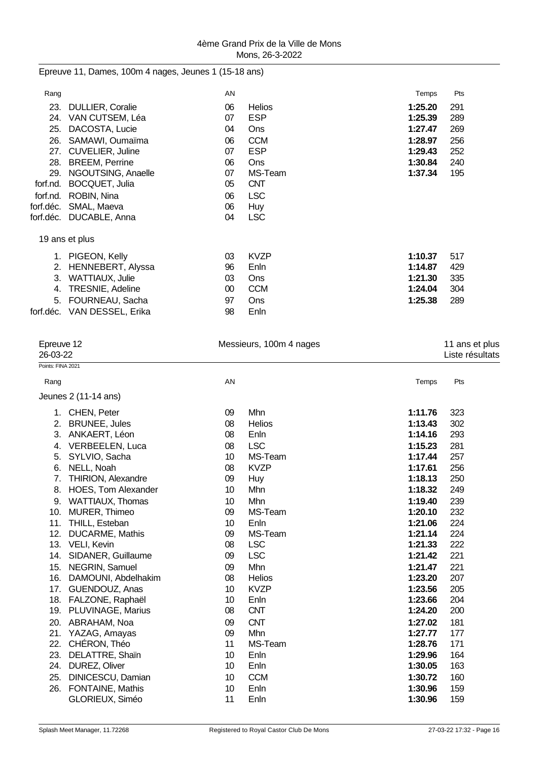Epreuve 11, Dames, 100m 4 nages, Jeunes 1 (15-18 ans)

| Rang      |                             | AN     |               | Temps   | Pts |
|-----------|-----------------------------|--------|---------------|---------|-----|
| 23.       | <b>DULLIER, Coralie</b>     | 06     | <b>Helios</b> | 1:25.20 | 291 |
| 24.       | VAN CUTSEM, Léa             | 07     | <b>ESP</b>    | 1:25.39 | 289 |
| 25.       | DACOSTA, Lucie              | 04     | Ons           | 1:27.47 | 269 |
| 26.       | SAMAWI, Oumaïma             | 06     | <b>CCM</b>    | 1:28.97 | 256 |
| 27.       | <b>CUVELIER, Juline</b>     | 07     | <b>ESP</b>    | 1:29.43 | 252 |
| 28.       | <b>BREEM, Perrine</b>       | 06     | Ons           | 1:30.84 | 240 |
| 29.       | NGOUTSING, Anaelle          | 07     | MS-Team       | 1:37.34 | 195 |
| forf.nd.  | <b>BOCQUET, Julia</b>       | 05     | <b>CNT</b>    |         |     |
| forf.nd.  | ROBIN, Nina                 | 06     | <b>LSC</b>    |         |     |
| forf.déc. | SMAL, Maeva                 | 06     | <b>Huy</b>    |         |     |
| forf.déc. | DUCABLE, Anna               | 04     | <b>LSC</b>    |         |     |
|           | 19 ans et plus              |        |               |         |     |
|           | 1. PIGEON, Kelly            | 03     | <b>KVZP</b>   | 1:10.37 | 517 |
| 2.        | HENNEBERT, Alyssa           | 96     | Enln          | 1:14.87 | 429 |
| 3.        | WATTIAUX, Julie             | 03     | Ons           | 1:21.30 | 335 |
| 4.        | TRESNIE, Adeline            | $00\,$ | <b>CCM</b>    | 1:24.04 | 304 |
| 5.        | FOURNEAU, Sacha             | 97     | <b>Ons</b>    | 1:25.38 | 289 |
|           | forf.déc. VAN DESSEL, Erika | 98     | Enln          |         |     |
|           |                             |        |               |         |     |

| Epreuve 12<br>26-03-22    | Messieurs, 100m 4 nages |               |         |     |  |
|---------------------------|-------------------------|---------------|---------|-----|--|
| Points: FINA 2021         |                         |               |         |     |  |
| Rang                      | AN                      |               | Temps   | Pts |  |
| Jeunes 2 (11-14 ans)      |                         |               |         |     |  |
| 1. CHEN, Peter            | 09                      | Mhn           | 1:11.76 | 323 |  |
| 2. BRUNEE, Jules          | 08                      | <b>Helios</b> | 1:13.43 | 302 |  |
| 3. ANKAERT, Léon          | 08                      | Enln          | 1:14.16 | 293 |  |
| VERBEELEN, Luca<br>4.     | 08                      | <b>LSC</b>    | 1:15.23 | 281 |  |
| SYLVIO, Sacha<br>5.       | 10                      | MS-Team       | 1:17.44 | 257 |  |
| NELL, Noah<br>6.          | 08                      | <b>KVZP</b>   | 1:17.61 | 256 |  |
| 7. THIRION, Alexandre     | 09                      | Huy           | 1:18.13 | 250 |  |
| 8. HOES, Tom Alexander    | 10                      | Mhn           | 1:18.32 | 249 |  |
| WATTIAUX, Thomas<br>9.    | 10                      | Mhn           | 1:19.40 | 239 |  |
| MURER, Thimeo<br>10.      | 09                      | MS-Team       | 1:20.10 | 232 |  |
| 11. THILL, Esteban        | 10                      | Enln          | 1:21.06 | 224 |  |
| 12. DUCARME, Mathis       | 09                      | MS-Team       | 1:21.14 | 224 |  |
| 13. VELI, Kevin           | 08                      | <b>LSC</b>    | 1:21.33 | 222 |  |
| SIDANER, Guillaume<br>14. | 09                      | <b>LSC</b>    | 1:21.42 | 221 |  |
| 15. NEGRIN, Samuel        | 09                      | Mhn           | 1:21.47 | 221 |  |
| 16. DAMOUNI, Abdelhakim   | 08                      | <b>Helios</b> | 1:23.20 | 207 |  |
| 17. GUENDOUZ, Anas        | 10                      | <b>KVZP</b>   | 1:23.56 | 205 |  |
| 18. FALZONE, Raphaël      | 10                      | Enln          | 1:23.66 | 204 |  |
| 19. PLUVINAGE, Marius     | 08                      | <b>CNT</b>    | 1:24.20 | 200 |  |
| 20. ABRAHAM, Noa          | 09                      | <b>CNT</b>    | 1:27.02 | 181 |  |
| 21. YAZAG, Amayas         | 09                      | Mhn           | 1:27.77 | 177 |  |
| 22. CHÉRON, Théo          | 11                      | MS-Team       | 1:28.76 | 171 |  |
| 23.<br>DELATTRE, Shain    | 10                      | Enln          | 1:29.96 | 164 |  |
| 24.<br>DUREZ, Oliver      | 10                      | Enln          | 1:30.05 | 163 |  |
| DINICESCU, Damian<br>25.  | 10                      | <b>CCM</b>    | 1:30.72 | 160 |  |
| 26. FONTAINE, Mathis      | 10                      | Enln          | 1:30.96 | 159 |  |
| GLORIEUX, Siméo           | 11                      | Enln          | 1:30.96 | 159 |  |
|                           |                         |               |         |     |  |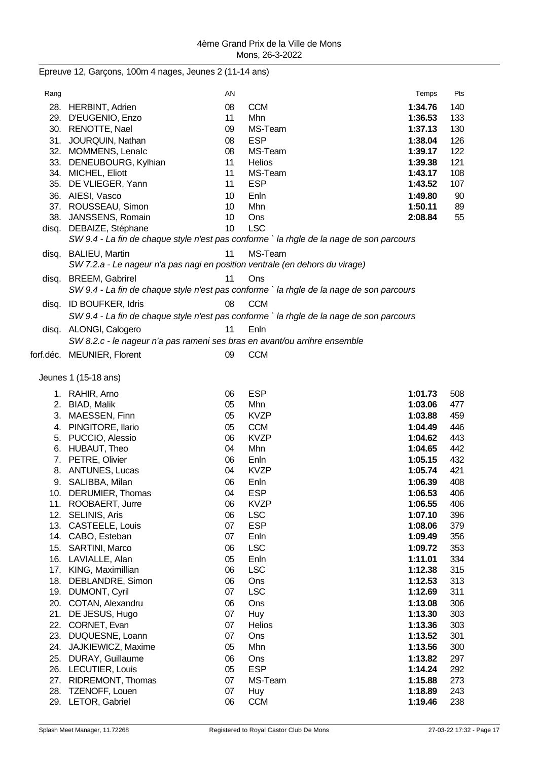|  |  | Epreuve 12, Garçons, 100m 4 nages, Jeunes 2 (11-14 ans) |  |  |  |
|--|--|---------------------------------------------------------|--|--|--|
|--|--|---------------------------------------------------------|--|--|--|

| Rang  |                                                                              | AN |                                                                                          | Temps   | Pts |
|-------|------------------------------------------------------------------------------|----|------------------------------------------------------------------------------------------|---------|-----|
|       | 28. HERBINT, Adrien                                                          | 08 | <b>CCM</b>                                                                               | 1:34.76 | 140 |
|       | 29. D'EUGENIO, Enzo                                                          | 11 | Mhn                                                                                      | 1:36.53 | 133 |
|       | 30. RENOTTE, Nael                                                            | 09 | MS-Team                                                                                  | 1:37.13 | 130 |
|       | 31. JOURQUIN, Nathan                                                         | 08 | <b>ESP</b>                                                                               | 1:38.04 | 126 |
|       | 32. MOMMENS, Lenalc                                                          | 08 | MS-Team                                                                                  | 1:39.17 | 122 |
|       | 33. DENEUBOURG, Kylhian                                                      | 11 | Helios                                                                                   | 1:39.38 | 121 |
|       | 34. MICHEL, Eliott                                                           | 11 | MS-Team                                                                                  | 1:43.17 | 108 |
|       | 35. DE VLIEGER, Yann                                                         | 11 | <b>ESP</b>                                                                               | 1:43.52 | 107 |
|       | 36. AIESI, Vasco                                                             | 10 | Enln                                                                                     | 1:49.80 | 90  |
|       | 37. ROUSSEAU, Simon                                                          | 10 | Mhn                                                                                      | 1:50.11 | 89  |
|       | 38. JANSSENS, Romain                                                         | 10 | Ons                                                                                      | 2:08.84 | 55  |
|       | disq. DEBAIZE, Stéphane                                                      | 10 | <b>LSC</b>                                                                               |         |     |
|       |                                                                              |    | SW 9.4 - La fin de chaque style n'est pas conforme ` la rhgle de la nage de son parcours |         |     |
|       | disq. BALIEU, Martin                                                         | 11 | MS-Team                                                                                  |         |     |
|       | SW 7.2.a - Le nageur n'a pas nagi en position ventrale (en dehors du virage) |    |                                                                                          |         |     |
|       |                                                                              |    |                                                                                          |         |     |
| disq. | <b>BREEM, Gabrirel</b>                                                       | 11 | Ons                                                                                      |         |     |
|       |                                                                              |    | SW 9.4 - La fin de chaque style n'est pas conforme ` la rhgle de la nage de son parcours |         |     |
|       | disq. ID BOUFKER, Idris                                                      | 08 | <b>CCM</b>                                                                               |         |     |
|       |                                                                              |    | SW 9.4 - La fin de chaque style n'est pas conforme ` la rhgle de la nage de son parcours |         |     |
|       | disq. ALONGI, Calogero                                                       | 11 | Enln                                                                                     |         |     |
|       | SW 8.2.c - le nageur n'a pas rameni ses bras en avant/ou arrihre ensemble    |    |                                                                                          |         |     |
|       |                                                                              |    |                                                                                          |         |     |
|       | forf.déc. MEUNIER, Florent                                                   | 09 | <b>CCM</b>                                                                               |         |     |
|       | Jeunes 1 (15-18 ans)                                                         |    |                                                                                          |         |     |
|       |                                                                              |    |                                                                                          |         |     |
|       | 1. RAHIR, Arno                                                               | 06 | <b>ESP</b>                                                                               | 1:01.73 | 508 |
|       | 2. BIAD, Malik                                                               | 05 | Mhn                                                                                      | 1:03.06 | 477 |
|       | 3. MAESSEN, Finn                                                             | 05 | <b>KVZP</b>                                                                              | 1:03.88 | 459 |
|       | 4. PINGITORE, Ilario                                                         | 05 | <b>CCM</b>                                                                               | 1:04.49 | 446 |
|       | 5. PUCCIO, Alessio                                                           | 06 | <b>KVZP</b>                                                                              | 1:04.62 | 443 |
|       | 6. HUBAUT, Theo                                                              | 04 | Mhn                                                                                      | 1:04.65 | 442 |
|       | 7. PETRE, Olivier                                                            | 06 | Enln                                                                                     | 1:05.15 | 432 |
|       | 8. ANTUNES, Lucas                                                            | 04 | <b>KVZP</b>                                                                              | 1:05.74 | 421 |
|       | 9. SALIBBA, Milan                                                            | 06 | Enln                                                                                     | 1:06.39 | 408 |
|       | 10. DERUMIER, Thomas                                                         | 04 | <b>ESP</b>                                                                               | 1:06.53 | 406 |
|       | 11. ROOBAERT, Jurre                                                          | 06 | <b>KVZP</b>                                                                              | 1:06.55 | 406 |
|       | 12. SELINIS, Aris                                                            | 06 | <b>LSC</b>                                                                               | 1:07.10 | 396 |
|       | 13. CASTEELE, Louis                                                          | 07 | <b>ESP</b>                                                                               | 1:08.06 | 379 |
|       | 14. CABO, Esteban                                                            | 07 | Enln                                                                                     | 1:09.49 | 356 |
|       | 15. SARTINI, Marco                                                           | 06 | <b>LSC</b>                                                                               | 1:09.72 | 353 |
|       | 16. LAVIALLE, Alan                                                           | 05 | Enln                                                                                     | 1:11.01 | 334 |
|       | 17. KING, Maximillian                                                        | 06 | <b>LSC</b>                                                                               | 1:12.38 | 315 |
|       | 18. DEBLANDRE, Simon                                                         | 06 | Ons                                                                                      | 1:12.53 | 313 |
|       | 19. DUMONT, Cyril                                                            | 07 | <b>LSC</b>                                                                               | 1:12.69 | 311 |
|       | 20. COTAN, Alexandru                                                         | 06 | Ons                                                                                      | 1:13.08 | 306 |
|       | 21. DE JESUS, Hugo                                                           | 07 | Huy                                                                                      | 1:13.30 | 303 |
|       | 22. CORNET, Evan                                                             | 07 | Helios                                                                                   | 1:13.36 | 303 |
| 23.   | DUQUESNE, Loann                                                              | 07 | Ons                                                                                      | 1:13.52 | 301 |
| 24.   | JAJKIEWICZ, Maxime                                                           | 05 | Mhn                                                                                      | 1:13.56 | 300 |
| 25.   | DURAY, Guillaume                                                             | 06 | Ons                                                                                      | 1:13.82 | 297 |
| 26.   | LECUTIER, Louis                                                              | 05 | <b>ESP</b>                                                                               | 1:14.24 | 292 |
| 27.   | RIDREMONT, Thomas                                                            | 07 | MS-Team                                                                                  | 1:15.88 | 273 |
| 28.   | TZENOFF, Louen                                                               | 07 | <b>Huy</b>                                                                               | 1:18.89 | 243 |
|       | 29. LETOR, Gabriel                                                           | 06 | <b>CCM</b>                                                                               | 1:19.46 | 238 |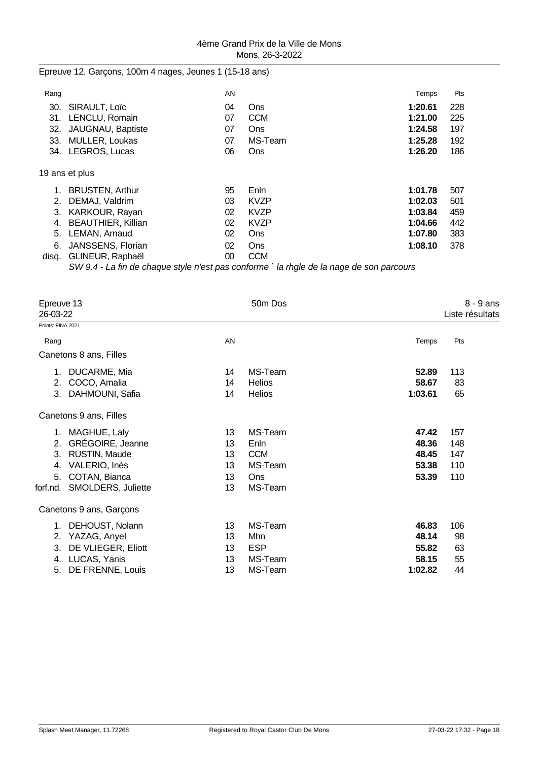Epreuve 12, Garçons, 100m 4 nages, Jeunes 1 (15-18 ans)

| Rang  |                           | AN     |                                                                                            | Temps   | Pts |
|-------|---------------------------|--------|--------------------------------------------------------------------------------------------|---------|-----|
| 30.   | SIRAULT, Loïc             | 04     | Ons                                                                                        | 1:20.61 | 228 |
| 31.   | LENCLU, Romain            | 07     | <b>CCM</b>                                                                                 | 1:21.00 | 225 |
| 32.   | JAUGNAU, Baptiste         | 07     | <b>Ons</b>                                                                                 | 1:24.58 | 197 |
| 33.   | MULLER, Loukas            | 07     | MS-Team                                                                                    | 1:25.28 | 192 |
| 34.   | LEGROS, Lucas             | 06     | <b>Ons</b>                                                                                 | 1:26.20 | 186 |
|       | 19 ans et plus            |        |                                                                                            |         |     |
|       | <b>BRUSTEN, Arthur</b>    | 95     | Enln                                                                                       | 1:01.78 | 507 |
| 2.    | DEMAJ, Valdrim            | 03     | <b>KVZP</b>                                                                                | 1:02.03 | 501 |
| 3.    | KARKOUR, Rayan            | 02     | <b>KVZP</b>                                                                                | 1:03.84 | 459 |
| 4.    | <b>BEAUTHIER, Killian</b> | 02     | <b>KVZP</b>                                                                                | 1:04.66 | 442 |
| 5.    | LEMAN, Arnaud             | 02     | Ons                                                                                        | 1:07.80 | 383 |
| 6.    | JANSSENS, Florian         | 02     | <b>Ons</b>                                                                                 | 1:08.10 | 378 |
| disg. | GLINEUR, Raphaël          | $00\,$ | <b>CCM</b>                                                                                 |         |     |
|       |                           |        | SIA/ Q A - La fin de chaque stule n'est nas conforme ` la rhale de la nage de son narcours |         |     |

*SW 9.4 - La fin de chaque style n'est pas conforme ` la rhgle de la nage de son parcours*

| Epreuve 13<br>26-03-22<br>Points: FINA 2021 |                         |    | 50m Dos       |         | $8 - 9$ ans<br>Liste résultats |
|---------------------------------------------|-------------------------|----|---------------|---------|--------------------------------|
|                                             |                         |    |               |         |                                |
| Rang                                        |                         | AN |               | Temps   | Pts                            |
|                                             | Canetons 8 ans, Filles  |    |               |         |                                |
| 1.                                          | DUCARME, Mia            | 14 | MS-Team       | 52.89   | 113                            |
| 2.                                          | COCO, Amalia            | 14 | <b>Helios</b> | 58.67   | 83                             |
| 3.                                          | DAHMOUNI, Safia         | 14 | <b>Helios</b> | 1:03.61 | 65                             |
|                                             | Canetons 9 ans, Filles  |    |               |         |                                |
|                                             | 1. MAGHUE, Laly         | 13 | MS-Team       | 47.42   | 157                            |
| 2.                                          | GRÉGOIRE, Jeanne        | 13 | Enln          | 48.36   | 148                            |
| 3.                                          | RUSTIN, Maude           | 13 | <b>CCM</b>    | 48.45   | 147                            |
| 4.                                          | VALERIO, Inès           | 13 | MS-Team       | 53.38   | 110                            |
| 5.                                          | COTAN, Bianca           | 13 | Ons           | 53.39   | 110                            |
| forf.nd.                                    | SMOLDERS, Juliette      | 13 | MS-Team       |         |                                |
|                                             | Canetons 9 ans, Garçons |    |               |         |                                |
| 1.                                          | DEHOUST, Nolann         | 13 | MS-Team       | 46.83   | 106                            |
| 2.                                          | YAZAG, Anyel            | 13 | Mhn           | 48.14   | 98                             |
| 3.                                          | DE VLIEGER, Eliott      | 13 | <b>ESP</b>    | 55.82   | 63                             |
| 4.                                          | LUCAS, Yanis            | 13 | MS-Team       | 58.15   | 55                             |
| 5.                                          | DE FRENNE, Louis        | 13 | MS-Team       | 1:02.82 | 44                             |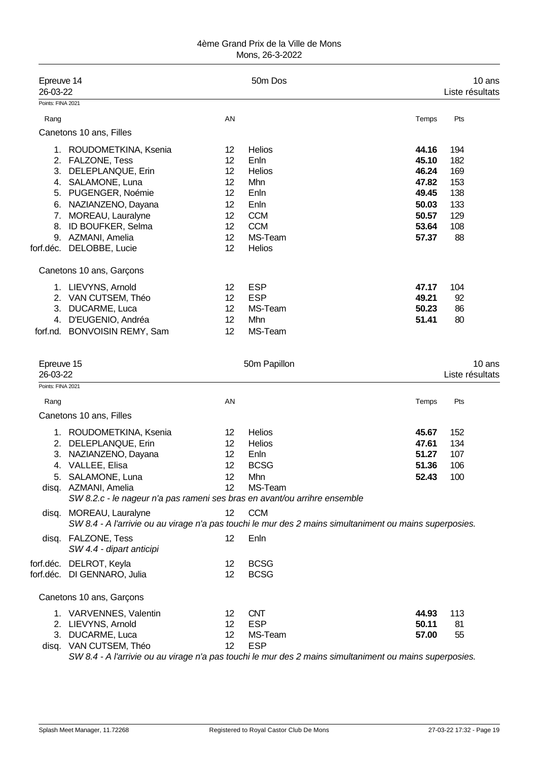| Epreuve 14<br>26-03-22                 |                                                                                                                                                                                                                      |                                                          | 50m Dos                                                                                                                                                      |                                                                               | 10 ans<br>Liste résultats                                  |
|----------------------------------------|----------------------------------------------------------------------------------------------------------------------------------------------------------------------------------------------------------------------|----------------------------------------------------------|--------------------------------------------------------------------------------------------------------------------------------------------------------------|-------------------------------------------------------------------------------|------------------------------------------------------------|
| Points: FINA 2021                      |                                                                                                                                                                                                                      |                                                          |                                                                                                                                                              |                                                                               |                                                            |
| Rang                                   |                                                                                                                                                                                                                      | AN                                                       |                                                                                                                                                              | Temps                                                                         | Pts                                                        |
|                                        | Canetons 10 ans, Filles                                                                                                                                                                                              |                                                          |                                                                                                                                                              |                                                                               |                                                            |
| 1.<br>3.<br>4.<br>5.<br>6.<br>7.<br>8. | ROUDOMETKINA, Ksenia<br>2. FALZONE, Tess<br>DELEPLANQUE, Erin<br>SALAMONE, Luna<br>PUGENGER, Noémie<br>NAZIANZENO, Dayana<br>MOREAU, Lauralyne<br>ID BOUFKER, Selma<br>9. AZMANI, Amelia<br>forf.déc. DELOBBE, Lucie | 12<br>12<br>12<br>12<br>12<br>12<br>12<br>12<br>12<br>12 | <b>Helios</b><br>Enln<br><b>Helios</b><br>Mhn<br>Enln<br>Enln<br><b>CCM</b><br><b>CCM</b><br>MS-Team<br>Helios                                               | 44.16<br>45.10<br>46.24<br>47.82<br>49.45<br>50.03<br>50.57<br>53.64<br>57.37 | 194<br>182<br>169<br>153<br>138<br>133<br>129<br>108<br>88 |
|                                        | Canetons 10 ans, Garçons                                                                                                                                                                                             |                                                          |                                                                                                                                                              |                                                                               |                                                            |
| 3.<br>4.                               | 1. LIEVYNS, Arnold<br>2. VAN CUTSEM, Théo<br>DUCARME, Luca<br>D'EUGENIO, Andréa<br>forf.nd. BONVOISIN REMY, Sam                                                                                                      | 12<br>12<br>12<br>12<br>12                               | <b>ESP</b><br><b>ESP</b><br>MS-Team<br>Mhn<br>MS-Team                                                                                                        | 47.17<br>49.21<br>50.23<br>51.41                                              | 104<br>92<br>86<br>80                                      |
| Epreuve 15<br>26-03-22                 |                                                                                                                                                                                                                      |                                                          | 50m Papillon                                                                                                                                                 |                                                                               | 10 ans<br>Liste résultats                                  |
| Points: FINA 2021                      |                                                                                                                                                                                                                      |                                                          |                                                                                                                                                              |                                                                               |                                                            |
| Rang                                   |                                                                                                                                                                                                                      | AN                                                       |                                                                                                                                                              | Temps                                                                         | Pts                                                        |
|                                        | Canetons 10 ans, Filles                                                                                                                                                                                              |                                                          |                                                                                                                                                              |                                                                               |                                                            |
| 2.<br>3.                               | 1. ROUDOMETKINA, Ksenia<br>DELEPLANQUE, Erin<br>NAZIANZENO, Dayana<br>4. VALLEE, Elisa<br>5. SALAMONE, Luna<br>disq. AZMANI, Amelia<br>SW 8.2.c - le nageur n'a pas rameni ses bras en avant/ou arrihre ensemble     | 12<br>12<br>12<br>12<br>12<br>12                         | Helios<br><b>Helios</b><br>Enln<br><b>BCSG</b><br>Mhn<br>MS-Team                                                                                             | 45.67<br>47.61<br>51.27<br>51.36<br>52.43                                     | 152<br>134<br>107<br>106<br>100                            |
|                                        | disq. MOREAU, Lauralyne                                                                                                                                                                                              | 12                                                       | <b>CCM</b><br>SW 8.4 - A l'arrivie ou au virage n'a pas touchi le mur des 2 mains simultaniment ou mains superposies.                                        |                                                                               |                                                            |
|                                        | disq. FALZONE, Tess<br>SW 4.4 - dipart anticipi                                                                                                                                                                      | 12                                                       | Enln                                                                                                                                                         |                                                                               |                                                            |
|                                        | forf.déc. DELROT, Keyla<br>forf.déc. DI GENNARO, Julia                                                                                                                                                               | 12<br>12                                                 | <b>BCSG</b><br><b>BCSG</b>                                                                                                                                   |                                                                               |                                                            |
|                                        | Canetons 10 ans, Garçons                                                                                                                                                                                             |                                                          |                                                                                                                                                              |                                                                               |                                                            |
|                                        | 1. VARVENNES, Valentin<br>2. LIEVYNS, Arnold<br>3. DUCARME, Luca<br>disq. VAN CUTSEM, Théo                                                                                                                           | 12<br>12<br>12<br>12                                     | <b>CNT</b><br><b>ESP</b><br>MS-Team<br><b>ESP</b><br>SW 8.4 - A l'arrivie ou au virage n'a pas touchi le mur des 2 mains simultaniment ou mains superposies. | 44.93<br>50.11<br>57.00                                                       | 113<br>81<br>55                                            |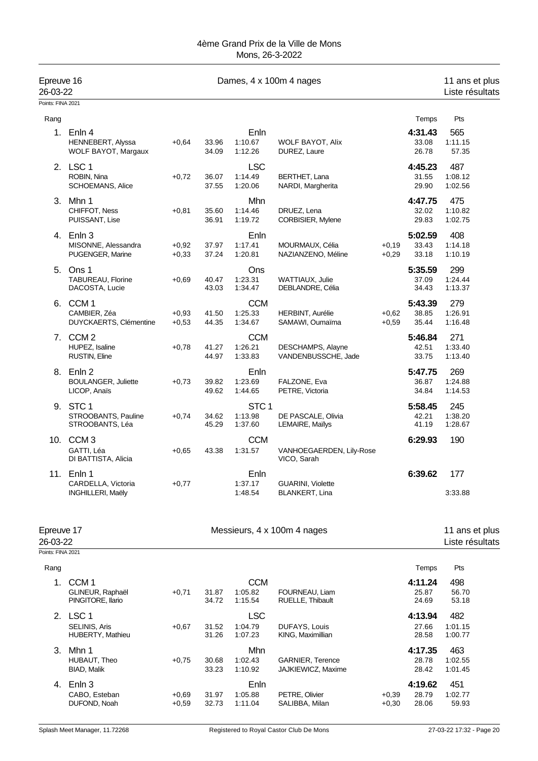| Epreuve 16<br>26-03-22 |                                                            |                    | 11 ans et plus<br>Liste résultats |                                        |                                               |                    |                           |                                   |
|------------------------|------------------------------------------------------------|--------------------|-----------------------------------|----------------------------------------|-----------------------------------------------|--------------------|---------------------------|-----------------------------------|
| Points: FINA 2021      |                                                            |                    |                                   |                                        |                                               |                    |                           |                                   |
| Rang                   |                                                            |                    |                                   |                                        |                                               |                    | Temps                     | Pts                               |
| 1.                     | Enln 4<br>HENNEBERT, Alyssa<br>WOLF BAYOT, Margaux         | $+0,64$            | 33.96<br>34.09                    | Enln<br>1:10.67<br>1:12.26             | <b>WOLF BAYOT, Alix</b><br>DUREZ, Laure       |                    | 4:31.43<br>33.08<br>26.78 | 565<br>1:11.15<br>57.35           |
|                        | 2. LSC 1<br>ROBIN, Nina<br><b>SCHOEMANS, Alice</b>         | $+0,72$            | 36.07<br>37.55                    | <b>LSC</b><br>1:14.49<br>1:20.06       | BERTHET, Lana<br>NARDI, Margherita            |                    | 4:45.23<br>31.55<br>29.90 | 487<br>1:08.12<br>1:02.56         |
| 3.                     | Mhn 1<br>CHIFFOT, Ness<br>PUISSANT, Lise                   | $+0,81$            | 35.60<br>36.91                    | Mhn<br>1:14.46<br>1:19.72              | DRUEZ, Lena<br>CORBISIER, Mylene              |                    | 4:47.75<br>32.02<br>29.83 | 475<br>1:10.82<br>1:02.75         |
|                        | 4. Enln 3<br>MISONNE, Alessandra<br>PUGENGER, Marine       | $+0,92$<br>$+0,33$ | 37.97<br>37.24                    | Enln<br>1:17.41<br>1:20.81             | MOURMAUX, Célia<br>NAZIANZENO, Méline         | $+0.19$<br>$+0,29$ | 5:02.59<br>33.43<br>33.18 | 408<br>1:14.18<br>1:10.19         |
| 5.                     | Ons 1<br>TABUREAU, Florine<br>DACOSTA, Lucie               | $+0,69$            | 40.47<br>43.03                    | Ons<br>1:23.31<br>1:34.47              | WATTIAUX, Julie<br>DEBLANDRE, Célia           |                    | 5:35.59<br>37.09<br>34.43 | 299<br>1:24.44<br>1:13.37         |
| 6.                     | CCM <sub>1</sub><br>CAMBIER, Zéa<br>DUYCKAERTS, Clémentine | $+0,93$<br>$+0,53$ | 41.50<br>44.35                    | <b>CCM</b><br>1:25.33<br>1:34.67       | HERBINT, Aurélie<br>SAMAWI, Oumaïma           | $+0,62$<br>$+0,59$ | 5:43.39<br>38.85<br>35.44 | 279<br>1:26.91<br>1:16.48         |
| 7.                     | CCM <sub>2</sub><br>HUPEZ, Isaline<br>RUSTIN, Eline        | $+0,78$            | 41.27<br>44.97                    | <b>CCM</b><br>1:26.21<br>1:33.83       | DESCHAMPS, Alayne<br>VANDENBUSSCHE, Jade      |                    | 5:46.84<br>42.51<br>33.75 | 271<br>1:33.40<br>1:13.40         |
|                        | 8. Enln 2<br><b>BOULANGER, Juliette</b><br>LICOP, Anaïs    | $+0,73$            | 39.82<br>49.62                    | Enln<br>1:23.69<br>1:44.65             | FALZONE, Eva<br>PETRE, Victoria               |                    | 5:47.75<br>36.87<br>34.84 | 269<br>1:24.88<br>1:14.53         |
|                        | 9. STC 1<br>STROOBANTS, Pauline<br>STROOBANTS, Léa         | $+0,74$            | 34.62<br>45.29                    | STC <sub>1</sub><br>1:13.98<br>1:37.60 | DE PASCALE, Olivia<br>LEMAIRE, Mailys         |                    | 5:58.45<br>42.21<br>41.19 | 245<br>1:38.20<br>1:28.67         |
| 10.                    | CCM <sub>3</sub><br>GATTI, Léa<br>DI BATTISTA, Alicia      | $+0,65$            | 43.38                             | <b>CCM</b><br>1:31.57                  | VANHOEGAERDEN, Lily-Rose<br>VICO, Sarah       |                    | 6:29.93                   | 190                               |
| 11.                    | Enln 1<br>CARDELLA, Victoria<br><b>INGHILLERI, Maëly</b>   | $+0,77$            |                                   | Enln<br>1:37.17<br>1:48.54             | GUARINI, Violette<br><b>BLANKERT, Lina</b>    |                    | 6:39.62                   | 177<br>3:33.88                    |
| Epreuve 17<br>26-03-22 |                                                            |                    |                                   |                                        | Messieurs, 4 x 100m 4 nages                   |                    |                           | 11 ans et plus<br>Liste résultats |
| Points: FINA 2021      |                                                            |                    |                                   |                                        |                                               |                    |                           |                                   |
| Rang                   |                                                            |                    |                                   |                                        |                                               |                    | Temps                     | Pts                               |
| 1.                     | CCM <sub>1</sub><br>GLINEUR, Raphaël<br>PINGITORE, Ilario  | $+0,71$            | 31.87<br>34.72                    | <b>CCM</b><br>1:05.82<br>1:15.54       | FOURNEAU, Liam<br>RUELLE, Thibault            |                    | 4:11.24<br>25.87<br>24.69 | 498<br>56.70<br>53.18             |
|                        | 2. LSC 1<br>SELINIS, Aris<br>HUBERTY, Mathieu              | $+0,67$            | 31.52<br>31.26                    | <b>LSC</b><br>1:04.79<br>1:07.23       | DUFAYS, Louis<br>KING, Maximillian            |                    | 4:13.94<br>27.66<br>28.58 | 482<br>1:01.15<br>1:00.77         |
| 3.                     | Mhn 1<br>HUBAUT, Theo<br>BIAD, Malik                       | $+0,75$            | 30.68<br>33.23                    | Mhn<br>1:02.43<br>1:10.92              | <b>GARNIER, Terence</b><br>JAJKIEWICZ, Maxime |                    | 4:17.35<br>28.78<br>28.42 | 463<br>1:02.55<br>1:01.45         |
| 4.                     | Enln 3<br>CABO, Esteban<br>DUFOND, Noah                    | $+0,69$<br>+0,59   | 31.97<br>32.73                    | Enln<br>1:05.88<br>1:11.04             | PETRE, Olivier<br>SALIBBA, Milan              | $+0,39$<br>$+0,30$ | 4:19.62<br>28.79<br>28.06 | 451<br>1:02.77<br>59.93           |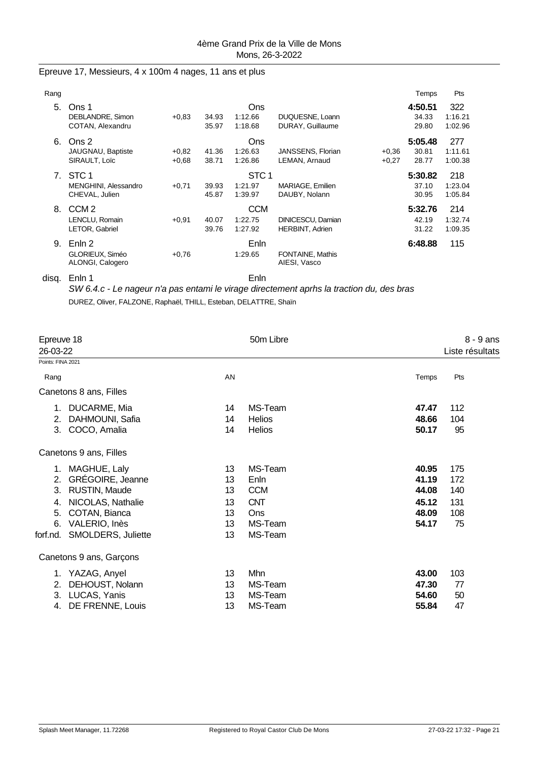### Epreuve 17, Messieurs, 4 x 100m 4 nages, 11 ans et plus

| Rang |                                                            |                    |                |                                        |                                             |                    | Temps                     | Pts                       |
|------|------------------------------------------------------------|--------------------|----------------|----------------------------------------|---------------------------------------------|--------------------|---------------------------|---------------------------|
| 5.   | Ons 1<br>DEBLANDRE, Simon<br>COTAN, Alexandru              | $+0.83$            | 34.93<br>35.97 | Ons<br>1:12.66<br>1:18.68              | DUQUESNE, Loann<br>DURAY, Guillaume         |                    | 4:50.51<br>34.33<br>29.80 | 322<br>1:16.21<br>1:02.96 |
| 6.   | Ons 2<br>JAUGNAU, Baptiste<br>SIRAULT, Loic                | $+0.82$<br>$+0.68$ | 41.36<br>38.71 | <b>Ons</b><br>1:26.63<br>1:26.86       | JANSSENS, Florian<br><b>LEMAN, Arnaud</b>   | $+0,36$<br>$+0,27$ | 5:05.48<br>30.81<br>28.77 | 277<br>1:11.61<br>1:00.38 |
| 7.   | STC <sub>1</sub><br>MENGHINI, Alessandro<br>CHEVAL, Julien | $+0,71$            | 39.93<br>45.87 | STC <sub>1</sub><br>1:21.97<br>1:39.97 | MARIAGE, Emilien<br>DAUBY, Nolann           |                    | 5:30.82<br>37.10<br>30.95 | 218<br>1:23.04<br>1:05.84 |
| 8.   | CCM <sub>2</sub><br>LENCLU, Romain<br>LETOR, Gabriel       | $+0.91$            | 40.07<br>39.76 | <b>CCM</b><br>1:22.75<br>1:27.92       | DINICESCU, Damian<br><b>HERBINT, Adrien</b> |                    | 5:32.76<br>42.19<br>31.22 | 214<br>1:32.74<br>1:09.35 |
| 9.   | Enln 2<br>GLORIEUX, Siméo<br>ALONGI, Calogero              | $+0,76$            |                | Enln<br>1:29.65                        | FONTAINE, Mathis<br>AIESI, Vasco            |                    | 6:48.88                   | 115                       |

### disq. Enln 1 Enln

*SW 6.4.c - Le nageur n'a pas entami le virage directement aprhs la traction du, des bras* DUREZ, Oliver, FALZONE, Raphaël, THILL, Esteban, DELATTRE, Shaïn

| Epreuve 18<br>26-03-22<br>Points: FINA 2021 | 50m Libre     | $8 - 9$ ans<br>Liste résultats |     |  |
|---------------------------------------------|---------------|--------------------------------|-----|--|
|                                             |               |                                |     |  |
| AN<br>Rang                                  |               | Temps                          | Pts |  |
| Canetons 8 ans, Filles                      |               |                                |     |  |
| 1. DUCARME, Mia<br>14                       | MS-Team       | 47.47                          | 112 |  |
| DAHMOUNI, Safia<br>2.<br>14                 | <b>Helios</b> | 48.66                          | 104 |  |
| COCO, Amalia<br>3.<br>14                    | <b>Helios</b> | 50.17                          | 95  |  |
| Canetons 9 ans, Filles                      |               |                                |     |  |
| 1. MAGHUE, Laly<br>13                       | MS-Team       | 40.95                          | 175 |  |
| GRÉGOIRE, Jeanne<br>2.<br>13                | Enln          | 41.19                          | 172 |  |
| 3.<br>RUSTIN, Maude<br>13                   | <b>CCM</b>    | 44.08                          | 140 |  |
| NICOLAS, Nathalie<br>13<br>4.               | <b>CNT</b>    | 45.12                          | 131 |  |
| COTAN, Bianca<br>5.<br>13                   | Ons           | 48.09                          | 108 |  |
| 6.<br>VALERIO, Inès<br>13                   | MS-Team       | 54.17                          | 75  |  |
| SMOLDERS, Juliette<br>13<br>forf.nd.        | MS-Team       |                                |     |  |
| Canetons 9 ans, Garçons                     |               |                                |     |  |
| 1. YAZAG, Anyel<br>13                       | Mhn           | 43.00                          | 103 |  |
| DEHOUST, Nolann<br>2.<br>13                 | MS-Team       | 47.30                          | 77  |  |
| LUCAS, Yanis<br>3.<br>13                    | MS-Team       | 54.60                          | 50  |  |
| DE FRENNE, Louis<br>13<br>4.                | MS-Team       | 55.84                          | 47  |  |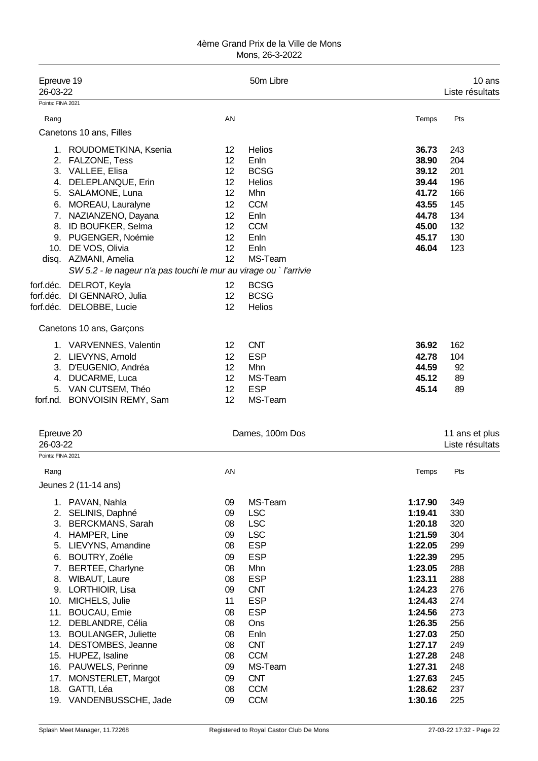| Epreuve 19<br>26-03-22 |                                                                   |                         | 50m Libre       |         | 10 ans<br>Liste résultats |
|------------------------|-------------------------------------------------------------------|-------------------------|-----------------|---------|---------------------------|
| Points: FINA 2021      |                                                                   |                         |                 |         |                           |
| Rang                   |                                                                   | AN                      |                 | Temps   | Pts                       |
|                        | Canetons 10 ans, Filles                                           |                         |                 |         |                           |
|                        |                                                                   |                         |                 |         |                           |
|                        | 1. ROUDOMETKINA, Ksenia                                           | $12 \overline{ }$<br>12 | <b>Helios</b>   | 36.73   | 243                       |
| 2.                     | <b>FALZONE, Tess</b>                                              |                         | Enln            | 38.90   | 204                       |
| 3.                     | VALLEE, Elisa                                                     | 12<br>12                | <b>BCSG</b>     | 39.12   | 201                       |
| 4.                     | DELEPLANQUE, Erin                                                 | 12                      | Helios          | 39.44   | 196                       |
| 5.                     | SALAMONE, Luna                                                    |                         | Mhn             | 41.72   | 166                       |
| 6.                     | MOREAU, Lauralyne                                                 | 12                      | <b>CCM</b>      | 43.55   | 145                       |
| 7.                     | NAZIANZENO, Dayana                                                | 12                      | Enln            | 44.78   | 134                       |
| 8.                     | ID BOUFKER, Selma                                                 | 12                      | <b>CCM</b>      | 45.00   | 132                       |
|                        | 9. PUGENGER, Noémie                                               | 12                      | Enln            | 45.17   | 130                       |
|                        | 10. DE VOS, Olivia                                                | 12                      | Enln            | 46.04   | 123                       |
|                        | disq. AZMANI, Amelia                                              | 12                      | MS-Team         |         |                           |
|                        | SW 5.2 - le nageur n'a pas touchi le mur au virage ou ` l'arrivie |                         |                 |         |                           |
|                        | forf.déc. DELROT, Keyla                                           | 12                      | <b>BCSG</b>     |         |                           |
|                        | forf.déc. DI GENNARO, Julia                                       | 12                      | <b>BCSG</b>     |         |                           |
|                        | forf.déc. DELOBBE, Lucie                                          | 12                      | Helios          |         |                           |
|                        | Canetons 10 ans, Garçons                                          |                         |                 |         |                           |
|                        | 1. VARVENNES, Valentin                                            | 12                      | <b>CNT</b>      | 36.92   | 162                       |
|                        | 2. LIEVYNS, Arnold                                                | 12                      | <b>ESP</b>      | 42.78   | 104                       |
| 3.                     | D'EUGENIO, Andréa                                                 | 12                      | Mhn             | 44.59   | 92                        |
| 4.                     | DUCARME, Luca                                                     | 12                      | MS-Team         | 45.12   | 89                        |
| 5.                     | VAN CUTSEM, Théo                                                  | 12                      | <b>ESP</b>      | 45.14   | 89                        |
|                        | forf.nd. BONVOISIN REMY, Sam                                      | 12                      | MS-Team         |         |                           |
|                        |                                                                   |                         |                 |         |                           |
| Epreuve 20             |                                                                   |                         | Dames, 100m Dos |         | 11 ans et plus            |
| 26-03-22               |                                                                   |                         |                 |         | Liste résultats           |
| Points: FINA 2021      |                                                                   |                         |                 |         |                           |
| Rang                   |                                                                   | AN                      |                 | Temps   | Pts                       |
|                        | Jeunes 2 (11-14 ans)                                              |                         |                 |         |                           |
|                        |                                                                   |                         |                 |         |                           |
|                        | 1. PAVAN, Nahla                                                   | 09                      | MS-Team         | 1:17.90 | 349                       |
| 2.                     | SELINIS, Daphné                                                   | 09                      | <b>LSC</b>      | 1:19.41 | 330                       |
| 3.                     | <b>BERCKMANS, Sarah</b>                                           | 08                      | <b>LSC</b>      | 1:20.18 | 320                       |
| 4.                     | HAMPER, Line                                                      | 09                      | <b>LSC</b>      | 1:21.59 | 304                       |
| 5.                     | LIEVYNS, Amandine                                                 | 08                      | <b>ESP</b>      | 1:22.05 | 299                       |
| 6.                     | BOUTRY, Zoélie                                                    | 09                      | <b>ESP</b>      | 1:22.39 | 295                       |
| 7.                     | BERTEE, Charlyne                                                  | 08                      | Mhn             | 1:23.05 | 288                       |
| 8.                     | <b>WIBAUT, Laure</b>                                              | 08                      | <b>ESP</b>      | 1:23.11 | 288                       |
| 9.                     | LORTHIOIR, Lisa                                                   | 09                      | <b>CNT</b>      | 1:24.23 | 276                       |
| 10.                    | MICHELS, Julie                                                    | 11                      | <b>ESP</b>      | 1:24.43 | 274                       |
| 11.                    | <b>BOUCAU, Emie</b>                                               | 08                      | <b>ESP</b>      | 1:24.56 | 273                       |
|                        | 12. DEBLANDRE, Célia                                              | 08                      | Ons             | 1:26.35 | 256                       |
|                        | 13. BOULANGER, Juliette                                           | 08                      | Enln            | 1:27.03 | 250                       |
|                        | 14. DESTOMBES, Jeanne                                             | 08                      | <b>CNT</b>      | 1:27.17 | 249                       |
|                        | 15. HUPEZ, Isaline                                                | 08                      | <b>CCM</b>      | 1:27.28 | 248                       |
| 16.                    | PAUWELS, Perinne                                                  | 09                      | MS-Team         | 1:27.31 | 248                       |
| 17.                    | MONSTERLET, Margot                                                | 09                      | <b>CNT</b>      | 1:27.63 | 245                       |
| 18.                    | GATTI, Léa                                                        | 08                      | <b>CCM</b>      | 1:28.62 | 237                       |
| 19.                    | VANDENBUSSCHE, Jade                                               | 09                      | <b>CCM</b>      | 1:30.16 | 225                       |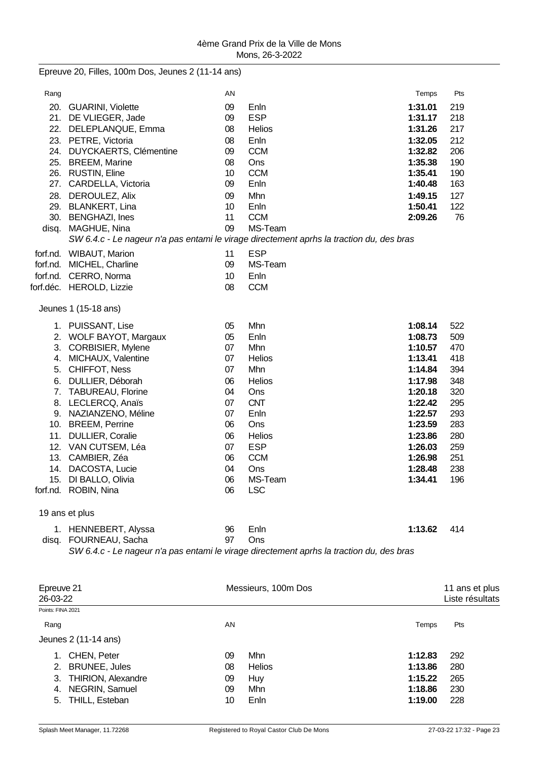|                   | Epreuve 20, Filles, 100m Dos, Jeunes 2 (11-14 ans)                                       |    |                     |         |                 |
|-------------------|------------------------------------------------------------------------------------------|----|---------------------|---------|-----------------|
| Rang              |                                                                                          | AN |                     | Temps   | Pts             |
|                   | 20. GUARINI, Violette                                                                    | 09 | Enln                | 1:31.01 | 219             |
|                   | 21. DE VLIEGER, Jade                                                                     | 09 | <b>ESP</b>          | 1:31.17 | 218             |
| 22.               | DELEPLANQUE, Emma                                                                        | 08 | Helios              | 1:31.26 | 217             |
|                   | 23. PETRE, Victoria                                                                      | 08 | Enln                | 1:32.05 | 212             |
|                   | 24. DUYCKAERTS, Clémentine                                                               | 09 | <b>CCM</b>          | 1:32.82 | 206             |
|                   | 25. BREEM, Marine                                                                        | 08 | Ons                 | 1:35.38 | 190             |
|                   | 26. RUSTIN, Eline                                                                        | 10 | <b>CCM</b>          | 1:35.41 | 190             |
| 27.               | CARDELLA, Victoria                                                                       | 09 | Enln                | 1:40.48 | 163             |
|                   | 28. DEROULEZ, Alix                                                                       | 09 | Mhn                 | 1:49.15 | 127             |
|                   | 29. BLANKERT, Lina                                                                       | 10 | Enln                | 1:50.41 | 122             |
|                   | 30. BENGHAZI, Ines                                                                       | 11 | <b>CCM</b>          | 2:09.26 | 76              |
| disq.             | MAGHUE, Nina                                                                             | 09 | MS-Team             |         |                 |
|                   | SW 6.4.c - Le nageur n'a pas entami le virage directement aprhs la traction du, des bras |    |                     |         |                 |
|                   |                                                                                          |    |                     |         |                 |
|                   | forf.nd. WIBAUT, Marion                                                                  | 11 | <b>ESP</b>          |         |                 |
|                   | forf.nd. MICHEL, Charline                                                                | 09 | MS-Team             |         |                 |
|                   | forf.nd. CERRO, Norma                                                                    | 10 | Enln                |         |                 |
|                   | forf.déc. HEROLD, Lizzie                                                                 | 08 | <b>CCM</b>          |         |                 |
|                   | Jeunes 1 (15-18 ans)                                                                     |    |                     |         |                 |
|                   | 1. PUISSANT, Lise                                                                        | 05 | Mhn                 | 1:08.14 | 522             |
|                   | 2. WOLF BAYOT, Margaux                                                                   | 05 | Enln                | 1:08.73 | 509             |
|                   | 3. CORBISIER, Mylene                                                                     | 07 | Mhn                 | 1:10.57 | 470             |
|                   | 4. MICHAUX, Valentine                                                                    | 07 | Helios              | 1:13.41 | 418             |
|                   | 5. CHIFFOT, Ness                                                                         | 07 | Mhn                 | 1:14.84 | 394             |
|                   | 6. DULLIER, Déborah                                                                      | 06 | <b>Helios</b>       | 1:17.98 | 348             |
|                   | 7. TABUREAU, Florine                                                                     | 04 | Ons                 | 1:20.18 | 320             |
|                   | 8. LECLERCQ, Anaïs                                                                       | 07 | <b>CNT</b>          | 1:22.42 | 295             |
|                   | 9. NAZIANZENO, Méline                                                                    | 07 | Enln                | 1:22.57 | 293             |
|                   | 10. BREEM, Perrine                                                                       | 06 | Ons                 | 1:23.59 | 283             |
|                   | 11. DULLIER, Coralie                                                                     | 06 | Helios              | 1:23.86 | 280             |
|                   | 12. VAN CUTSEM, Léa                                                                      | 07 | <b>ESP</b>          | 1:26.03 | 259             |
| 13.               | CAMBIER, Zéa                                                                             | 06 | <b>CCM</b>          | 1:26.98 | 251             |
|                   | 14. DACOSTA, Lucie                                                                       | 04 | Ons                 | 1:28.48 | 238             |
|                   | 15. DI BALLO, Olivia                                                                     | 06 | MS-Team             | 1:34.41 | 196             |
|                   | forf.nd. ROBIN, Nina                                                                     | 06 | <b>LSC</b>          |         |                 |
|                   |                                                                                          |    |                     |         |                 |
|                   | 19 ans et plus                                                                           |    |                     |         |                 |
|                   | 1. HENNEBERT, Alyssa                                                                     | 96 | Enln                | 1:13.62 | 414             |
|                   | disq. FOURNEAU, Sacha                                                                    | 97 | Ons                 |         |                 |
|                   | SW 6.4.c - Le nageur n'a pas entami le virage directement aprhs la traction du, des bras |    |                     |         |                 |
|                   |                                                                                          |    |                     |         |                 |
| Epreuve 21        |                                                                                          |    | Messieurs, 100m Dos |         | 11 ans et plus  |
| 26-03-22          |                                                                                          |    |                     |         | Liste résultats |
| Points: FINA 2021 |                                                                                          |    |                     |         |                 |
|                   |                                                                                          |    |                     |         |                 |
| Rang              |                                                                                          | AN |                     | Temps   | Pts             |
|                   | Jeunes 2 (11-14 ans)                                                                     |    |                     |         |                 |

2. BRUNEE, Jules

1. CHEN, Peter 09 Mhn **1:12.83** 292

3. THIRION, Alexandre 09 Huy **1:15.22** 265 4. NEGRIN, Samuel 09 Mhn **1:18.86** 230 5. THILL, Esteban 10 Enln **1:19.00** 228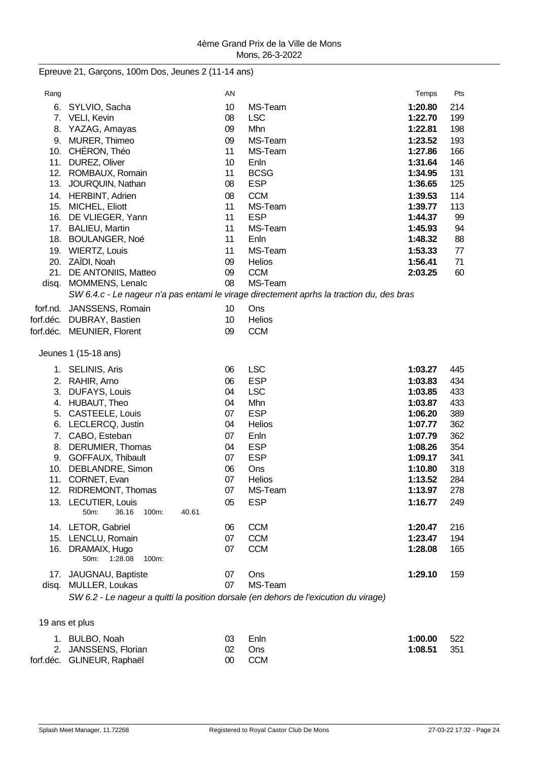Epreuve 21, Garçons, 100m Dos, Jeunes 2 (11-14 ans)

| Rang  |                                                                                      | AN |                                                                                          | Temps   | Pts |
|-------|--------------------------------------------------------------------------------------|----|------------------------------------------------------------------------------------------|---------|-----|
| 6.    | SYLVIO, Sacha                                                                        | 10 | MS-Team                                                                                  | 1:20.80 | 214 |
|       | 7. VELI, Kevin                                                                       | 08 | <b>LSC</b>                                                                               | 1:22.70 | 199 |
|       | 8. YAZAG, Amayas                                                                     | 09 | Mhn                                                                                      | 1:22.81 | 198 |
|       | 9. MURER, Thimeo                                                                     | 09 | MS-Team                                                                                  | 1:23.52 | 193 |
|       | 10. CHÉRON, Théo                                                                     | 11 | MS-Team                                                                                  | 1:27.86 | 166 |
|       | 11. DUREZ, Oliver                                                                    | 10 | Enln                                                                                     | 1:31.64 | 146 |
|       | 12. ROMBAUX, Romain                                                                  | 11 | <b>BCSG</b>                                                                              | 1:34.95 | 131 |
|       | 13. JOURQUIN, Nathan                                                                 | 08 | <b>ESP</b>                                                                               | 1:36.65 | 125 |
|       | 14. HERBINT, Adrien                                                                  | 08 | <b>CCM</b>                                                                               | 1:39.53 | 114 |
|       | 15. MICHEL, Eliott                                                                   | 11 | MS-Team                                                                                  | 1:39.77 | 113 |
| 16.   | DE VLIEGER, Yann                                                                     | 11 | <b>ESP</b>                                                                               | 1:44.37 | 99  |
|       | 17. BALIEU, Martin                                                                   | 11 | MS-Team                                                                                  | 1:45.93 | 94  |
|       | 18. BOULANGER, Noé                                                                   | 11 | Enln                                                                                     | 1:48.32 | 88  |
|       | 19. WIERTZ, Louis                                                                    | 11 | MS-Team                                                                                  | 1:53.33 | 77  |
| 20.   | ZAÏDI, Noah                                                                          | 09 | Helios                                                                                   | 1:56.41 | 71  |
| 21.   | DE ANTONIIS, Matteo                                                                  | 09 | <b>CCM</b>                                                                               | 2:03.25 | 60  |
| disq. | MOMMENS, Lenalc                                                                      | 08 | MS-Team                                                                                  |         |     |
|       |                                                                                      |    | SW 6.4.c - Le nageur n'a pas entami le virage directement aprhs la traction du, des bras |         |     |
|       | forf.nd. JANSSENS, Romain                                                            | 10 | Ons                                                                                      |         |     |
|       | forf.déc. DUBRAY, Bastien                                                            | 10 | Helios                                                                                   |         |     |
|       | forf.déc. MEUNIER, Florent                                                           | 09 | <b>CCM</b>                                                                               |         |     |
|       |                                                                                      |    |                                                                                          |         |     |
|       | Jeunes 1 (15-18 ans)                                                                 |    |                                                                                          |         |     |
|       |                                                                                      |    |                                                                                          |         |     |
|       | 1. SELINIS, Aris                                                                     | 06 | <b>LSC</b>                                                                               | 1:03.27 | 445 |
|       | 2. RAHIR, Arno                                                                       | 06 | <b>ESP</b>                                                                               | 1:03.83 | 434 |
| 3.    | <b>DUFAYS, Louis</b>                                                                 | 04 | <b>LSC</b>                                                                               | 1:03.85 | 433 |
| 4.    | HUBAUT, Theo                                                                         | 04 | Mhn                                                                                      | 1:03.87 | 433 |
| 5.    | CASTEELE, Louis                                                                      | 07 | <b>ESP</b>                                                                               | 1:06.20 | 389 |
| 6.    | LECLERCQ, Justin                                                                     | 04 | Helios                                                                                   | 1:07.77 | 362 |
| 7.    | CABO, Esteban                                                                        | 07 | Enln                                                                                     | 1:07.79 | 362 |
| 8.    | DERUMIER, Thomas                                                                     | 04 | <b>ESP</b>                                                                               | 1:08.26 | 354 |
|       | 9. GOFFAUX, Thibault                                                                 | 07 | <b>ESP</b>                                                                               | 1:09.17 | 341 |
| 10.   | DEBLANDRE, Simon                                                                     | 06 | Ons                                                                                      | 1:10.80 | 318 |
|       | 11. CORNET, Evan                                                                     | 07 | <b>Helios</b>                                                                            | 1:13.52 | 284 |
|       | 12. RIDREMONT, Thomas                                                                | 07 | MS-Team                                                                                  | 1:13.97 | 278 |
|       | 13. LECUTIER, Louis                                                                  | 05 | <b>ESP</b>                                                                               | 1:16.77 | 249 |
|       | 50m:<br>36.16<br>100m:<br>40.61                                                      |    |                                                                                          |         |     |
|       | 14. LETOR, Gabriel                                                                   | 06 | <b>CCM</b>                                                                               | 1:20.47 | 216 |
|       | 15. LENCLU, Romain                                                                   | 07 | <b>CCM</b>                                                                               | 1:23.47 | 194 |
|       | 16. DRAMAIX, Hugo                                                                    | 07 | <b>CCM</b>                                                                               | 1:28.08 | 165 |
|       | 1:28.08<br>50m:<br>100m:                                                             |    |                                                                                          |         |     |
|       | 17. JAUGNAU, Baptiste                                                                | 07 | Ons                                                                                      | 1:29.10 | 159 |
|       | disq. MULLER, Loukas                                                                 | 07 | MS-Team                                                                                  |         |     |
|       | SW 6.2 - Le nageur a quitti la position dorsale (en dehors de l'exicution du virage) |    |                                                                                          |         |     |
|       |                                                                                      |    |                                                                                          |         |     |
|       |                                                                                      |    |                                                                                          |         |     |
|       | 19 ans et plus                                                                       |    |                                                                                          |         |     |
|       | 1. BULBO, Noah                                                                       | 03 | Enln                                                                                     | 1:00.00 | 522 |

| 1. BULBO NOAN              | U3.    | – Enin | 1:00.00 522 |  |
|----------------------------|--------|--------|-------------|--|
| 2. JANSSENS, Florian       | 02 Ons |        | 1:08.51 351 |  |
| forf.déc. GLINEUR, Raphaël |        | 00 CCM |             |  |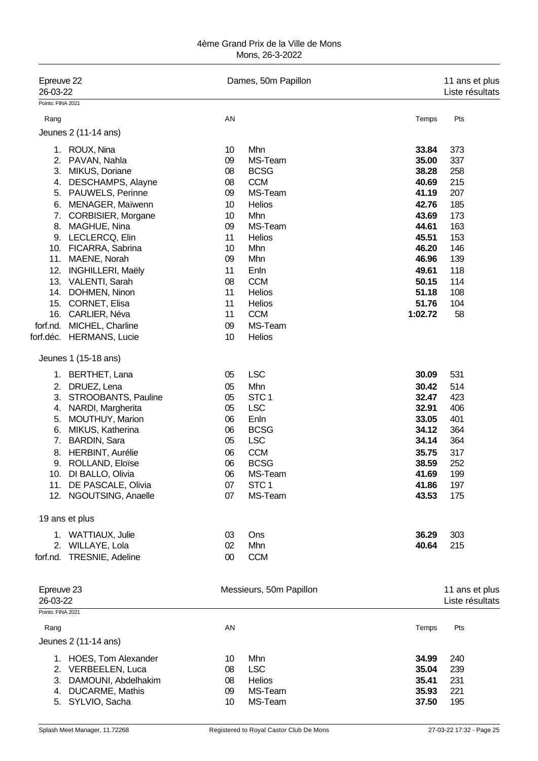| Epreuve 22<br>26-03-22        |                                               |          | Dames, 50m Papillon     |                | 11 ans et plus<br>Liste résultats |
|-------------------------------|-----------------------------------------------|----------|-------------------------|----------------|-----------------------------------|
| Points: FINA 2021             |                                               |          |                         |                |                                   |
| Rang                          |                                               | AN       |                         | Temps          | Pts                               |
|                               | Jeunes 2 (11-14 ans)                          |          |                         |                |                                   |
|                               | 1. ROUX, Nina                                 | 10       | Mhn                     | 33.84          | 373                               |
| 2.                            | PAVAN, Nahla                                  | 09       | MS-Team                 | 35.00          | 337                               |
| 3.                            | MIKUS, Doriane                                | 08       | <b>BCSG</b>             | 38.28          | 258                               |
| 4.                            | DESCHAMPS, Alayne                             | 08       | <b>CCM</b>              | 40.69          | 215                               |
| 5.                            | PAUWELS, Perinne                              | 09       | MS-Team                 | 41.19          | 207                               |
| 6.                            | MENAGER, Maïwenn                              | 10       | Helios                  | 42.76          | 185                               |
| 7.                            | CORBISIER, Morgane                            | 10       | Mhn                     | 43.69          | 173                               |
| 8.                            | MAGHUE, Nina                                  | 09       | MS-Team                 | 44.61          | 163                               |
| 9.                            | LECLERCQ, Elin                                | 11       | Helios                  | 45.51          | 153                               |
| 10.                           | FICARRA, Sabrina                              | 10       | Mhn                     | 46.20          | 146                               |
| 11.                           | MAENE, Norah                                  | 09       | Mhn                     | 46.96          | 139                               |
| 12.                           | <b>INGHILLERI, Maëly</b>                      | 11       | Enln                    | 49.61          | 118                               |
| 13.                           | VALENTI, Sarah                                | 08       | <b>CCM</b>              | 50.15          | 114                               |
|                               | 14. DOHMEN, Ninon                             | 11       | Helios                  | 51.18          | 108                               |
|                               | 15. CORNET, Elisa                             | 11       | Helios                  | 51.76          | 104                               |
| 16.                           | CARLIER, Néva                                 | 11       | <b>CCM</b>              | 1:02.72        | 58                                |
| forf.nd.                      | MICHEL, Charline                              | 09       | MS-Team                 |                |                                   |
|                               | forf.déc. HERMANS, Lucie                      | 10       | Helios                  |                |                                   |
|                               |                                               |          |                         |                |                                   |
|                               | Jeunes 1 (15-18 ans)                          |          |                         |                |                                   |
|                               | 1. BERTHET, Lana                              | 05       | <b>LSC</b>              | 30.09          | 531                               |
| 2.                            | DRUEZ, Lena                                   | 05       | Mhn                     | 30.42          | 514                               |
| 3.                            | STROOBANTS, Pauline                           | 05       | STC <sub>1</sub>        | 32.47          | 423                               |
| 4.                            | NARDI, Margherita                             | 05       | <b>LSC</b>              | 32.91          | 406                               |
| 5.                            | MOUTHUY, Marion                               | 06       | Enln                    | 33.05          | 401                               |
| 6.                            | MIKUS, Katherina                              | 06       | <b>BCSG</b>             | 34.12          | 364                               |
| 7.                            | <b>BARDIN, Sara</b>                           | 05       | <b>LSC</b>              | 34.14          | 364                               |
| 8.                            | HERBINT, Aurélie                              | 06       | <b>CCM</b>              | 35.75          | 317                               |
|                               | 9. ROLLAND, Eloïse                            | 06       | <b>BCSG</b>             | 38.59          | 252                               |
|                               | 10. DI BALLO, Olivia                          | 06       | MS-Team                 | 41.69          | 199                               |
|                               | 11. DE PASCALE, Olivia                        | 07       | STC <sub>1</sub>        | 41.86          | 197                               |
|                               | 12. NGOUTSING, Anaelle                        | 07       | MS-Team                 | 43.53          | 175                               |
|                               | 19 ans et plus                                |          |                         |                |                                   |
|                               | 1. WATTIAUX, Julie                            | 03       | Ons                     | 36.29          | 303                               |
|                               | 2. WILLAYE, Lola                              | 02       | Mhn                     | 40.64          | 215                               |
| forf.nd.                      | TRESNIE, Adeline                              | 00       | <b>CCM</b>              |                |                                   |
|                               |                                               |          |                         |                |                                   |
| Epreuve 23                    |                                               |          | Messieurs, 50m Papillon |                | 11 ans et plus                    |
| 26-03-22<br>Points: FINA 2021 |                                               |          |                         |                | Liste résultats                   |
| Rang                          |                                               | AN       |                         | Temps          | Pts                               |
|                               | Jeunes 2 (11-14 ans)                          |          |                         |                |                                   |
|                               |                                               |          |                         |                |                                   |
|                               | 1. HOES, Tom Alexander                        | 10       | Mhn                     | 34.99          | 240                               |
|                               | 2. VERBEELEN, Luca                            | 08       | <b>LSC</b>              | 35.04          | 239                               |
| 3.                            | DAMOUNI, Abdelhakim<br><b>DUCARME, Mathis</b> | 08<br>09 | Helios<br>MS-Team       | 35.41<br>35.93 | 231<br>221                        |
| 4.                            |                                               | 10       | MS-Team                 |                |                                   |
|                               | 5. SYLVIO, Sacha                              |          |                         | 37.50          | 195                               |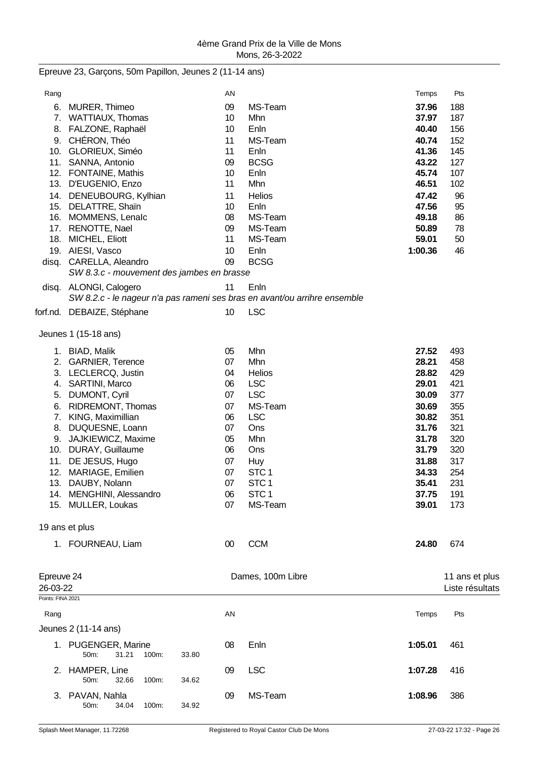Epreuve 23, Garçons, 50m Papillon, Jeunes 2 (11-14 ans)

| Rang              |                                           |       | AN |                                                                           | Temps   | Pts             |
|-------------------|-------------------------------------------|-------|----|---------------------------------------------------------------------------|---------|-----------------|
| 6.                | MURER, Thimeo                             |       | 09 | MS-Team                                                                   | 37.96   | 188             |
|                   | 7. WATTIAUX, Thomas                       |       | 10 | Mhn                                                                       | 37.97   | 187             |
| 8.                | FALZONE, Raphaël                          |       | 10 | Enln                                                                      | 40.40   | 156             |
| 9.                | CHÉRON, Théo                              |       | 11 | MS-Team                                                                   | 40.74   | 152             |
|                   | 10. GLORIEUX, Siméo                       |       | 11 | Enln                                                                      | 41.36   | 145             |
|                   | 11. SANNA, Antonio                        |       | 09 | <b>BCSG</b>                                                               | 43.22   | 127             |
|                   | 12. FONTAINE, Mathis                      |       | 10 | Enln                                                                      | 45.74   | 107             |
|                   | 13. D'EUGENIO, Enzo                       |       | 11 | Mhn                                                                       | 46.51   | 102             |
|                   | 14. DENEUBOURG, Kylhian                   |       | 11 | <b>Helios</b>                                                             | 47.42   | 96              |
|                   | 15. DELATTRE, Shaïn                       |       | 10 | Enln                                                                      | 47.56   | 95              |
|                   | 16. MOMMENS, Lenalc                       |       | 08 | MS-Team                                                                   | 49.18   | 86              |
|                   | 17. RENOTTE, Nael                         |       | 09 | MS-Team                                                                   | 50.89   | 78              |
|                   | 18. MICHEL, Eliott                        |       | 11 | MS-Team                                                                   | 59.01   | 50              |
|                   | 19. AIESI, Vasco                          |       | 10 | Enln                                                                      | 1:00.36 | 46              |
|                   | disq. CARELLA, Aleandro                   |       | 09 | <b>BCSG</b>                                                               |         |                 |
|                   | SW 8.3.c - mouvement des jambes en brasse |       |    |                                                                           |         |                 |
|                   | disq. ALONGI, Calogero                    |       | 11 | Enln                                                                      |         |                 |
|                   |                                           |       |    | SW 8.2.c - le nageur n'a pas rameni ses bras en avant/ou arrihre ensemble |         |                 |
|                   | forf.nd. DEBAIZE, Stéphane                |       | 10 | <b>LSC</b>                                                                |         |                 |
|                   |                                           |       |    |                                                                           |         |                 |
|                   | Jeunes 1 (15-18 ans)                      |       |    |                                                                           |         |                 |
|                   | 1. BIAD, Malik                            |       | 05 | Mhn                                                                       | 27.52   | 493             |
|                   | 2. GARNIER, Terence                       |       | 07 | Mhn                                                                       | 28.21   | 458             |
|                   | 3. LECLERCQ, Justin                       |       | 04 | Helios                                                                    | 28.82   | 429             |
|                   | 4. SARTINI, Marco                         |       | 06 | <b>LSC</b>                                                                | 29.01   | 421             |
| 5.                | <b>DUMONT, Cyril</b>                      |       | 07 | <b>LSC</b>                                                                | 30.09   | 377             |
| 6.                | RIDREMONT, Thomas                         |       | 07 | MS-Team                                                                   | 30.69   | 355             |
|                   | 7. KING, Maximillian                      |       | 06 | <b>LSC</b>                                                                | 30.82   | 351             |
| 8.                | DUQUESNE, Loann                           |       | 07 | Ons                                                                       | 31.76   | 321             |
|                   | 9. JAJKIEWICZ, Maxime                     |       | 05 | Mhn                                                                       | 31.78   | 320             |
|                   | 10. DURAY, Guillaume                      |       | 06 | Ons                                                                       | 31.79   | 320             |
|                   | 11. DE JESUS, Hugo                        |       | 07 | Huy                                                                       | 31.88   | 317             |
|                   | 12. MARIAGE, Emilien                      |       | 07 | STC <sub>1</sub>                                                          | 34.33   | 254             |
|                   | 13. DAUBY, Nolann                         |       | 07 | STC <sub>1</sub>                                                          | 35.41   | 231             |
|                   | 14. MENGHINI, Alessandro                  |       | 06 | STC <sub>1</sub>                                                          | 37.75   | 191             |
|                   | 15. MULLER, Loukas                        |       | 07 | MS-Team                                                                   | 39.01   | 173             |
|                   |                                           |       |    |                                                                           |         |                 |
|                   | 19 ans et plus                            |       |    |                                                                           |         |                 |
|                   | 1. FOURNEAU, Liam                         |       | 00 | <b>CCM</b>                                                                | 24.80   | 674             |
|                   |                                           |       |    |                                                                           |         |                 |
|                   |                                           |       |    |                                                                           |         |                 |
| Epreuve 24        |                                           |       |    | Dames, 100m Libre                                                         |         | 11 ans et plus  |
| 26-03-22          |                                           |       |    |                                                                           |         | Liste résultats |
| Points: FINA 2021 |                                           |       |    |                                                                           |         |                 |
| Rang              |                                           |       | AN |                                                                           | Temps   | Pts             |
|                   | Jeunes 2 (11-14 ans)                      |       |    |                                                                           |         |                 |
|                   | 1. PUGENGER, Marine                       |       | 08 | Enln                                                                      | 1:05.01 | 461             |
|                   | 31.21<br>50m:<br>100m:                    | 33.80 |    |                                                                           |         |                 |
|                   |                                           |       |    |                                                                           |         |                 |
|                   | 2. HAMPER, Line<br>50m:<br>32.66          |       | 09 | <b>LSC</b>                                                                | 1:07.28 | 416             |
|                   | 100m:                                     | 34.62 |    |                                                                           |         |                 |
|                   | 3. PAVAN, Nahla                           |       | 09 | MS-Team                                                                   | 1:08.96 | 386             |
|                   | 50m:<br>34.04<br>100m:                    | 34.92 |    |                                                                           |         |                 |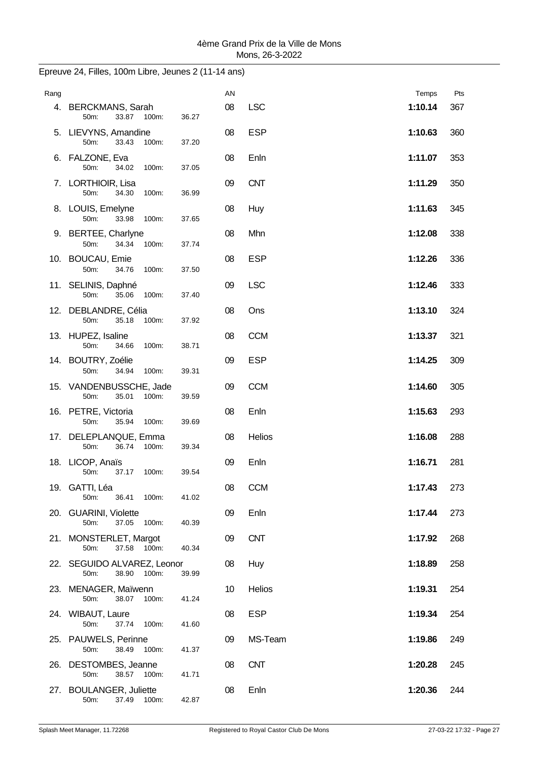| Rang |                                                       |       | AN |            | Temps   | Pts |
|------|-------------------------------------------------------|-------|----|------------|---------|-----|
|      | 4. BERCKMANS, Sarah<br>33.87<br>50m:<br>100m:         | 36.27 | 08 | <b>LSC</b> | 1:10.14 | 367 |
|      | 5. LIEVYNS, Amandine<br>50m:<br>33.43<br>100m:        | 37.20 | 08 | <b>ESP</b> | 1:10.63 | 360 |
|      | 6. FALZONE, Eva<br>100m:<br>50m:<br>34.02             | 37.05 | 08 | Enln       | 1:11.07 | 353 |
|      | 7. LORTHIOIR, Lisa<br>50m:<br>34.30<br>100m:          | 36.99 | 09 | <b>CNT</b> | 1:11.29 | 350 |
|      | 8. LOUIS, Emelyne<br>50m:<br>33.98<br>100m:           | 37.65 | 08 | Huy        | 1:11.63 | 345 |
|      | 9. BERTEE, Charlyne<br>50m:<br>34.34<br>100m:         | 37.74 | 08 | Mhn        | 1:12.08 | 338 |
|      | 10. BOUCAU, Emie<br>50m:<br>34.76<br>100m:            | 37.50 | 08 | <b>ESP</b> | 1:12.26 | 336 |
|      | 11. SELINIS, Daphné<br>50m:<br>35.06<br>100m:         | 37.40 | 09 | <b>LSC</b> | 1:12.46 | 333 |
|      | 12. DEBLANDRE, Célia<br>50m:<br>35.18<br>100m:        | 37.92 | 08 | Ons        | 1:13.10 | 324 |
|      | 13. HUPEZ, Isaline<br>50m:<br>34.66<br>100m:          | 38.71 | 08 | <b>CCM</b> | 1:13.37 | 321 |
|      | 14. BOUTRY, Zoélie<br>50m:<br>34.94<br>100m:          | 39.31 | 09 | <b>ESP</b> | 1:14.25 | 309 |
|      | 15. VANDENBUSSCHE, Jade<br>35.01<br>50m:<br>100m:     | 39.59 | 09 | <b>CCM</b> | 1:14.60 | 305 |
|      | 16. PETRE, Victoria<br>50m:<br>35.94<br>100m:         | 39.69 | 08 | Enln       | 1:15.63 | 293 |
|      | 17. DELEPLANQUE, Emma<br>50m:<br>36.74<br>100m:       | 39.34 | 08 | Helios     | 1:16.08 | 288 |
|      | 18. LICOP, Anaïs<br>50m:<br>37.17<br>100m:            | 39.54 | 09 | Enln       | 1:16.71 | 281 |
|      | 19. GATTI, Léa<br>50m:<br>36.41<br>100m:              | 41.02 | 08 | <b>CCM</b> | 1:17.43 | 273 |
|      | 20. GUARINI, Violette<br>50m:<br>37.05<br>100m:       | 40.39 | 09 | Enln       | 1:17.44 | 273 |
|      | 21. MONSTERLET, Margot<br>50m:<br>37.58<br>100m:      | 40.34 | 09 | <b>CNT</b> | 1:17.92 | 268 |
|      | 22. SEGUIDO ALVAREZ, Leonor<br>50m:<br>38.90<br>100m: | 39.99 | 08 | Huy        | 1:18.89 | 258 |
|      | 23. MENAGER, Maïwenn<br>50m:<br>38.07<br>100m:        | 41.24 | 10 | Helios     | 1:19.31 | 254 |
|      | 24. WIBAUT, Laure<br>50m:<br>37.74<br>100m:           | 41.60 | 08 | <b>ESP</b> | 1:19.34 | 254 |
|      | 25. PAUWELS, Perinne<br>50m:<br>38.49<br>100m:        | 41.37 | 09 | MS-Team    | 1:19.86 | 249 |
|      | 26. DESTOMBES, Jeanne<br>50m:<br>38.57 100m:          | 41.71 | 08 | <b>CNT</b> | 1:20.28 | 245 |
|      | 27. BOULANGER, Juliette<br>37.49 100m:<br>50m:        | 42.87 | 08 | Enln       | 1:20.36 | 244 |

# Epreuve 24, Filles, 100m Libre, Jeunes 2 (11-14 ans)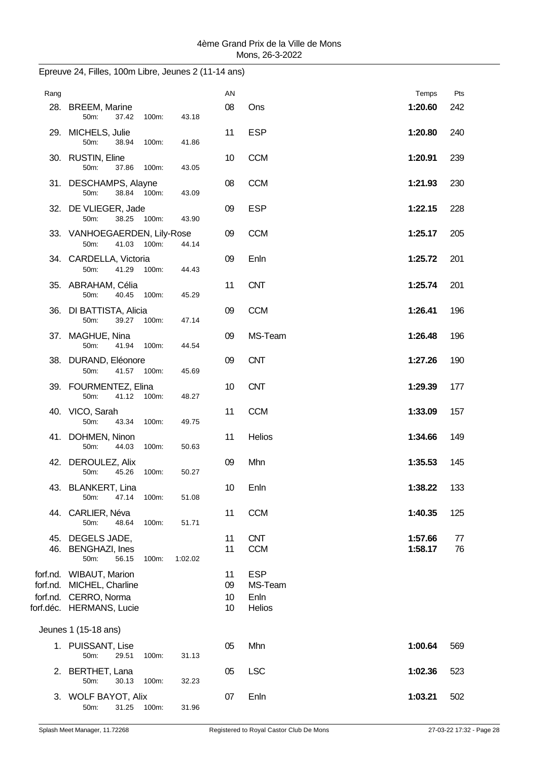| Rang       |                                                                                                           |         | AN                   |                                         | Temps              | Pts      |
|------------|-----------------------------------------------------------------------------------------------------------|---------|----------------------|-----------------------------------------|--------------------|----------|
|            | 28. BREEM, Marine<br>50m:<br>37.42<br>100m:                                                               | 43.18   | 08                   | Ons                                     | 1:20.60            | 242      |
|            | 29. MICHELS, Julie<br>50m:<br>38.94<br>100m:                                                              | 41.86   | 11                   | <b>ESP</b>                              | 1:20.80            | 240      |
|            | 30. RUSTIN, Eline<br>50m:<br>37.86<br>100m:                                                               | 43.05   | 10                   | <b>CCM</b>                              | 1:20.91            | 239      |
|            | 31. DESCHAMPS, Alayne<br>38.84 100m:<br>50m:                                                              | 43.09   | 08                   | <b>CCM</b>                              | 1:21.93            | 230      |
|            | 32. DE VLIEGER, Jade<br>38.25 100m:<br>50m:                                                               | 43.90   | 09                   | <b>ESP</b>                              | 1:22.15            | 228      |
|            | 33. VANHOEGAERDEN, Lily-Rose<br>41.03<br>100m:<br>50m:                                                    | 44.14   | 09                   | <b>CCM</b>                              | 1:25.17            | 205      |
|            | 34. CARDELLA, Victoria<br>50m:<br>41.29<br>100m:                                                          | 44.43   | 09                   | Enln                                    | 1:25.72            | 201      |
|            | 35. ABRAHAM, Célia<br>50m:<br>40.45<br>100m:                                                              | 45.29   | 11                   | <b>CNT</b>                              | 1:25.74            | 201      |
|            | 36. DI BATTISTA, Alicia<br>50m:<br>39.27<br>100m:                                                         | 47.14   | 09                   | <b>CCM</b>                              | 1:26.41            | 196      |
|            | 37. MAGHUE, Nina<br>50m:<br>41.94<br>100m:                                                                | 44.54   | 09                   | MS-Team                                 | 1:26.48            | 196      |
|            | 38. DURAND, Eléonore<br>50m:<br>41.57 100m:                                                               | 45.69   | 09                   | <b>CNT</b>                              | 1:27.26            | 190      |
|            | 39. FOURMENTEZ, Elina<br>50m:<br>41.12<br>100m:                                                           | 48.27   | 10                   | <b>CNT</b>                              | 1:29.39            | 177      |
|            | 40. VICO, Sarah<br>50m:<br>43.34<br>100m:                                                                 | 49.75   | 11                   | <b>CCM</b>                              | 1:33.09            | 157      |
|            | 41. DOHMEN, Ninon<br>100m:<br>50m:<br>44.03                                                               | 50.63   | 11                   | Helios                                  | 1:34.66            | 149      |
|            | 42. DEROULEZ, Alix<br>50m:<br>45.26<br>100m:                                                              | 50.27   | 09                   | Mhn                                     | 1:35.53            | 145      |
|            | 43. BLANKERT, Lina<br>47.14<br>50m:<br>100m:                                                              | 51.08   | 10                   | Enln                                    | 1:38.22            | 133      |
|            | 44. CARLIER, Néva<br>50m:<br>48.64<br>100m:                                                               | 51.71   | 11                   | <b>CCM</b>                              | 1:40.35            | 125      |
| 45.<br>46. | DEGELS JADE,<br><b>BENGHAZI, Ines</b><br>50m:<br>56.15<br>100m:                                           | 1:02.02 | 11<br>11             | <b>CNT</b><br><b>CCM</b>                | 1:57.66<br>1:58.17 | 77<br>76 |
|            | forf.nd. WIBAUT, Marion<br>forf.nd. MICHEL, Charline<br>forf.nd. CERRO, Norma<br>forf.déc. HERMANS, Lucie |         | 11<br>09<br>10<br>10 | <b>ESP</b><br>MS-Team<br>Enln<br>Helios |                    |          |
|            | Jeunes 1 (15-18 ans)                                                                                      |         |                      |                                         |                    |          |
|            | 1. PUISSANT, Lise<br>50m:<br>29.51<br>100m:                                                               | 31.13   | 05                   | Mhn                                     | 1:00.64            | 569      |
| 2.         | BERTHET, Lana<br>50m:<br>30.13<br>100m:                                                                   | 32.23   | 05                   | <b>LSC</b>                              | 1:02.36            | 523      |
|            | 3. WOLF BAYOT, Alix<br>50m:<br>31.25<br>100m:                                                             | 31.96   | 07                   | Enln                                    | 1:03.21            | 502      |

# Epreuve 24, Filles, 100m Libre, Jeunes 2 (11-14 ans)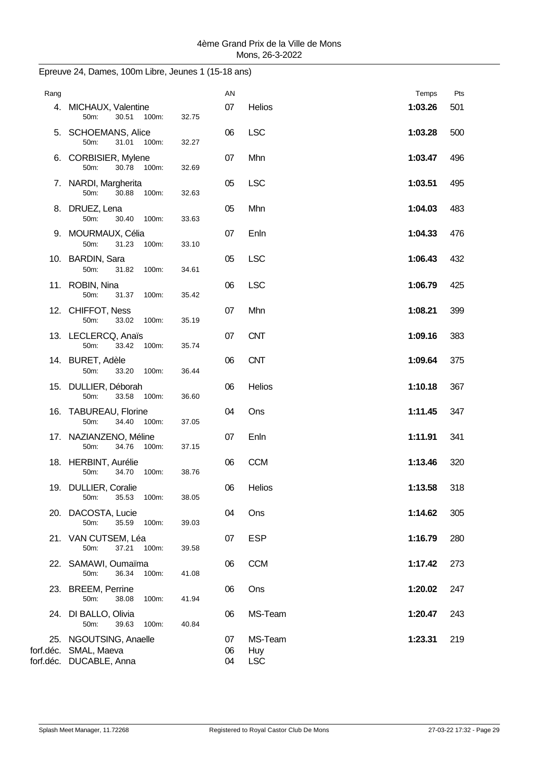| Rang |                                                                           |       | AN       |                | Temps   | Pts |
|------|---------------------------------------------------------------------------|-------|----------|----------------|---------|-----|
|      | 4. MICHAUX, Valentine<br>50m:<br>30.51 100m:                              | 32.75 | 07       | Helios         | 1:03.26 | 501 |
|      | 5. SCHOEMANS, Alice<br>50m:<br>31.01<br>100m:                             | 32.27 | 06       | <b>LSC</b>     | 1:03.28 | 500 |
|      | 6. CORBISIER, Mylene<br>100m:<br>50m:<br>30.78                            | 32.69 | 07       | Mhn            | 1:03.47 | 496 |
|      | 7. NARDI, Margherita<br>50m:<br>30.88<br>100m:                            | 32.63 | 05       | <b>LSC</b>     | 1:03.51 | 495 |
|      | 8. DRUEZ, Lena<br>50m:<br>30.40<br>100m:                                  | 33.63 | 05       | Mhn            | 1:04.03 | 483 |
|      | 9. MOURMAUX, Célia<br>31.23<br>50m:<br>100m:                              | 33.10 | 07       | Enln           | 1:04.33 | 476 |
|      | 10. BARDIN, Sara<br>50m:<br>31.82<br>100m:                                | 34.61 | 05       | <b>LSC</b>     | 1:06.43 | 432 |
|      | 11. ROBIN, Nina<br>50m:<br>31.37<br>100m:                                 | 35.42 | 06       | <b>LSC</b>     | 1:06.79 | 425 |
|      | 12. CHIFFOT, Ness<br>50m:<br>33.02<br>100m:                               | 35.19 | 07       | Mhn            | 1:08.21 | 399 |
|      | 13. LECLERCQ, Anaïs<br>50m:<br>33.42<br>100m:                             | 35.74 | 07       | <b>CNT</b>     | 1:09.16 | 383 |
|      | 14. BURET, Adèle<br>50m:<br>33.20<br>100m:                                | 36.44 | 06       | <b>CNT</b>     | 1:09.64 | 375 |
|      | 15. DULLIER, Déborah<br>100m:<br>50m:<br>33.58                            | 36.60 | 06       | Helios         | 1:10.18 | 367 |
|      | 16. TABUREAU, Florine<br>50m:<br>34.40<br>100m:                           | 37.05 | 04       | Ons            | 1:11.45 | 347 |
|      | 17. NAZIANZENO, Méline<br>50m:<br>100m:<br>34.76                          | 37.15 | 07       | Enln           | 1:11.91 | 341 |
|      | 18. HERBINT, Aurélie<br>50m:<br>34.70<br>100m:                            | 38.76 | 06       | <b>CCM</b>     | 1:13.46 | 320 |
|      | 19. DULLIER, Coralie<br>50m:<br>35.53<br>100m:                            | 38.05 | 06       | Helios         | 1:13.58 | 318 |
|      | 20. DACOSTA, Lucie<br>100m:                                               |       | 04       | Ons            | 1:14.62 | 305 |
|      | 50m:<br>35.59<br>21. VAN CUTSEM, Léa                                      | 39.03 | 07       | <b>ESP</b>     | 1:16.79 | 280 |
|      | 50m:<br>37.21<br>100m:<br>22. SAMAWI, Oumaïma                             | 39.58 | 06       | <b>CCM</b>     | 1:17.42 | 273 |
|      | 50m:<br>36.34<br>100m:<br>23. BREEM, Perrine                              | 41.08 | 06       | Ons            | 1:20.02 | 247 |
|      | 50m:<br>38.08<br>100m:<br>24. DI BALLO, Olivia                            | 41.94 | 06       | MS-Team        | 1:20.47 | 243 |
|      | 50m:<br>39.63<br>100m:<br>25. NGOUTSING, Anaelle<br>forf.déc. SMAL, Maeva | 40.84 | 07<br>06 | MS-Team<br>Huy | 1:23.31 | 219 |
|      | forf.déc. DUCABLE, Anna                                                   |       | 04       | <b>LSC</b>     |         |     |

## Epreuve 24, Dames, 100m Libre, Jeunes 1 (15-18 ans)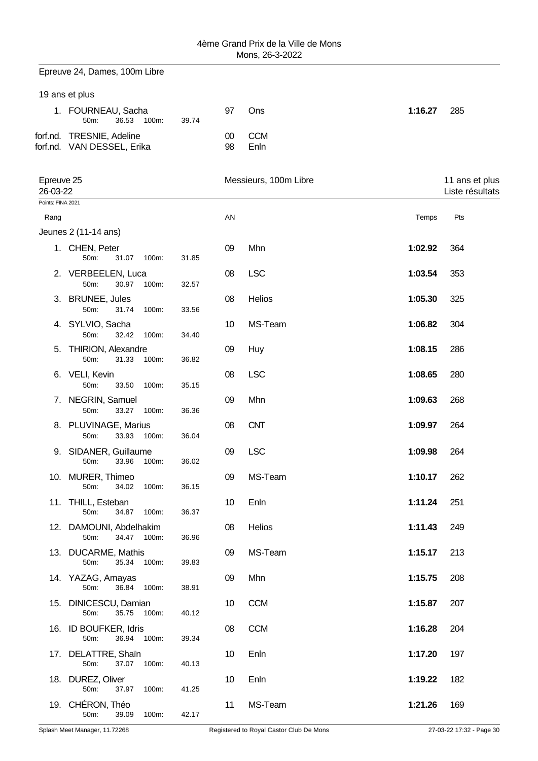Epreuve 24, Dames, 100m Libre

### 19 ans et plus

| 1. FOURNEAU, Sacha<br>36.53 100m:<br>50m:               | 97<br>39.74 |    | Ons            | 1:16.27 | -285 |
|---------------------------------------------------------|-------------|----|----------------|---------|------|
| forf.nd. TRESNIE, Adeline<br>forf.nd. VAN DESSEL, Erika |             | 98 | 00 CCM<br>Enln |         |      |

| Epreuve 25<br>26-03-22 |                                                 |       |    | Messieurs, 100m Libre |         | 11 ans et plus<br>Liste résultats |
|------------------------|-------------------------------------------------|-------|----|-----------------------|---------|-----------------------------------|
| Points: FINA 2021      |                                                 |       |    |                       |         |                                   |
| Rang                   |                                                 |       | AN |                       | Temps   | Pts                               |
|                        | Jeunes 2 (11-14 ans)                            |       |    |                       |         |                                   |
|                        | 1. CHEN, Peter<br>50m:<br>31.07<br>100m:        | 31.85 | 09 | Mhn                   | 1:02.92 | 364                               |
|                        | 2. VERBEELEN, Luca<br>50m:<br>30.97<br>100m:    | 32.57 | 08 | <b>LSC</b>            | 1:03.54 | 353                               |
|                        | 3. BRUNEE, Jules<br>50m:<br>31.74<br>100m:      | 33.56 | 08 | Helios                | 1:05.30 | 325                               |
|                        | 4. SYLVIO, Sacha<br>50m:<br>32.42<br>100m:      | 34.40 | 10 | MS-Team               | 1:06.82 | 304                               |
|                        | 5. THIRION, Alexandre<br>50m:<br>31.33<br>100m: | 36.82 | 09 | Huy                   | 1:08.15 | 286                               |
|                        | 6. VELI, Kevin<br>50m:<br>33.50<br>100m:        | 35.15 | 08 | <b>LSC</b>            | 1:08.65 | 280                               |
|                        | 7. NEGRIN, Samuel<br>33.27<br>50m:<br>100m:     | 36.36 | 09 | Mhn                   | 1:09.63 | 268                               |
|                        | 8. PLUVINAGE, Marius<br>50m:<br>33.93<br>100m:  | 36.04 | 08 | <b>CNT</b>            | 1:09.97 | 264                               |
|                        | 9. SIDANER, Guillaume<br>33.96<br>50m:<br>100m: | 36.02 | 09 | <b>LSC</b>            | 1:09.98 | 264                               |
|                        | 10. MURER, Thimeo<br>50m:<br>34.02<br>100m:     | 36.15 | 09 | MS-Team               | 1:10.17 | 262                               |
|                        | 11. THILL, Esteban<br>50m:<br>34.87<br>100m:    | 36.37 | 10 | Enln                  | 1:11.24 | 251                               |
| 12.                    | DAMOUNI, Abdelhakim<br>34.47<br>50m:<br>100m:   | 36.96 | 08 | Helios                | 1:11.43 | 249                               |
|                        | 13. DUCARME, Mathis<br>35.34<br>100m:<br>50m:   | 39.83 | 09 | MS-Team               | 1:15.17 | 213                               |
|                        | 14. YAZAG, Amayas<br>36.84 100m:<br>50m:        | 38.91 | 09 | Mhn                   | 1:15.75 | 208                               |
| 15.                    | DINICESCU, Damian<br>35.75 100m:<br>50m:        | 40.12 | 10 | <b>CCM</b>            | 1:15.87 | 207                               |
|                        | 16. ID BOUFKER, Idris<br>50m:<br>36.94<br>100m: | 39.34 | 08 | <b>CCM</b>            | 1:16.28 | 204                               |
|                        | 17. DELATTRE, Shaïn<br>50m:<br>37.07 100m:      | 40.13 | 10 | Enln                  | 1:17.20 | 197                               |
|                        | 18. DUREZ, Oliver<br>50m:<br>37.97<br>100m:     | 41.25 | 10 | Enln                  | 1:19.22 | 182                               |
|                        | 19. CHÉRON, Théo<br>50m:<br>39.09<br>100m:      | 42.17 | 11 | MS-Team               | 1:21.26 | 169                               |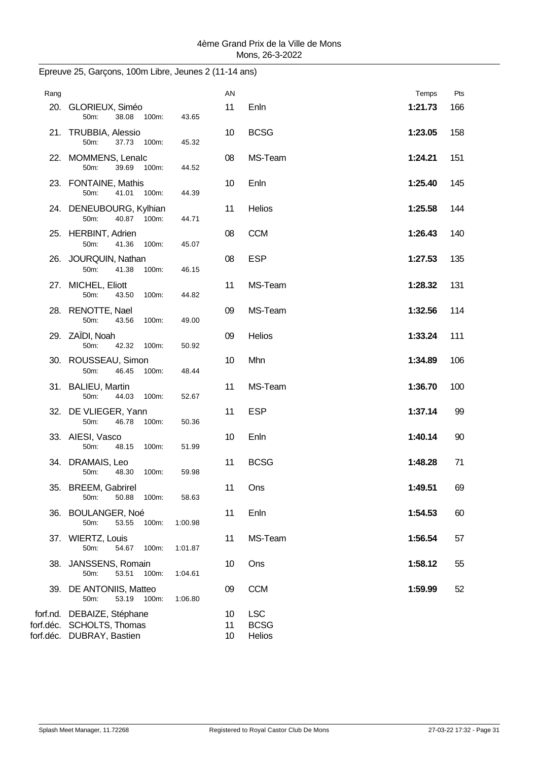| Rang |                                                                                      |         | AN             |                                     | Temps   | Pts |
|------|--------------------------------------------------------------------------------------|---------|----------------|-------------------------------------|---------|-----|
|      | 20. GLORIEUX, Siméo<br>100m:<br>50m:<br>38.08                                        | 43.65   | 11             | Enln                                | 1:21.73 | 166 |
|      | 21. TRUBBIA, Alessio<br>50m:<br>37.73 100m:                                          | 45.32   | 10             | <b>BCSG</b>                         | 1:23.05 | 158 |
|      | 22. MOMMENS, Lenalc<br>39.69 100m:<br>50m:                                           | 44.52   | 08             | MS-Team                             | 1:24.21 | 151 |
|      | 23. FONTAINE, Mathis<br>50m:<br>41.01<br>100m:                                       | 44.39   | 10             | Enln                                | 1:25.40 | 145 |
|      | 24. DENEUBOURG, Kylhian<br>50m:<br>40.87 100m:                                       | 44.71   | 11             | Helios                              | 1:25.58 | 144 |
|      | 25. HERBINT, Adrien<br>41.36<br>50m:<br>100m:                                        | 45.07   | 08             | <b>CCM</b>                          | 1:26.43 | 140 |
|      | 26. JOURQUIN, Nathan<br>50m:<br>41.38<br>100m:                                       | 46.15   | 08             | <b>ESP</b>                          | 1:27.53 | 135 |
|      | 27. MICHEL, Eliott<br>50m:<br>43.50<br>100m:                                         | 44.82   | 11             | MS-Team                             | 1:28.32 | 131 |
|      | 28. RENOTTE, Nael<br>50m:<br>43.56<br>100m:                                          | 49.00   | 09             | MS-Team                             | 1:32.56 | 114 |
|      | 29. ZAÏDI, Noah<br>50m:<br>42.32<br>100m:                                            | 50.92   | 09             | Helios                              | 1:33.24 | 111 |
|      | 30. ROUSSEAU, Simon<br>50 <sub>m</sub> :<br>46.45 100m:                              | 48.44   | 10             | Mhn                                 | 1:34.89 | 106 |
|      | 31. BALIEU, Martin<br>50m:<br>44.03<br>100m:                                         | 52.67   | 11             | MS-Team                             | 1:36.70 | 100 |
|      | 32. DE VLIEGER, Yann<br>50m:<br>46.78<br>100m:                                       | 50.36   | 11             | <b>ESP</b>                          | 1:37.14 | 99  |
|      | 33. AIESI, Vasco<br>48.15 100m:<br>50m:                                              | 51.99   | 10             | Enln                                | 1:40.14 | 90  |
|      | 34. DRAMAIS, Leo<br>50m:<br>48.30<br>100m:                                           | 59.98   | 11             | <b>BCSG</b>                         | 1:48.28 | 71  |
|      | 35. BREEM, Gabrirel<br>50.88<br>50m:<br>100m:                                        | 58.63   | 11             | Ons                                 | 1:49.51 | 69  |
|      | 36. BOULANGER, Noé<br>50m:<br>53.55<br>100m:                                         | 1:00.98 | 11             | Enln                                | 1:54.53 | 60  |
|      | 37. WIERTZ, Louis<br>50m:<br>54.67<br>100m:                                          | 1:01.87 | 11             | MS-Team                             | 1:56.54 | 57  |
|      | 38. JANSSENS, Romain<br>53.51<br>100m:<br>50m:                                       | 1:04.61 | 10             | Ons                                 | 1:58.12 | 55  |
| 39.  | DE ANTONIIS, Matteo<br>50m:<br>53.19<br>100m:                                        | 1:06.80 | 09             | <b>CCM</b>                          | 1:59.99 | 52  |
|      | forf.nd. DEBAIZE, Stéphane<br>forf.déc. SCHOLTS, Thomas<br>forf.déc. DUBRAY, Bastien |         | 10<br>11<br>10 | <b>LSC</b><br><b>BCSG</b><br>Helios |         |     |

## Epreuve 25, Garçons, 100m Libre, Jeunes 2 (11-14 ans)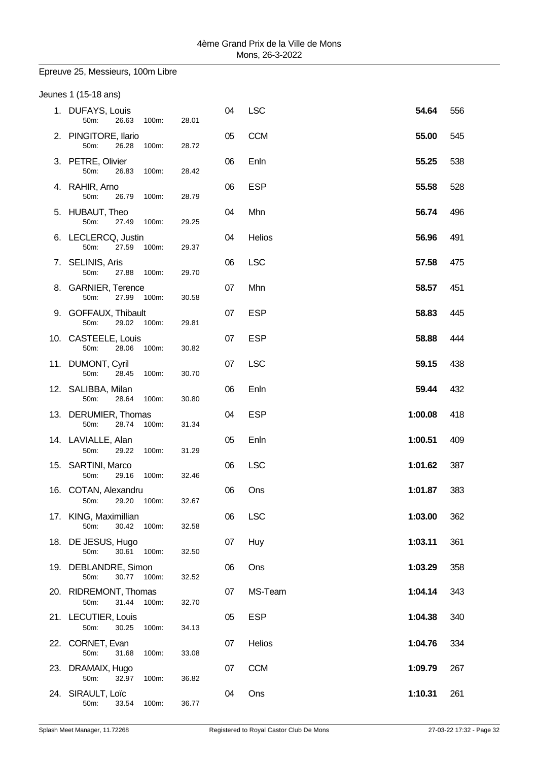### Epreuve 25, Messieurs, 100m Libre

| Jeunes 1 (15-18 ans)                        |       |       |    |            |         |     |
|---------------------------------------------|-------|-------|----|------------|---------|-----|
| 1. DUFAYS, Louis<br>50m:<br>26.63           | 100m: | 28.01 | 04 | <b>LSC</b> | 54.64   | 556 |
| 2. PINGITORE, Ilario<br>50m:<br>26.28       | 100m: | 28.72 | 05 | <b>CCM</b> | 55.00   | 545 |
| 3. PETRE, Olivier<br>50m:<br>26.83          | 100m: | 28.42 | 06 | Enln       | 55.25   | 538 |
| 4. RAHIR, Arno<br>50m:<br>26.79             | 100m: | 28.79 | 06 | <b>ESP</b> | 55.58   | 528 |
| 5. HUBAUT, Theo<br>50m:<br>27.49            | 100m: | 29.25 | 04 | Mhn        | 56.74   | 496 |
| 6. LECLERCQ, Justin<br>50m:<br>27.59        | 100m: | 29.37 | 04 | Helios     | 56.96   | 491 |
| 7. SELINIS, Aris<br>50m:<br>27.88           | 100m: | 29.70 | 06 | <b>LSC</b> | 57.58   | 475 |
| 8. GARNIER, Terence<br>50m:<br>27.99        | 100m: | 30.58 | 07 | Mhn        | 58.57   | 451 |
| 9. GOFFAUX, Thibault<br>50m:<br>29.02 100m: |       | 29.81 | 07 | <b>ESP</b> | 58.83   | 445 |
| 10. CASTEELE, Louis<br>50m:<br>28.06        | 100m: | 30.82 | 07 | <b>ESP</b> | 58.88   | 444 |
| 11. DUMONT, Cyril<br>28.45<br>50m:          | 100m: | 30.70 | 07 | <b>LSC</b> | 59.15   | 438 |
| 12. SALIBBA, Milan<br>50m:<br>28.64         | 100m: | 30.80 | 06 | Enln       | 59.44   | 432 |
| 13. DERUMIER, Thomas<br>28.74<br>50m:       | 100m: | 31.34 | 04 | <b>ESP</b> | 1:00.08 | 418 |
| 14. LAVIALLE, Alan<br>50m:<br>29.22         | 100m: | 31.29 | 05 | Enln       | 1:00.51 | 409 |
| 15. SARTINI, Marco<br>29.16<br>50m:         | 100m: | 32.46 | 06 | <b>LSC</b> | 1:01.62 | 387 |
| 16. COTAN, Alexandru<br>50m:<br>29.20       | 100m: | 32.67 | 06 | Ons        | 1:01.87 | 383 |
| 17. KING, Maximillian<br>50m:<br>30.42      | 100m: | 32.58 | 06 | <b>LSC</b> | 1:03.00 | 362 |
| 18. DE JESUS, Hugo<br>50m:<br>30.61         | 100m: | 32.50 | 07 | Huy        | 1:03.11 | 361 |
| 19. DEBLANDRE, Simon<br>50m:<br>30.77 100m: |       | 32.52 | 06 | Ons        | 1:03.29 | 358 |
| 20. RIDREMONT, Thomas<br>50m:<br>31.44      | 100m: | 32.70 | 07 | MS-Team    | 1:04.14 | 343 |
| 21. LECUTIER, Louis<br>30.25<br>50m:        | 100m: | 34.13 | 05 | <b>ESP</b> | 1:04.38 | 340 |
| 22. CORNET, Evan<br>50m:<br>31.68           | 100m: | 33.08 | 07 | Helios     | 1:04.76 | 334 |
| 23. DRAMAIX, Hugo<br>50m:<br>32.97          | 100m: | 36.82 | 07 | <b>CCM</b> | 1:09.79 | 267 |
| 24. SIRAULT, Loïc<br>50m:<br>33.54          | 100m: | 36.77 | 04 | Ons        | 1:10.31 | 261 |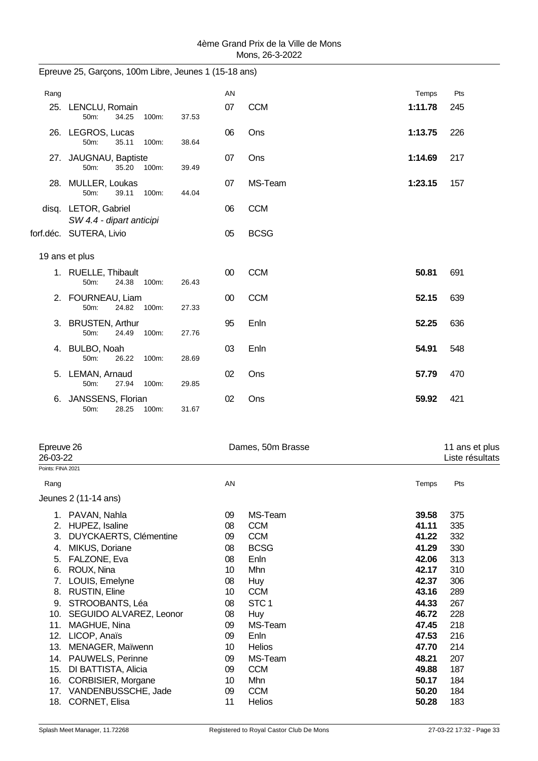| Rang |                                                  |       | AN |             | Temps   | Pts |
|------|--------------------------------------------------|-------|----|-------------|---------|-----|
|      | 25. LENCLU, Romain<br>50m:<br>34.25<br>100m:     | 37.53 | 07 | <b>CCM</b>  | 1:11.78 | 245 |
|      | 26. LEGROS, Lucas<br>35.11<br>100m:<br>50m:      | 38.64 | 06 | Ons         | 1:13.75 | 226 |
|      | 27. JAUGNAU, Baptiste<br>35.20 100m:<br>50m:     | 39.49 | 07 | Ons         | 1:14.69 | 217 |
|      | 28. MULLER, Loukas<br>50m:<br>39.11<br>100m:     | 44.04 | 07 | MS-Team     | 1:23.15 | 157 |
|      | disq. LETOR, Gabriel<br>SW 4.4 - dipart anticipi |       | 06 | <b>CCM</b>  |         |     |
|      | forf.déc. SUTERA, Livio                          |       | 05 | <b>BCSG</b> |         |     |
|      | 19 ans et plus                                   |       |    |             |         |     |
|      | 1. RUELLE, Thibault<br>50m:<br>24.38 100m:       | 26.43 | 00 | <b>CCM</b>  | 50.81   | 691 |
|      | 2. FOURNEAU, Liam<br>50m:<br>24.82 100m:         | 27.33 | 00 | <b>CCM</b>  | 52.15   | 639 |
|      | 3. BRUSTEN, Arthur<br>50m:<br>24.49<br>100m:     | 27.76 | 95 | Enln        | 52.25   | 636 |
|      | 4. BULBO, Noah<br>50m:<br>26.22<br>100m:         | 28.69 | 03 | Enln        | 54.91   | 548 |
|      | 5. LEMAN, Arnaud<br>50m:<br>27.94<br>100m:       | 29.85 | 02 | Ons         | 57.79   | 470 |
|      | 6. JANSSENS, Florian<br>28.25<br>100m:<br>50m:   | 31.67 | 02 | Ons         | 59.92   | 421 |
|      |                                                  |       |    |             |         |     |

| Epreuve 26<br>26-03-22 |                               |    | Dames, 50m Brasse |       |     |  |  |
|------------------------|-------------------------------|----|-------------------|-------|-----|--|--|
| Points: FINA 2021      |                               |    |                   |       |     |  |  |
| Rang                   |                               | AN |                   | Temps | Pts |  |  |
|                        | Jeunes 2 (11-14 ans)          |    |                   |       |     |  |  |
|                        | PAVAN, Nahla                  | 09 | MS-Team           | 39.58 | 375 |  |  |
| 2.                     | HUPEZ, Isaline                | 08 | <b>CCM</b>        | 41.11 | 335 |  |  |
| 3.                     | <b>DUYCKAERTS, Clémentine</b> | 09 | <b>CCM</b>        | 41.22 | 332 |  |  |
| 4.                     | MIKUS, Doriane                | 08 | <b>BCSG</b>       | 41.29 | 330 |  |  |
| 5.                     | FALZONE, Eva                  | 08 | Enln              | 42.06 | 313 |  |  |
| 6.                     | ROUX, Nina                    | 10 | Mhn               | 42.17 | 310 |  |  |
| 7.                     | LOUIS, Emelyne                | 08 | Huy               | 42.37 | 306 |  |  |
| 8.                     | <b>RUSTIN, Eline</b>          | 10 | <b>CCM</b>        | 43.16 | 289 |  |  |
| 9.                     | STROOBANTS, Léa               | 08 | STC <sub>1</sub>  | 44.33 | 267 |  |  |
| 10.                    | SEGUIDO ALVAREZ, Leonor       | 08 | <b>Huy</b>        | 46.72 | 228 |  |  |
| 11.                    | MAGHUE, Nina                  | 09 | MS-Team           | 47.45 | 218 |  |  |
| 12.                    | LICOP, Anaïs                  | 09 | <b>Enln</b>       | 47.53 | 216 |  |  |
| 13.                    | MENAGER, Maïwenn              | 10 | <b>Helios</b>     | 47.70 | 214 |  |  |
| 14.                    | PAUWELS, Perinne              | 09 | MS-Team           | 48.21 | 207 |  |  |
| 15.                    | DI BATTISTA, Alicia           | 09 | <b>CCM</b>        | 49.88 | 187 |  |  |
| 16.                    | CORBISIER, Morgane            | 10 | Mhn               | 50.17 | 184 |  |  |
|                        | 17. VANDENBUSSCHE, Jade       | 09 | <b>CCM</b>        | 50.20 | 184 |  |  |
| 18.                    | CORNET, Elisa                 | 11 | <b>Helios</b>     | 50.28 | 183 |  |  |

### Epreuve 25, Garçons, 100m Libre, Jeunes 1 (15-18 ans)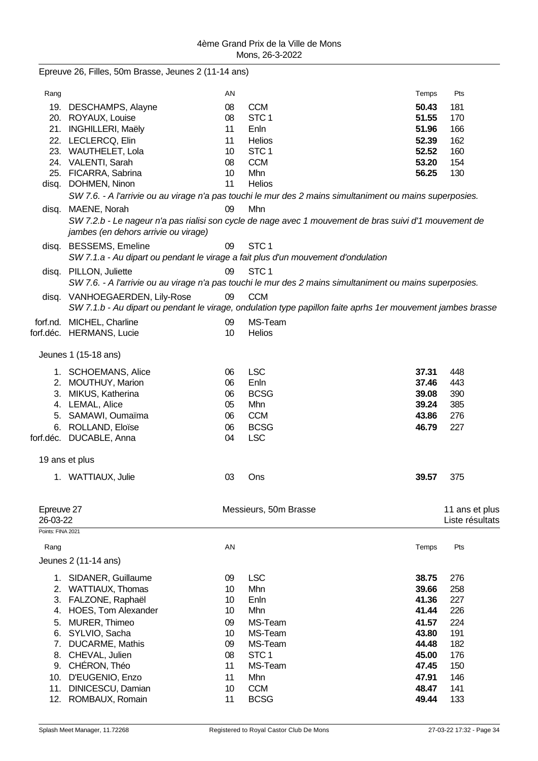|                   | Epreuve 26, Filles, 50m Brasse, Jeunes 2 (11-14 ans)                              |    |                                                                                                             |       |                 |
|-------------------|-----------------------------------------------------------------------------------|----|-------------------------------------------------------------------------------------------------------------|-------|-----------------|
| Rang              |                                                                                   | AN |                                                                                                             | Temps | Pts             |
|                   | 19. DESCHAMPS, Alayne                                                             | 08 | <b>CCM</b>                                                                                                  | 50.43 | 181             |
|                   | 20. ROYAUX, Louise                                                                | 08 | STC <sub>1</sub>                                                                                            | 51.55 | 170             |
|                   | 21. INGHILLERI, Maëly                                                             | 11 | Enln                                                                                                        | 51.96 | 166             |
|                   | 22. LECLERCQ, Elin                                                                | 11 | Helios                                                                                                      | 52.39 | 162             |
|                   | 23. WAUTHELET, Lola                                                               | 10 | STC <sub>1</sub>                                                                                            | 52.52 | 160             |
|                   | 24. VALENTI, Sarah                                                                | 08 | <b>CCM</b>                                                                                                  | 53.20 | 154             |
|                   | 25. FICARRA, Sabrina                                                              | 10 | Mhn                                                                                                         | 56.25 | 130             |
|                   | disq. DOHMEN, Ninon                                                               | 11 | <b>Helios</b>                                                                                               |       |                 |
|                   |                                                                                   |    | SW 7.6. - A l'arrivie ou au virage n'a pas touchi le mur des 2 mains simultaniment ou mains superposies.    |       |                 |
|                   | disq. MAENE, Norah                                                                | 09 | Mhn                                                                                                         |       |                 |
|                   | jambes (en dehors arrivie ou virage)                                              |    | SW 7.2.b - Le nageur n'a pas rialisi son cycle de nage avec 1 mouvement de bras suivi d'1 mouvement de      |       |                 |
|                   | disq. BESSEMS, Emeline                                                            | 09 | STC <sub>1</sub>                                                                                            |       |                 |
|                   | SW 7.1.a - Au dipart ou pendant le virage a fait plus d'un mouvement d'ondulation |    |                                                                                                             |       |                 |
|                   | disq. PILLON, Juliette                                                            | 09 | STC <sub>1</sub>                                                                                            |       |                 |
|                   |                                                                                   |    | SW 7.6. - A l'arrivie ou au virage n'a pas touchi le mur des 2 mains simultaniment ou mains superposies.    |       |                 |
|                   | disq. VANHOEGAERDEN, Lily-Rose                                                    | 09 | <b>CCM</b>                                                                                                  |       |                 |
|                   |                                                                                   |    | SW 7.1.b - Au dipart ou pendant le virage, ondulation type papillon faite aprhs 1er mouvement jambes brasse |       |                 |
|                   | forf.nd. MICHEL, Charline                                                         | 09 | MS-Team                                                                                                     |       |                 |
|                   | forf.déc. HERMANS, Lucie                                                          | 10 | Helios                                                                                                      |       |                 |
|                   |                                                                                   |    |                                                                                                             |       |                 |
|                   | Jeunes 1 (15-18 ans)                                                              |    |                                                                                                             |       |                 |
|                   | 1. SCHOEMANS, Alice                                                               | 06 | <b>LSC</b>                                                                                                  | 37.31 | 448             |
|                   | 2. MOUTHUY, Marion                                                                | 06 | Enln                                                                                                        | 37.46 | 443             |
|                   | 3. MIKUS, Katherina                                                               | 06 | <b>BCSG</b>                                                                                                 | 39.08 | 390             |
|                   | 4. LEMAL, Alice                                                                   | 05 | Mhn                                                                                                         | 39.24 | 385             |
|                   | 5. SAMAWI, Oumaïma                                                                | 06 | <b>CCM</b>                                                                                                  | 43.86 | 276             |
|                   | 6. ROLLAND, Eloïse                                                                | 06 | <b>BCSG</b>                                                                                                 | 46.79 | 227             |
|                   | forf.déc. DUCABLE, Anna                                                           | 04 | <b>LSC</b>                                                                                                  |       |                 |
|                   | 19 ans et plus                                                                    |    |                                                                                                             |       |                 |
|                   | 1. WATTIAUX, Julie                                                                | 03 | Ons                                                                                                         | 39.57 | 375             |
|                   |                                                                                   |    |                                                                                                             |       |                 |
| Epreuve 27        |                                                                                   |    | Messieurs, 50m Brasse                                                                                       |       | 11 ans et plus  |
| 26-03-22          |                                                                                   |    |                                                                                                             |       | Liste résultats |
| Points: FINA 2021 |                                                                                   |    |                                                                                                             |       |                 |
| Rang              |                                                                                   | AN |                                                                                                             | Temps | Pts             |
|                   | Jeunes 2 (11-14 ans)                                                              |    |                                                                                                             |       |                 |
|                   | 1. SIDANER, Guillaume                                                             | 09 | <b>LSC</b>                                                                                                  | 38.75 | 276             |
|                   | 2. WATTIAUX, Thomas                                                               | 10 | Mhn                                                                                                         | 39.66 | 258             |
| 3.                | FALZONE, Raphaël                                                                  | 10 | Enln                                                                                                        | 41.36 | 227             |
|                   | 4. HOES, Tom Alexander                                                            | 10 | Mhn                                                                                                         | 41.44 | 226             |
| 5.                | MURER, Thimeo                                                                     | 09 | MS-Team                                                                                                     | 41.57 | 224             |
| 6.                | SYLVIO, Sacha                                                                     | 10 | MS-Team                                                                                                     | 43.80 | 191             |
| 7.                | DUCARME, Mathis                                                                   | 09 | MS-Team                                                                                                     | 44.48 | 182             |
| 8.                | CHEVAL, Julien                                                                    | 08 | STC <sub>1</sub>                                                                                            | 45.00 | 176             |
| 9.                | CHÉRON, Théo                                                                      | 11 | MS-Team                                                                                                     | 47.45 | 150             |
| 10.               | D'EUGENIO, Enzo                                                                   | 11 | Mhn                                                                                                         | 47.91 | 146             |
| 11.               | DINICESCU, Damian                                                                 | 10 | <b>CCM</b>                                                                                                  | 48.47 | 141             |
| 12.               | ROMBAUX, Romain                                                                   | 11 | <b>BCSG</b>                                                                                                 | 49.44 | 133             |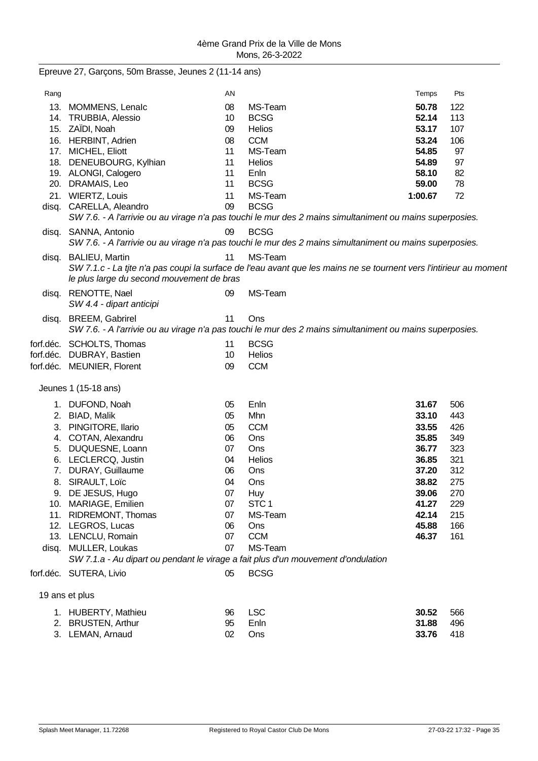| Epreuve 27, Garçons, 50m Brasse, Jeunes 2 (11-14 ans) |  |  |  |  |
|-------------------------------------------------------|--|--|--|--|
|-------------------------------------------------------|--|--|--|--|

| Rang  |                                                                                   | AN |                                                                                                                    | Temps   | Pts |
|-------|-----------------------------------------------------------------------------------|----|--------------------------------------------------------------------------------------------------------------------|---------|-----|
|       | 13. MOMMENS, Lenalc                                                               | 08 | MS-Team                                                                                                            | 50.78   | 122 |
|       | 14. TRUBBIA, Alessio                                                              | 10 | <b>BCSG</b>                                                                                                        | 52.14   | 113 |
|       | 15. ZAÏDI, Noah                                                                   | 09 | Helios                                                                                                             | 53.17   | 107 |
|       | 16. HERBINT, Adrien                                                               | 08 | <b>CCM</b>                                                                                                         | 53.24   | 106 |
|       | 17. MICHEL, Eliott                                                                | 11 | MS-Team                                                                                                            | 54.85   | 97  |
|       | 18. DENEUBOURG, Kylhian                                                           | 11 | Helios                                                                                                             | 54.89   | 97  |
|       | 19. ALONGI, Calogero                                                              | 11 | Enln                                                                                                               | 58.10   | 82  |
|       | 20. DRAMAIS, Leo                                                                  | 11 | <b>BCSG</b>                                                                                                        | 59.00   | 78  |
|       | 21. WIERTZ, Louis                                                                 | 11 | MS-Team                                                                                                            | 1:00.67 | 72  |
|       | disq. CARELLA, Aleandro                                                           | 09 | <b>BCSG</b>                                                                                                        |         |     |
|       |                                                                                   |    | SW 7.6. - A l'arrivie ou au virage n'a pas touchi le mur des 2 mains simultaniment ou mains superposies.           |         |     |
|       | disq. SANNA, Antonio                                                              | 09 | <b>BCSG</b>                                                                                                        |         |     |
|       |                                                                                   |    | SW 7.6. - A l'arrivie ou au virage n'a pas touchi le mur des 2 mains simultaniment ou mains superposies.           |         |     |
|       | disq. BALIEU, Martin                                                              | 11 | MS-Team                                                                                                            |         |     |
|       |                                                                                   |    | SW 7.1.c - La tite n'a pas coupi la surface de l'eau avant que les mains ne se tournent vers l'intirieur au moment |         |     |
|       | le plus large du second mouvement de bras                                         |    |                                                                                                                    |         |     |
| disq. | RENOTTE, Nael<br>SW 4.4 - dipart anticipi                                         | 09 | MS-Team                                                                                                            |         |     |
|       | disq. BREEM, Gabrirel                                                             | 11 | Ons                                                                                                                |         |     |
|       |                                                                                   |    | SW 7.6. - A l'arrivie ou au virage n'a pas touchi le mur des 2 mains simultaniment ou mains superposies.           |         |     |
|       | forf.déc. SCHOLTS, Thomas                                                         | 11 | <b>BCSG</b>                                                                                                        |         |     |
|       | forf.déc. DUBRAY, Bastien                                                         | 10 | Helios                                                                                                             |         |     |
|       | forf.déc. MEUNIER, Florent                                                        | 09 | <b>CCM</b>                                                                                                         |         |     |
|       |                                                                                   |    |                                                                                                                    |         |     |
|       | Jeunes 1 (15-18 ans)                                                              |    |                                                                                                                    |         |     |
|       | 1. DUFOND, Noah                                                                   | 05 | Enln                                                                                                               | 31.67   | 506 |
|       | 2. BIAD, Malik                                                                    | 05 | Mhn                                                                                                                | 33.10   | 443 |
| 3.    | PINGITORE, Ilario                                                                 | 05 | <b>CCM</b>                                                                                                         | 33.55   | 426 |
|       | 4. COTAN, Alexandru                                                               | 06 | Ons                                                                                                                | 35.85   | 349 |
| 5.    | DUQUESNE, Loann                                                                   | 07 | Ons                                                                                                                | 36.77   | 323 |
| 6.    | LECLERCQ, Justin                                                                  | 04 | Helios                                                                                                             | 36.85   | 321 |
| 7.    | DURAY, Guillaume                                                                  | 06 | Ons                                                                                                                | 37.20   | 312 |
|       | 8. SIRAULT, Loïc                                                                  | 04 | Ons                                                                                                                | 38.82   | 275 |
|       | 9. DE JESUS, Hugo                                                                 | 07 | Huy                                                                                                                | 39.06   | 270 |
|       | 10. MARIAGE, Emilien                                                              | 07 | STC <sub>1</sub>                                                                                                   | 41.27   | 229 |
|       | 11. RIDREMONT, Thomas                                                             | 07 | MS-Team                                                                                                            | 42.14   | 215 |
|       | 12. LEGROS, Lucas                                                                 | 06 | Ons                                                                                                                | 45.88   | 166 |
|       | 13. LENCLU, Romain                                                                | 07 | <b>CCM</b>                                                                                                         | 46.37   | 161 |
|       | disq. MULLER, Loukas                                                              | 07 | MS-Team                                                                                                            |         |     |
|       | SW 7.1.a - Au dipart ou pendant le virage a fait plus d'un mouvement d'ondulation |    |                                                                                                                    |         |     |
|       | forf.déc. SUTERA, Livio                                                           | 05 | <b>BCSG</b>                                                                                                        |         |     |
|       | 19 ans et plus                                                                    |    |                                                                                                                    |         |     |
|       | 1. HUBERTY, Mathieu                                                               | 96 | <b>LSC</b>                                                                                                         | 30.52   | 566 |
|       | 2. BRUSTEN, Arthur                                                                | 95 | Enln                                                                                                               | 31.88   | 496 |
|       | 3. LEMAN, Arnaud                                                                  | 02 | Ons                                                                                                                | 33.76   | 418 |
|       |                                                                                   |    |                                                                                                                    |         |     |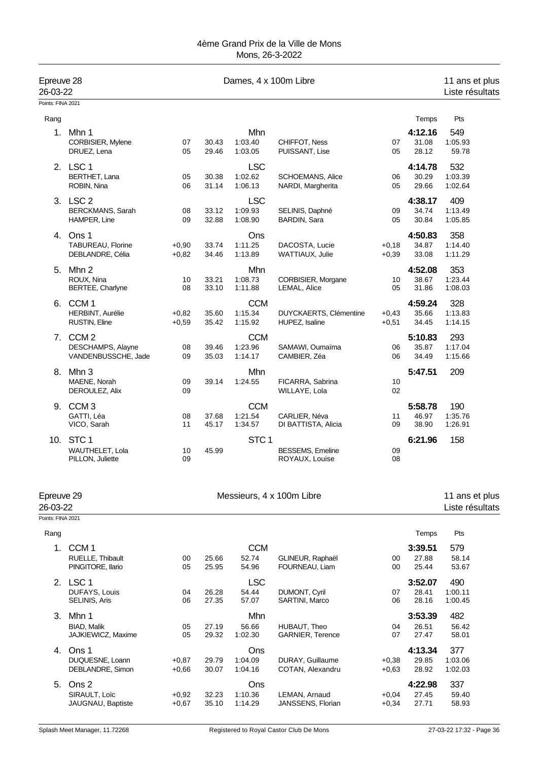| Epreuve 28<br>26-03-22 |                                                           |                    |                | Dames, 4 x 100m Libre            |                                              |                    |                           | 11 ans et plus<br>Liste résultats |
|------------------------|-----------------------------------------------------------|--------------------|----------------|----------------------------------|----------------------------------------------|--------------------|---------------------------|-----------------------------------|
| Points: FINA 2021      |                                                           |                    |                |                                  |                                              |                    |                           |                                   |
| Rang                   |                                                           |                    |                |                                  |                                              |                    | Temps                     | Pts                               |
| 1.                     | Mhn 1<br>CORBISIER, Mylene<br>DRUEZ, Lena                 | 07<br>05           | 30.43<br>29.46 | Mhn<br>1:03.40<br>1:03.05        | CHIFFOT, Ness<br>PUISSANT, Lise              | 07<br>05           | 4:12.16<br>31.08<br>28.12 | 549<br>1:05.93<br>59.78           |
|                        | 2. LSC 1<br><b>BERTHET, Lana</b><br>ROBIN, Nina           | 05<br>06           | 30.38<br>31.14 | <b>LSC</b><br>1:02.62<br>1:06.13 | <b>SCHOEMANS, Alice</b><br>NARDI, Margherita | 06<br>05           | 4:14.78<br>30.29<br>29.66 | 532<br>1:03.39<br>1:02.64         |
|                        | 3. LSC 2<br>BERCKMANS, Sarah<br>HAMPER, Line              | 08<br>09           | 33.12<br>32.88 | <b>LSC</b><br>1:09.93<br>1:08.90 | SELINIS, Daphné<br>BARDIN, Sara              | 09<br>05           | 4:38.17<br>34.74<br>30.84 | 409<br>1:13.49<br>1:05.85         |
|                        | 4. Ons 1<br>TABUREAU, Florine<br>DEBLANDRE, Célia         | $+0,90$<br>$+0,82$ | 33.74<br>34.46 | Ons<br>1:11.25<br>1:13.89        | DACOSTA, Lucie<br>WATTIAUX, Julie            | $+0,18$<br>$+0,39$ | 4:50.83<br>34.87<br>33.08 | 358<br>1:14.40<br>1:11.29         |
| 5.                     | Mhn 2<br>ROUX, Nina<br>BERTEE, Charlyne                   | 10<br>08           | 33.21<br>33.10 | Mhn<br>1:08.73<br>1:11.88        | CORBISIER, Morgane<br>LEMAL, Alice           | 10<br>05           | 4:52.08<br>38.67<br>31.86 | 353<br>1:23.44<br>1:08.03         |
| 6.                     | CCM <sub>1</sub><br>HERBINT, Aurélie<br>RUSTIN, Eline     | $+0,82$<br>$+0,59$ | 35.60<br>35.42 | <b>CCM</b><br>1:15.34<br>1:15.92 | DUYCKAERTS, Clémentine<br>HUPEZ, Isaline     | $+0,43$<br>$+0,51$ | 4:59.24<br>35.66<br>34.45 | 328<br>1:13.83<br>1:14.15         |
|                        | 7. CCM 2<br>DESCHAMPS, Alayne<br>VANDENBUSSCHE, Jade      | 08<br>09           | 39.46<br>35.03 | <b>CCM</b><br>1:23.96<br>1:14.17 | SAMAWI, Oumaïma<br>CAMBIER, Zéa              | 06<br>06           | 5:10.83<br>35.87<br>34.49 | 293<br>1:17.04<br>1:15.66         |
| 8.                     | Mhn 3<br>MAENE, Norah<br>DEROULEZ, Alix                   | 09<br>09           | 39.14          | Mhn<br>1:24.55                   | FICARRA, Sabrina<br>WILLAYE, Lola            | 10<br>02           | 5:47.51                   | 209                               |
| 9.                     | CCM <sub>3</sub><br>GATTI, Léa<br>VICO, Sarah             | 08<br>11           | 37.68<br>45.17 | <b>CCM</b><br>1:21.54<br>1:34.57 | CARLIER, Néva<br>DI BATTISTA, Alicia         | 11<br>09           | 5:58.78<br>46.97<br>38.90 | 190<br>1:35.76<br>1:26.91         |
|                        | 10. STC 1<br>WAUTHELET, Lola<br>PILLON, Juliette          | 10<br>09           | 45.99          | STC <sub>1</sub>                 | <b>BESSEMS, Emeline</b><br>ROYAUX, Louise    | 09<br>08           | 6:21.96                   | 158                               |
| Epreuve 29<br>26-03-22 |                                                           |                    |                |                                  | Messieurs, 4 x 100m Libre                    |                    |                           | 11 ans et plus<br>Liste résultats |
| Points: FINA 2021      |                                                           |                    |                |                                  |                                              |                    |                           |                                   |
| Rang                   |                                                           |                    |                |                                  |                                              |                    | Temps                     | Pts                               |
| 1.                     | CCM <sub>1</sub><br>RUELLE, Thibault<br>PINGITORE, Ilario | 00<br>05           | 25.66<br>25.95 | <b>CCM</b><br>52.74<br>54.96     | GLINEUR, Raphaël<br>FOURNEAU, Liam           | 00<br>00           | 3:39.51<br>27.88<br>25.44 | 579<br>58.14<br>53.67             |
|                        | 2. LSC 1<br>DUFAYS, Louis<br>SELINIS, Aris                | 04<br>06           | 26.28<br>27.35 | <b>LSC</b><br>54.44<br>57.07     | DUMONT, Cyril<br>SARTINI, Marco              | 07<br>06           | 3:52.07<br>28.41<br>28.16 | 490<br>1:00.11<br>1:00.45         |
| 3.                     | Mhn 1<br><b>BIAD, Malik</b><br><b>JAJKIEWICZ, Maxime</b>  | 05<br>05           | 27.19<br>29.32 | Mhn<br>56.66<br>1:02.30          | HUBAUT, Theo<br><b>GARNIER, Terence</b>      | 04<br>07           | 3:53.39<br>26.51<br>27.47 | 482<br>56.42<br>58.01             |
| 4.                     | Ons 1<br>DUQUESNE, Loann<br>DEBLANDRE, Simon              | $+0,87$<br>$+0,66$ | 29.79<br>30.07 | Ons<br>1:04.09<br>1:04.16        | DURAY, Guillaume<br>COTAN, Alexandru         | $+0,38$<br>$+0,63$ | 4:13.34<br>29.85<br>28.92 | 377<br>1:03.06<br>1:02.03         |
| 5.                     | Ons 2<br>SIRAULT, Loïc<br>JAUGNAU, Baptiste               | $+0,92$<br>$+0,67$ | 32.23<br>35.10 | Ons<br>1:10.36<br>1:14.29        | LEMAN, Arnaud<br>JANSSENS, Florian           | $+0,04$<br>$+0,34$ | 4:22.98<br>27.45<br>27.71 | 337<br>59.40<br>58.93             |